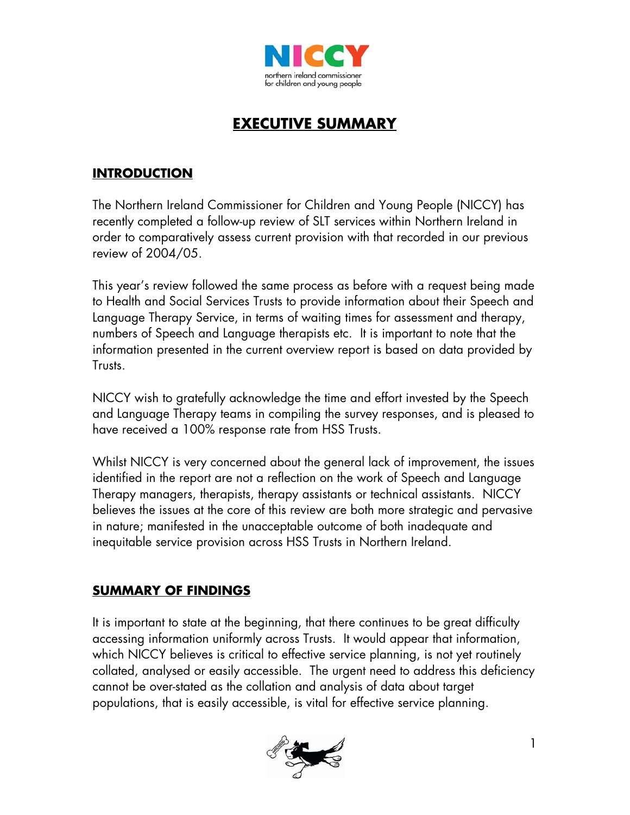

# **EXECUTIVE SUMMARY**

## **INTRODUCTION**

The Northern Ireland Commissioner for Children and Young People (NICCY) has recently completed a follow-up review of SLT services within Northern Ireland in order to comparatively assess current provision with that recorded in our previous review of 2004/05.

This year's review followed the same process as before with a request being made to Health and Social Services Trusts to provide information about their Speech and Language Therapy Service, in terms of waiting times for assessment and therapy, numbers of Speech and Language therapists etc. It is important to note that the information presented in the current overview report is based on data provided by Trusts.

NICCY wish to gratefully acknowledge the time and effort invested by the Speech and Language Therapy teams in compiling the survey responses, and is pleased to have received a 100% response rate from HSS Trusts.

Whilst NICCY is very concerned about the general lack of improvement, the issues identified in the report are not a reflection on the work of Speech and Language Therapy managers, therapists, therapy assistants or technical assistants. NICCY believes the issues at the core of this review are both more strategic and pervasive in nature; manifested in the unacceptable outcome of both inadequate and inequitable service provision across HSS Trusts in Northern Ireland.

## **SUMMARY OF FINDINGS**

It is important to state at the beginning, that there continues to be great difficulty accessing information uniformly across Trusts. It would appear that information, which NICCY believes is critical to effective service planning, is not yet routinely collated, analysed or easily accessible. The urgent need to address this deficiency cannot be over-stated as the collation and analysis of data about target populations, that is easily accessible, is vital for effective service planning.

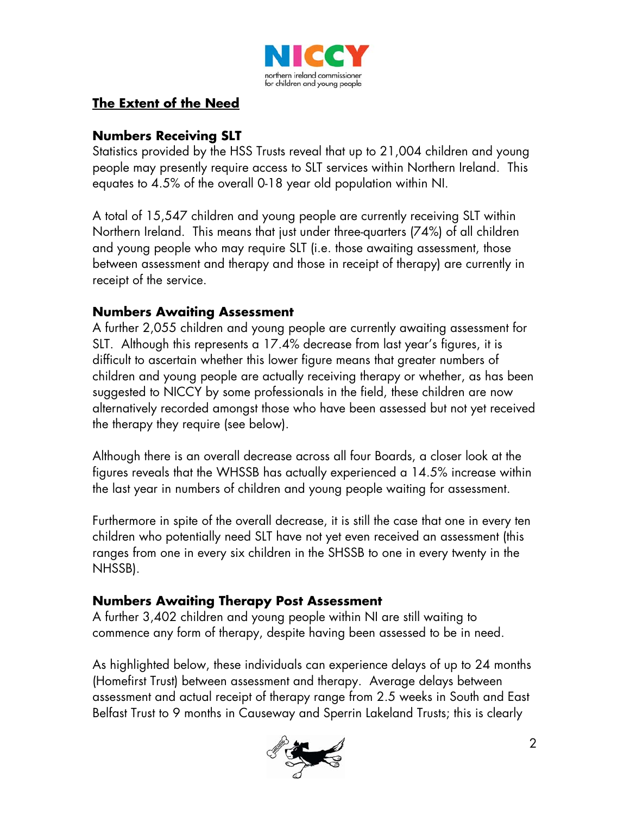

## **The Extent of the Need**

## **Numbers Receiving SLT**

Statistics provided by the HSS Trusts reveal that up to 21,004 children and young people may presently require access to SLT services within Northern Ireland. This equates to 4.5% of the overall 0-18 year old population within NI.

A total of 15,547 children and young people are currently receiving SLT within Northern Ireland. This means that just under three-quarters (74%) of all children and young people who may require SLT (i.e. those awaiting assessment, those between assessment and therapy and those in receipt of therapy) are currently in receipt of the service.

## **Numbers Awaiting Assessment**

A further 2,055 children and young people are currently awaiting assessment for SLT. Although this represents a 17.4% decrease from last year's figures, it is difficult to ascertain whether this lower figure means that greater numbers of children and young people are actually receiving therapy or whether, as has been suggested to NICCY by some professionals in the field, these children are now alternatively recorded amongst those who have been assessed but not yet received the therapy they require (see below).

Although there is an overall decrease across all four Boards, a closer look at the figures reveals that the WHSSB has actually experienced a 14.5% increase within the last year in numbers of children and young people waiting for assessment.

Furthermore in spite of the overall decrease, it is still the case that one in every ten children who potentially need SLT have not yet even received an assessment (this ranges from one in every six children in the SHSSB to one in every twenty in the NHSSB).

## **Numbers Awaiting Therapy Post Assessment**

A further 3,402 children and young people within NI are still waiting to commence any form of therapy, despite having been assessed to be in need.

As highlighted below, these individuals can experience delays of up to 24 months (Homefirst Trust) between assessment and therapy. Average delays between assessment and actual receipt of therapy range from 2.5 weeks in South and East Belfast Trust to 9 months in Causeway and Sperrin Lakeland Trusts; this is clearly

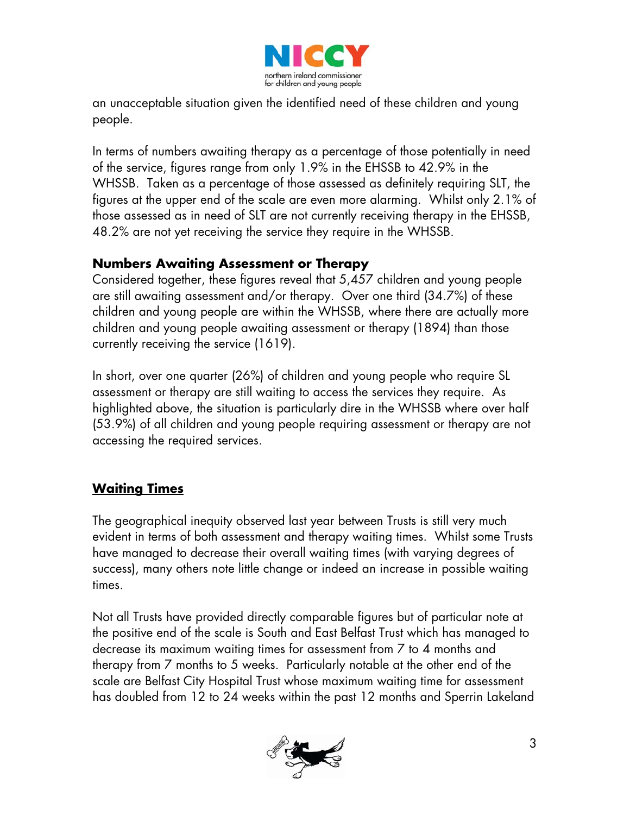

an unacceptable situation given the identified need of these children and young people.

In terms of numbers awaiting therapy as a percentage of those potentially in need of the service, figures range from only 1.9% in the EHSSB to 42.9% in the WHSSB. Taken as a percentage of those assessed as definitely requiring SLT, the figures at the upper end of the scale are even more alarming. Whilst only 2.1% of those assessed as in need of SLT are not currently receiving therapy in the EHSSB, 48.2% are not yet receiving the service they require in the WHSSB.

## **Numbers Awaiting Assessment or Therapy**

Considered together, these figures reveal that 5,457 children and young people are still awaiting assessment and/or therapy. Over one third (34.7%) of these children and young people are within the WHSSB, where there are actually more children and young people awaiting assessment or therapy (1894) than those currently receiving the service (1619).

In short, over one quarter (26%) of children and young people who require SL assessment or therapy are still waiting to access the services they require. As highlighted above, the situation is particularly dire in the WHSSB where over half (53.9%) of all children and young people requiring assessment or therapy are not accessing the required services.

## **Waiting Times**

The geographical inequity observed last year between Trusts is still very much evident in terms of both assessment and therapy waiting times. Whilst some Trusts have managed to decrease their overall waiting times (with varying degrees of success), many others note little change or indeed an increase in possible waiting times.

Not all Trusts have provided directly comparable figures but of particular note at the positive end of the scale is South and East Belfast Trust which has managed to decrease its maximum waiting times for assessment from 7 to 4 months and therapy from 7 months to 5 weeks. Particularly notable at the other end of the scale are Belfast City Hospital Trust whose maximum waiting time for assessment has doubled from 12 to 24 weeks within the past 12 months and Sperrin Lakeland

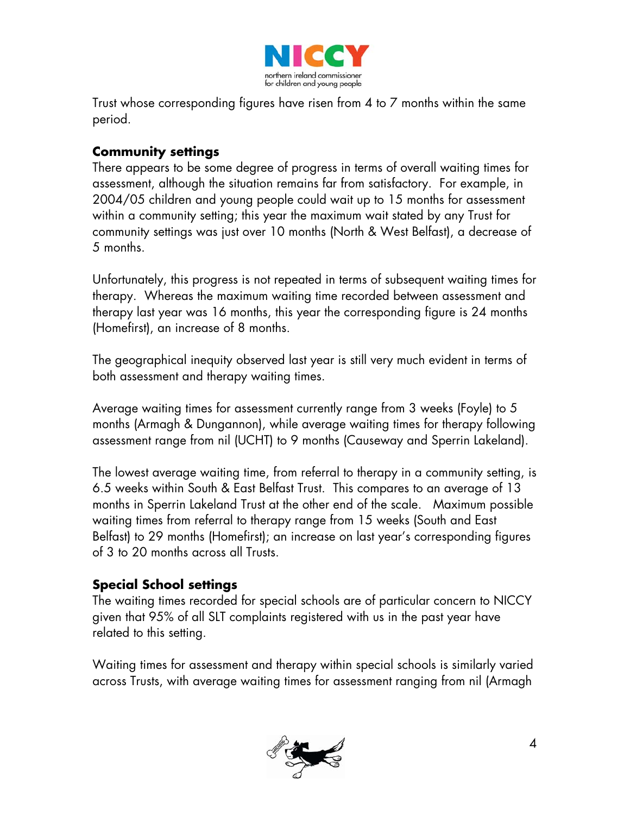

Trust whose corresponding figures have risen from 4 to 7 months within the same period.

## **Community settings**

There appears to be some degree of progress in terms of overall waiting times for assessment, although the situation remains far from satisfactory. For example, in 2004/05 children and young people could wait up to 15 months for assessment within a community setting; this year the maximum wait stated by any Trust for community settings was just over 10 months (North & West Belfast), a decrease of 5 months.

Unfortunately, this progress is not repeated in terms of subsequent waiting times for therapy. Whereas the maximum waiting time recorded between assessment and therapy last year was 16 months, this year the corresponding figure is 24 months (Homefirst), an increase of 8 months.

The geographical inequity observed last year is still very much evident in terms of both assessment and therapy waiting times.

Average waiting times for assessment currently range from 3 weeks (Foyle) to 5 months (Armagh & Dungannon), while average waiting times for therapy following assessment range from nil (UCHT) to 9 months (Causeway and Sperrin Lakeland).

The lowest average waiting time, from referral to therapy in a community setting, is 6.5 weeks within South & East Belfast Trust. This compares to an average of 13 months in Sperrin Lakeland Trust at the other end of the scale. Maximum possible waiting times from referral to therapy range from 15 weeks (South and East Belfast) to 29 months (Homefirst); an increase on last year's corresponding figures of 3 to 20 months across all Trusts.

## **Special School settings**

The waiting times recorded for special schools are of particular concern to NICCY given that 95% of all SLT complaints registered with us in the past year have related to this setting.

Waiting times for assessment and therapy within special schools is similarly varied across Trusts, with average waiting times for assessment ranging from nil (Armagh

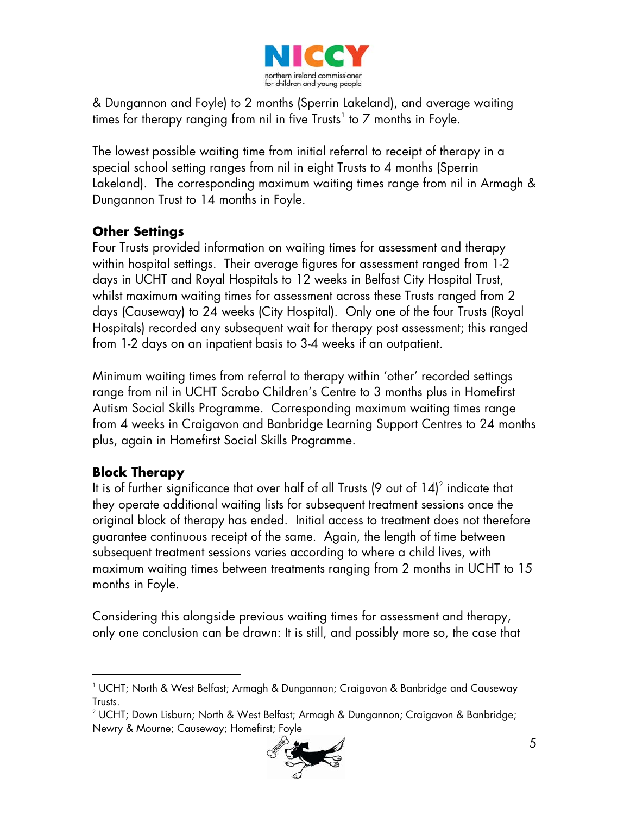

& Dungannon and Foyle) to 2 months (Sperrin Lakeland), and average waiting times for therapy ranging from nil in five Trusts $^{\rm !}$  to 7 months in Foyle.

The lowest possible waiting time from initial referral to receipt of therapy in a special school setting ranges from nil in eight Trusts to 4 months (Sperrin Lakeland). The corresponding maximum waiting times range from nil in Armagh & Dungannon Trust to 14 months in Foyle.

## **Other Settings**

Four Trusts provided information on waiting times for assessment and therapy within hospital settings. Their average figures for assessment ranged from 1-2 days in UCHT and Royal Hospitals to 12 weeks in Belfast City Hospital Trust, whilst maximum waiting times for assessment across these Trusts ranged from 2 days (Causeway) to 24 weeks (City Hospital). Only one of the four Trusts (Royal Hospitals) recorded any subsequent wait for therapy post assessment; this ranged from 1-2 days on an inpatient basis to 3-4 weeks if an outpatient.

Minimum waiting times from referral to therapy within 'other' recorded settings range from nil in UCHT Scrabo Children's Centre to 3 months plus in Homefirst Autism Social Skills Programme. Corresponding maximum waiting times range from 4 weeks in Craigavon and Banbridge Learning Support Centres to 24 months plus, again in Homefirst Social Skills Programme.

## **Block Therapy**

 $\overline{a}$ 

It is of further significance that over half of all Trusts (9 out of  $14)^2$  $14)^2$  indicate that they operate additional waiting lists for subsequent treatment sessions once the original block of therapy has ended. Initial access to treatment does not therefore guarantee continuous receipt of the same. Again, the length of time between subsequent treatment sessions varies according to where a child lives, with maximum waiting times between treatments ranging from 2 months in UCHT to 15 months in Foyle.

Considering this alongside previous waiting times for assessment and therapy, only one conclusion can be drawn: It is still, and possibly more so, the case that

<span id="page-4-1"></span> $^{\text{2}}$  UCHT; Down Lisburn; North & West Belfast; Armagh & Dungannon; Craigavon & Banbridge; Newry & Mourne; Causeway; Homefirst; Foyle



<span id="page-4-0"></span><sup>1</sup> UCHT; North & West Belfast; Armagh & Dungannon; Craigavon & Banbridge and Causeway Trusts.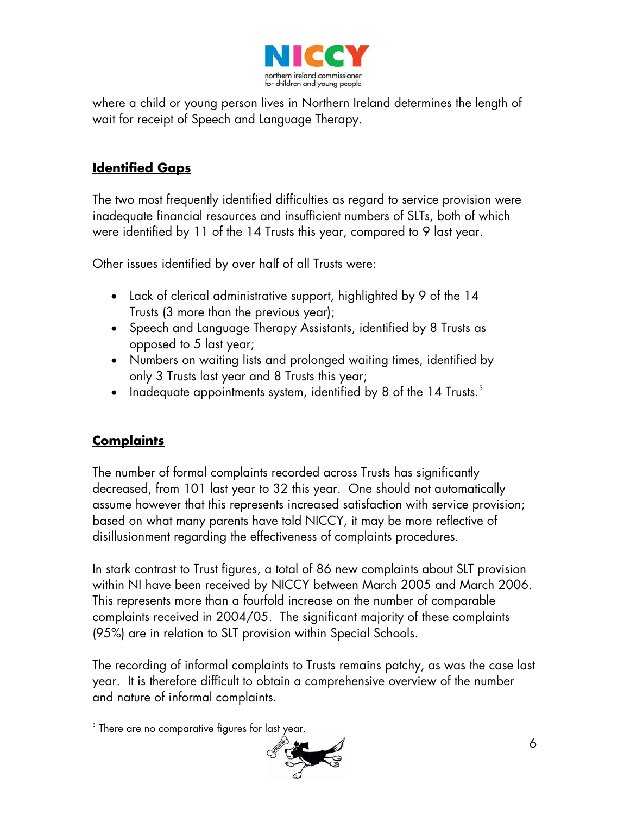

where a child or young person lives in Northern Ireland determines the length of wait for receipt of Speech and Language Therapy.

# **Identified Gaps**

The two most frequently identified difficulties as regard to service provision were inadequate financial resources and insufficient numbers of SLTs, both of which were identified by 11 of the 14 Trusts this year, compared to 9 last year.

Other issues identified by over half of all Trusts were:

- Lack of clerical administrative support, highlighted by 9 of the 14 Trusts (3 more than the previous year);
- Speech and Language Therapy Assistants, identified by 8 Trusts as opposed to 5 last year;
- Numbers on waiting lists and prolonged waiting times, identified by only 3 Trusts last year and 8 Trusts this year;
- Inadequate appointments system, identified by 8 of the 14 Trusts.<sup>[3](#page-5-0)</sup>

# **Complaints**

-

The number of formal complaints recorded across Trusts has significantly decreased, from 101 last year to 32 this year. One should not automatically assume however that this represents increased satisfaction with service provision; based on what many parents have told NICCY, it may be more reflective of disillusionment regarding the effectiveness of complaints procedures.

In stark contrast to Trust figures, a total of 86 new complaints about SLT provision within NI have been received by NICCY between March 2005 and March 2006. This represents more than a fourfold increase on the number of comparable complaints received in 2004/05. The significant majority of these complaints (95%) are in relation to SLT provision within Special Schools.

The recording of informal complaints to Trusts remains patchy, as was the case last year. It is therefore difficult to obtain a comprehensive overview of the number and nature of informal complaints.

<span id="page-5-0"></span> $^3$  There are no comparative figures for last year.

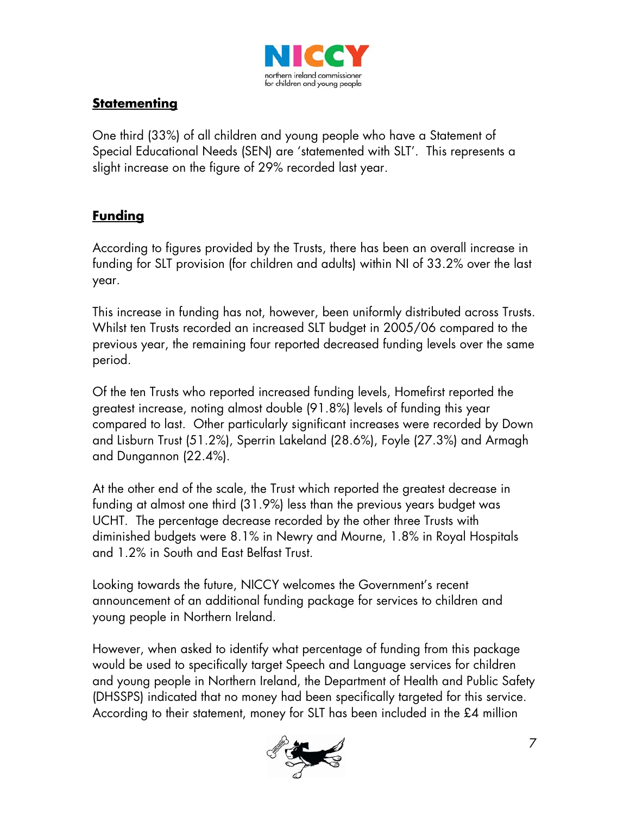

## **Statementing**

One third (33%) of all children and young people who have a Statement of Special Educational Needs (SEN) are 'statemented with SLT'. This represents a slight increase on the figure of 29% recorded last year.

## **Funding**

According to figures provided by the Trusts, there has been an overall increase in funding for SLT provision (for children and adults) within NI of 33.2% over the last year.

This increase in funding has not, however, been uniformly distributed across Trusts. Whilst ten Trusts recorded an increased SLT budget in 2005/06 compared to the previous year, the remaining four reported decreased funding levels over the same period.

Of the ten Trusts who reported increased funding levels, Homefirst reported the greatest increase, noting almost double (91.8%) levels of funding this year compared to last. Other particularly significant increases were recorded by Down and Lisburn Trust (51.2%), Sperrin Lakeland (28.6%), Foyle (27.3%) and Armagh and Dungannon (22.4%).

At the other end of the scale, the Trust which reported the greatest decrease in funding at almost one third (31.9%) less than the previous years budget was UCHT. The percentage decrease recorded by the other three Trusts with diminished budgets were 8.1% in Newry and Mourne, 1.8% in Royal Hospitals and 1.2% in South and East Belfast Trust.

Looking towards the future, NICCY welcomes the Government's recent announcement of an additional funding package for services to children and young people in Northern Ireland.

However, when asked to identify what percentage of funding from this package would be used to specifically target Speech and Language services for children and young people in Northern Ireland, the Department of Health and Public Safety (DHSSPS) indicated that no money had been specifically targeted for this service. According to their statement, money for SLT has been included in the £4 million

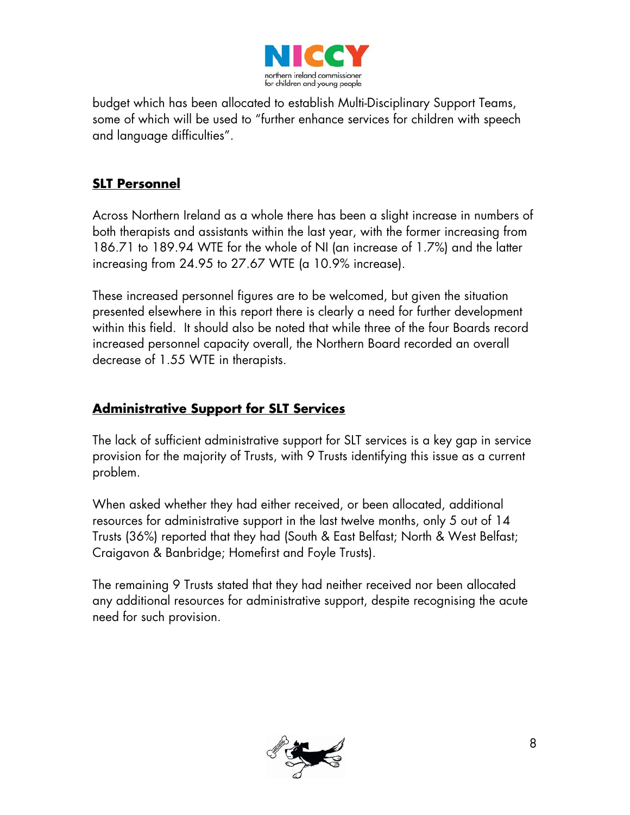

budget which has been allocated to establish Multi-Disciplinary Support Teams, some of which will be used to "further enhance services for children with speech and language difficulties".

## **SLT Personnel**

Across Northern Ireland as a whole there has been a slight increase in numbers of both therapists and assistants within the last year, with the former increasing from 186.71 to 189.94 WTE for the whole of NI (an increase of 1.7%) and the latter increasing from 24.95 to 27.67 WTE (a 10.9% increase).

These increased personnel figures are to be welcomed, but given the situation presented elsewhere in this report there is clearly a need for further development within this field. It should also be noted that while three of the four Boards record increased personnel capacity overall, the Northern Board recorded an overall decrease of 1.55 WTE in therapists.

## **Administrative Support for SLT Services**

The lack of sufficient administrative support for SLT services is a key gap in service provision for the majority of Trusts, with 9 Trusts identifying this issue as a current problem.

When asked whether they had either received, or been allocated, additional resources for administrative support in the last twelve months, only 5 out of 14 Trusts (36%) reported that they had (South & East Belfast; North & West Belfast; Craigavon & Banbridge; Homefirst and Foyle Trusts).

The remaining 9 Trusts stated that they had neither received nor been allocated any additional resources for administrative support, despite recognising the acute need for such provision.

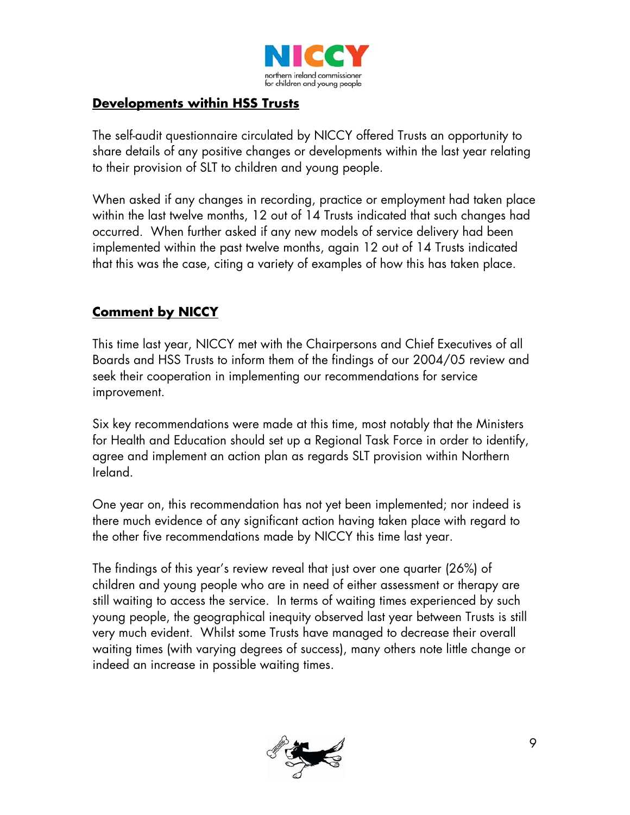

## **Developments within HSS Trusts**

The self-audit questionnaire circulated by NICCY offered Trusts an opportunity to share details of any positive changes or developments within the last year relating to their provision of SLT to children and young people.

When asked if any changes in recording, practice or employment had taken place within the last twelve months, 12 out of 14 Trusts indicated that such changes had occurred. When further asked if any new models of service delivery had been implemented within the past twelve months, again 12 out of 14 Trusts indicated that this was the case, citing a variety of examples of how this has taken place.

## **Comment by NICCY**

This time last year, NICCY met with the Chairpersons and Chief Executives of all Boards and HSS Trusts to inform them of the findings of our 2004/05 review and seek their cooperation in implementing our recommendations for service improvement.

Six key recommendations were made at this time, most notably that the Ministers for Health and Education should set up a Regional Task Force in order to identify, agree and implement an action plan as regards SLT provision within Northern Ireland.

One year on, this recommendation has not yet been implemented; nor indeed is there much evidence of any significant action having taken place with regard to the other five recommendations made by NICCY this time last year.

The findings of this year's review reveal that just over one quarter (26%) of children and young people who are in need of either assessment or therapy are still waiting to access the service. In terms of waiting times experienced by such young people, the geographical inequity observed last year between Trusts is still very much evident. Whilst some Trusts have managed to decrease their overall waiting times (with varying degrees of success), many others note little change or indeed an increase in possible waiting times.

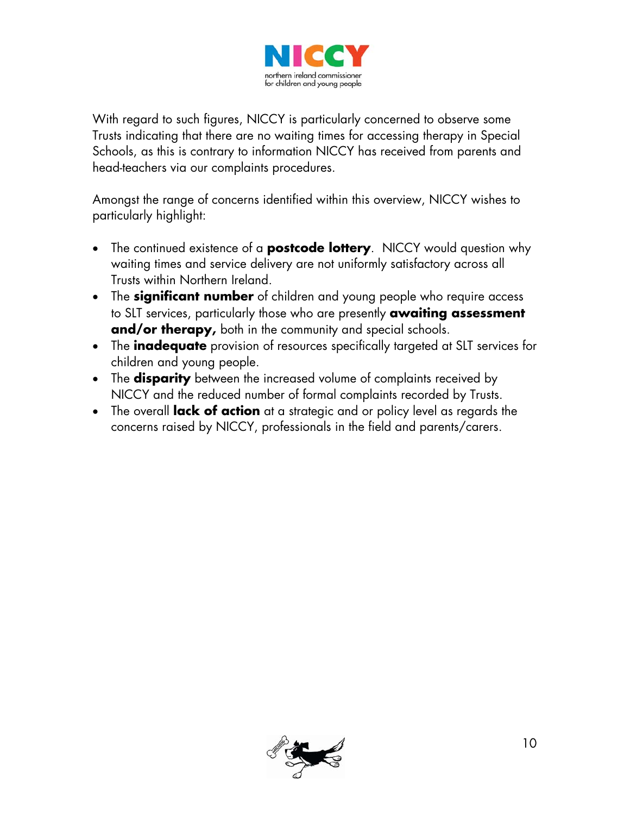

With regard to such figures, NICCY is particularly concerned to observe some Trusts indicating that there are no waiting times for accessing therapy in Special Schools, as this is contrary to information NICCY has received from parents and head-teachers via our complaints procedures.

Amongst the range of concerns identified within this overview, NICCY wishes to particularly highlight:

- The continued existence of a **postcode lottery**. NICCY would question why waiting times and service delivery are not uniformly satisfactory across all Trusts within Northern Ireland.
- The **significant number** of children and young people who require access to SLT services, particularly those who are presently **awaiting assessment and/or therapy,** both in the community and special schools.
- The **inadequate** provision of resources specifically targeted at SLT services for children and young people.
- The **disparity** between the increased volume of complaints received by NICCY and the reduced number of formal complaints recorded by Trusts.
- The overall **lack of action** at a strategic and or policy level as regards the concerns raised by NICCY, professionals in the field and parents/carers.

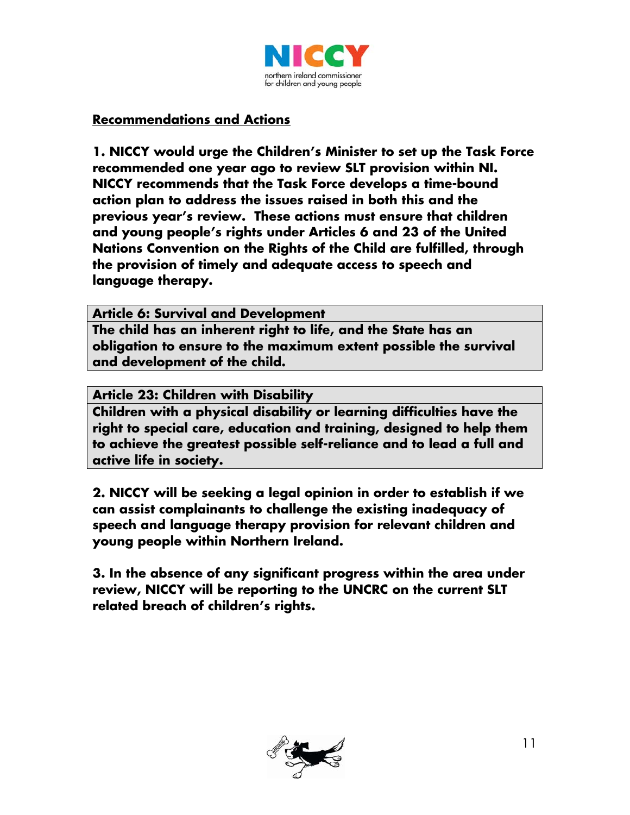

## **Recommendations and Actions**

**1. NICCY would urge the Children's Minister to set up the Task Force recommended one year ago to review SLT provision within NI. NICCY recommends that the Task Force develops a time-bound action plan to address the issues raised in both this and the previous year's review. These actions must ensure that children and young people's rights under Articles 6 and 23 of the United Nations Convention on the Rights of the Child are fulfilled, through the provision of timely and adequate access to speech and language therapy.** 

**Article 6: Survival and Development** 

**The child has an inherent right to life, and the State has an obligation to ensure to the maximum extent possible the survival and development of the child.** 

**Article 23: Children with Disability** 

**Children with a physical disability or learning difficulties have the right to special care, education and training, designed to help them to achieve the greatest possible self-reliance and to lead a full and active life in society.**

**2. NICCY will be seeking a legal opinion in order to establish if we can assist complainants to challenge the existing inadequacy of speech and language therapy provision for relevant children and young people within Northern Ireland.** 

**3. In the absence of any significant progress within the area under review, NICCY will be reporting to the UNCRC on the current SLT related breach of children's rights.** 

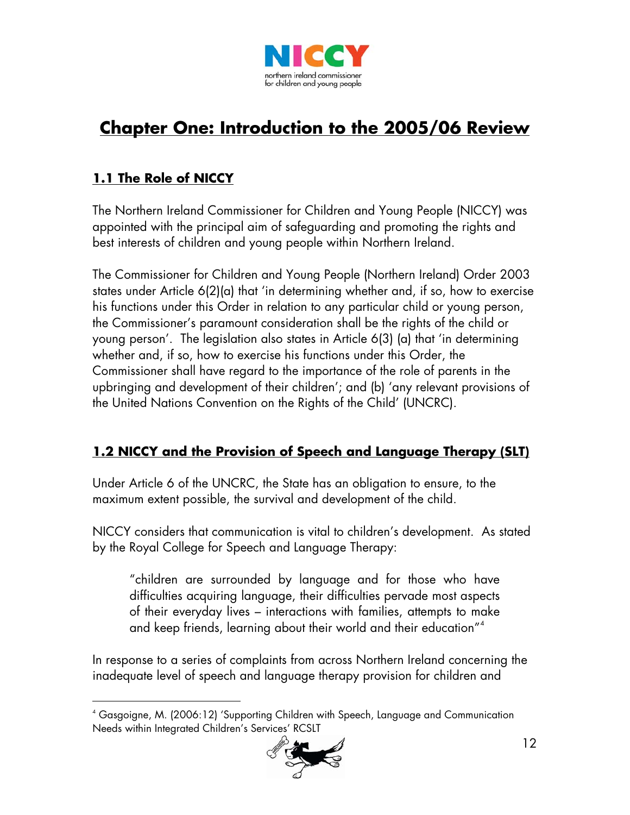

# **Chapter One: Introduction to the 2005/06 Review**

# **1.1 The Role of NICCY**

-

The Northern Ireland Commissioner for Children and Young People (NICCY) was appointed with the principal aim of safeguarding and promoting the rights and best interests of children and young people within Northern Ireland.

The Commissioner for Children and Young People (Northern Ireland) Order 2003 states under Article 6(2)(a) that 'in determining whether and, if so, how to exercise his functions under this Order in relation to any particular child or young person, the Commissioner's paramount consideration shall be the rights of the child or young person'. The legislation also states in Article 6(3) (a) that 'in determining whether and, if so, how to exercise his functions under this Order, the Commissioner shall have regard to the importance of the role of parents in the upbringing and development of their children'; and (b) 'any relevant provisions of the United Nations Convention on the Rights of the Child' (UNCRC).

## **1.2 NICCY and the Provision of Speech and Language Therapy (SLT)**

Under Article 6 of the UNCRC, the State has an obligation to ensure, to the maximum extent possible, the survival and development of the child.

NICCY considers that communication is vital to children's development. As stated by the Royal College for Speech and Language Therapy:

"children are surrounded by language and for those who have difficulties acquiring language, their difficulties pervade most aspects of their everyday lives – interactions with families, attempts to make and keep friends, learning about their world and their education"[4](#page-11-0)

In response to a series of complaints from across Northern Ireland concerning the inadequate level of speech and language therapy provision for children and

<span id="page-11-0"></span><sup>4</sup> Gasgoigne, M. (2006:12) 'Supporting Children with Speech, Language and Communication Needs within Integrated Children's Services' RCSLT

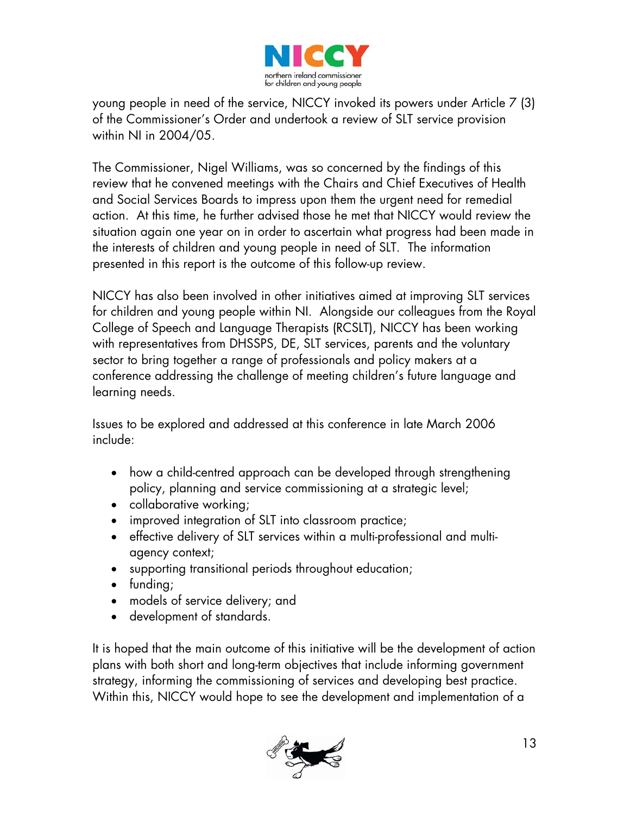

young people in need of the service, NICCY invoked its powers under Article 7 (3) of the Commissioner's Order and undertook a review of SLT service provision within NI in 2004/05.

The Commissioner, Nigel Williams, was so concerned by the findings of this review that he convened meetings with the Chairs and Chief Executives of Health and Social Services Boards to impress upon them the urgent need for remedial action. At this time, he further advised those he met that NICCY would review the situation again one year on in order to ascertain what progress had been made in the interests of children and young people in need of SLT. The information presented in this report is the outcome of this follow-up review.

NICCY has also been involved in other initiatives aimed at improving SLT services for children and young people within NI. Alongside our colleagues from the Royal College of Speech and Language Therapists (RCSLT), NICCY has been working with representatives from DHSSPS, DE, SLT services, parents and the voluntary sector to bring together a range of professionals and policy makers at a conference addressing the challenge of meeting children's future language and learning needs.

Issues to be explored and addressed at this conference in late March 2006 include:

- how a child-centred approach can be developed through strengthening policy, planning and service commissioning at a strategic level;
- collaborative working;
- improved integration of SLT into classroom practice;
- effective delivery of SLT services within a multi-professional and multiagency context;
- supporting transitional periods throughout education;
- funding;
- models of service delivery; and
- development of standards.

It is hoped that the main outcome of this initiative will be the development of action plans with both short and long-term objectives that include informing government strategy, informing the commissioning of services and developing best practice. Within this, NICCY would hope to see the development and implementation of a

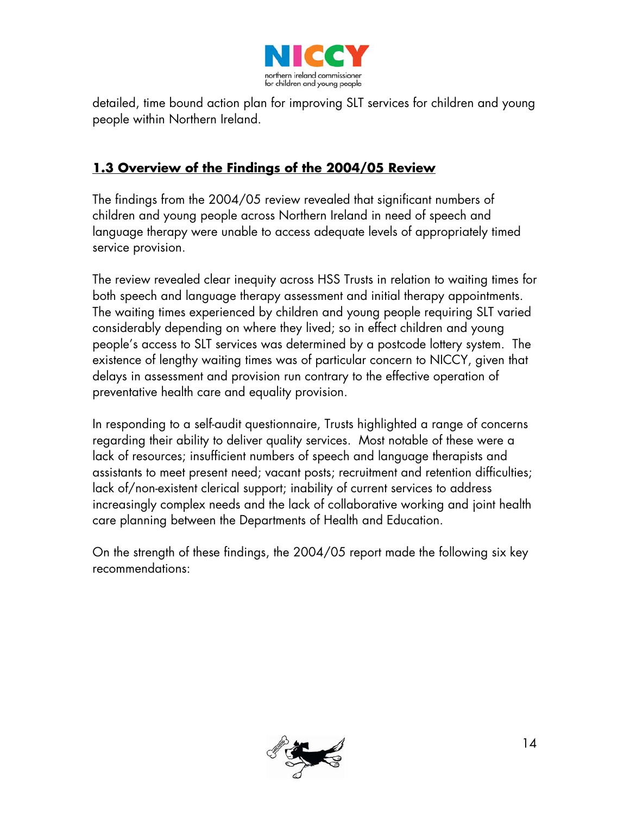

detailed, time bound action plan for improving SLT services for children and young people within Northern Ireland.

## **1.3 Overview of the Findings of the 2004/05 Review**

The findings from the 2004/05 review revealed that significant numbers of children and young people across Northern Ireland in need of speech and language therapy were unable to access adequate levels of appropriately timed service provision.

The review revealed clear inequity across HSS Trusts in relation to waiting times for both speech and language therapy assessment and initial therapy appointments. The waiting times experienced by children and young people requiring SLT varied considerably depending on where they lived; so in effect children and young people's access to SLT services was determined by a postcode lottery system. The existence of lengthy waiting times was of particular concern to NICCY, given that delays in assessment and provision run contrary to the effective operation of preventative health care and equality provision.

In responding to a self-audit questionnaire, Trusts highlighted a range of concerns regarding their ability to deliver quality services. Most notable of these were a lack of resources; insufficient numbers of speech and language therapists and assistants to meet present need; vacant posts; recruitment and retention difficulties; lack of/non-existent clerical support; inability of current services to address increasingly complex needs and the lack of collaborative working and joint health care planning between the Departments of Health and Education.

On the strength of these findings, the 2004/05 report made the following six key recommendations:

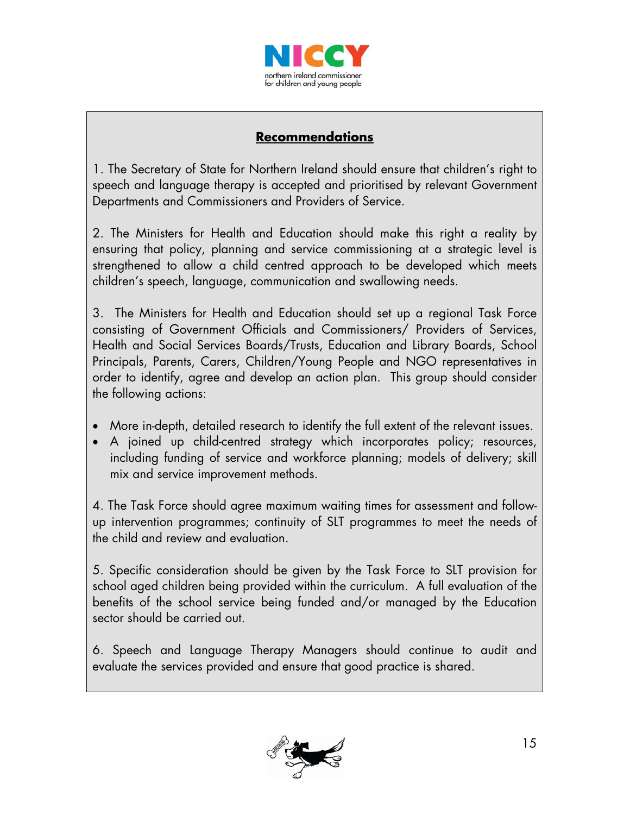

## **Recommendations**

1. The Secretary of State for Northern Ireland should ensure that children's right to speech and language therapy is accepted and prioritised by relevant Government Departments and Commissioners and Providers of Service.

2. The Ministers for Health and Education should make this right a reality by ensuring that policy, planning and service commissioning at a strategic level is strengthened to allow a child centred approach to be developed which meets children's speech, language, communication and swallowing needs.

3. The Ministers for Health and Education should set up a regional Task Force consisting of Government Officials and Commissioners/ Providers of Services, Health and Social Services Boards/Trusts, Education and Library Boards, School Principals, Parents, Carers, Children/Young People and NGO representatives in order to identify, agree and develop an action plan. This group should consider the following actions:

- More in-depth, detailed research to identify the full extent of the relevant issues.
- A joined up child-centred strategy which incorporates policy; resources, including funding of service and workforce planning; models of delivery; skill mix and service improvement methods.

4. The Task Force should agree maximum waiting times for assessment and followup intervention programmes; continuity of SLT programmes to meet the needs of the child and review and evaluation.

5. Specific consideration should be given by the Task Force to SLT provision for school aged children being provided within the curriculum. A full evaluation of the benefits of the school service being funded and/or managed by the Education sector should be carried out.

6. Speech and Language Therapy Managers should continue to audit and evaluate the services provided and ensure that good practice is shared.

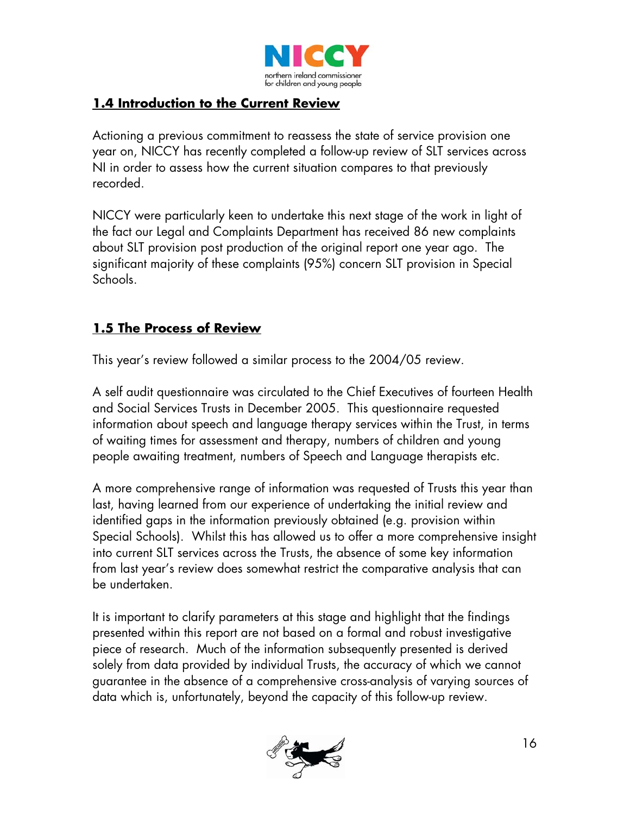

## **1.4 Introduction to the Current Review**

Actioning a previous commitment to reassess the state of service provision one year on, NICCY has recently completed a follow-up review of SLT services across NI in order to assess how the current situation compares to that previously recorded.

NICCY were particularly keen to undertake this next stage of the work in light of the fact our Legal and Complaints Department has received 86 new complaints about SLT provision post production of the original report one year ago. The significant majority of these complaints (95%) concern SLT provision in Special Schools.

## **1.5 The Process of Review**

This year's review followed a similar process to the 2004/05 review.

A self audit questionnaire was circulated to the Chief Executives of fourteen Health and Social Services Trusts in December 2005. This questionnaire requested information about speech and language therapy services within the Trust, in terms of waiting times for assessment and therapy, numbers of children and young people awaiting treatment, numbers of Speech and Language therapists etc.

A more comprehensive range of information was requested of Trusts this year than last, having learned from our experience of undertaking the initial review and identified gaps in the information previously obtained (e.g. provision within Special Schools). Whilst this has allowed us to offer a more comprehensive insight into current SLT services across the Trusts, the absence of some key information from last year's review does somewhat restrict the comparative analysis that can be undertaken.

It is important to clarify parameters at this stage and highlight that the findings presented within this report are not based on a formal and robust investigative piece of research. Much of the information subsequently presented is derived solely from data provided by individual Trusts, the accuracy of which we cannot guarantee in the absence of a comprehensive cross-analysis of varying sources of data which is, unfortunately, beyond the capacity of this follow-up review.

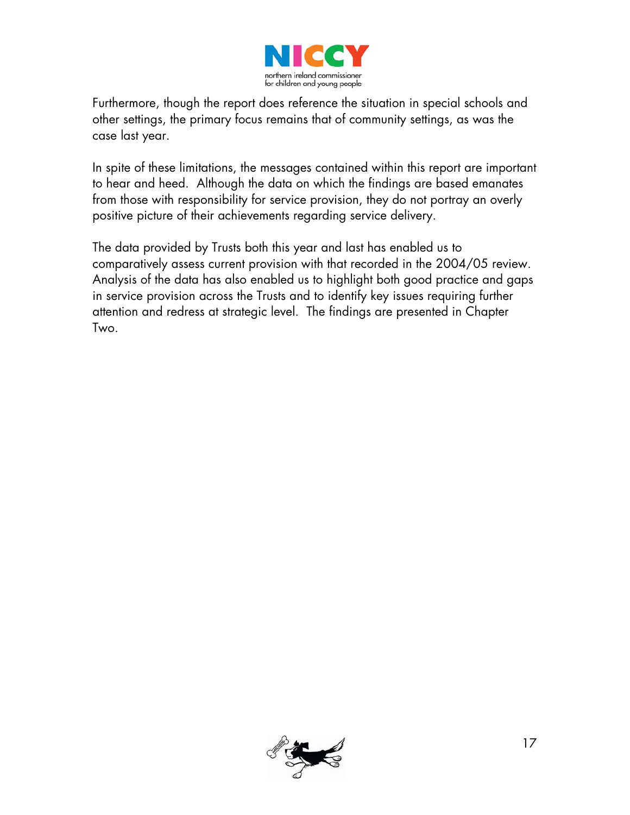

Furthermore, though the report does reference the situation in special schools and other settings, the primary focus remains that of community settings, as was the case last year.

In spite of these limitations, the messages contained within this report are important to hear and heed. Although the data on which the findings are based emanates from those with responsibility for service provision, they do not portray an overly positive picture of their achievements regarding service delivery.

The data provided by Trusts both this year and last has enabled us to comparatively assess current provision with that recorded in the 2004/05 review. Analysis of the data has also enabled us to highlight both good practice and gaps in service provision across the Trusts and to identify key issues requiring further attention and redress at strategic level. The findings are presented in Chapter Two.

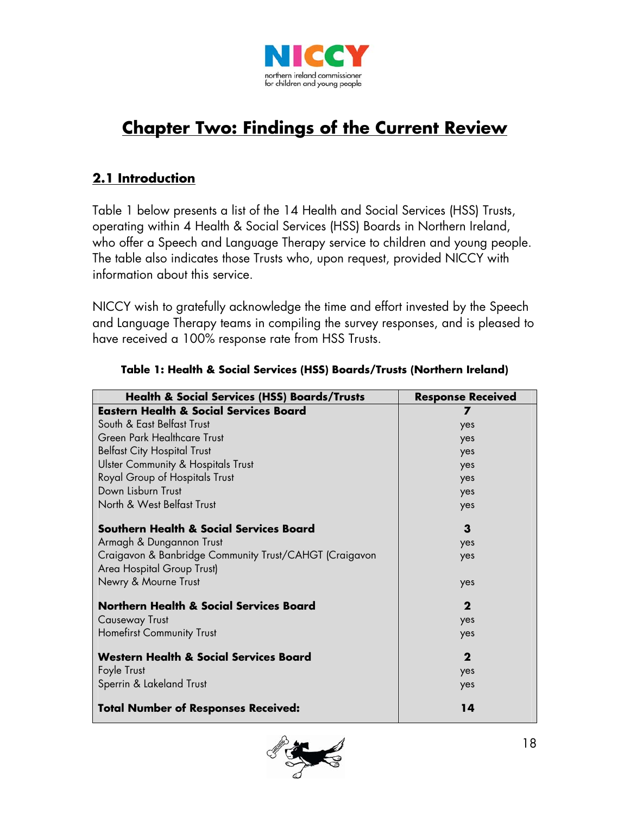

# **Chapter Two: Findings of the Current Review**

## **2.1 Introduction**

Table 1 below presents a list of the 14 Health and Social Services (HSS) Trusts, operating within 4 Health & Social Services (HSS) Boards in Northern Ireland, who offer a Speech and Language Therapy service to children and young people. The table also indicates those Trusts who, upon request, provided NICCY with information about this service.

NICCY wish to gratefully acknowledge the time and effort invested by the Speech and Language Therapy teams in compiling the survey responses, and is pleased to have received a 100% response rate from HSS Trusts.

| <b>Health &amp; Social Services (HSS) Boards/Trusts</b>                              | <b>Response Received</b> |
|--------------------------------------------------------------------------------------|--------------------------|
| <b>Eastern Health &amp; Social Services Board</b>                                    | 7                        |
| South & East Belfast Trust                                                           | yes                      |
| Green Park Healthcare Trust                                                          | yes                      |
| <b>Belfast City Hospital Trust</b>                                                   | yes                      |
| <b>Ulster Community &amp; Hospitals Trust</b>                                        | yes                      |
| Royal Group of Hospitals Trust                                                       | yes                      |
| Down Lisburn Trust                                                                   | yes                      |
| North & West Belfast Trust                                                           | yes                      |
| Southern Health & Social Services Board                                              | 3                        |
| Armagh & Dungannon Trust                                                             | yes                      |
| Craigavon & Banbridge Community Trust/CAHGT (Craigavon<br>Area Hospital Group Trust) | yes                      |
| Newry & Mourne Trust                                                                 | yes                      |
| <b>Northern Health &amp; Social Services Board</b>                                   | $\mathbf 2$              |
| <b>Causeway Trust</b>                                                                | yes                      |
| <b>Homefirst Community Trust</b>                                                     | yes                      |
| <b>Western Health &amp; Social Services Board</b>                                    | $\mathbf 2$              |
| Foyle Trust                                                                          | yes                      |
| Sperrin & Lakeland Trust                                                             | yes                      |
| <b>Total Number of Responses Received:</b>                                           | 14                       |

### **Table 1: Health & Social Services (HSS) Boards/Trusts (Northern Ireland)**

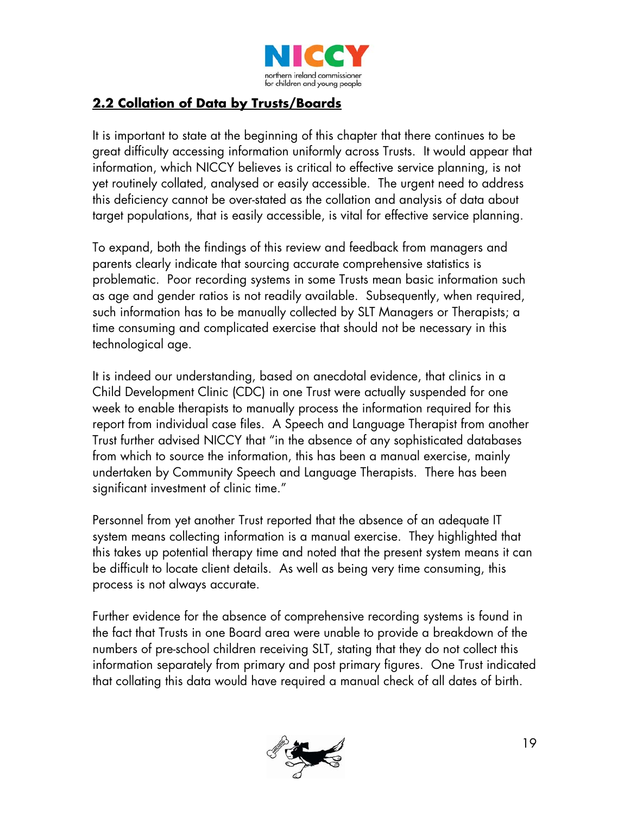

## **2.2 Collation of Data by Trusts/Boards**

It is important to state at the beginning of this chapter that there continues to be great difficulty accessing information uniformly across Trusts. It would appear that information, which NICCY believes is critical to effective service planning, is not yet routinely collated, analysed or easily accessible. The urgent need to address this deficiency cannot be over-stated as the collation and analysis of data about target populations, that is easily accessible, is vital for effective service planning.

To expand, both the findings of this review and feedback from managers and parents clearly indicate that sourcing accurate comprehensive statistics is problematic. Poor recording systems in some Trusts mean basic information such as age and gender ratios is not readily available. Subsequently, when required, such information has to be manually collected by SLT Managers or Therapists; a time consuming and complicated exercise that should not be necessary in this technological age.

It is indeed our understanding, based on anecdotal evidence, that clinics in a Child Development Clinic (CDC) in one Trust were actually suspended for one week to enable therapists to manually process the information required for this report from individual case files. A Speech and Language Therapist from another Trust further advised NICCY that "in the absence of any sophisticated databases from which to source the information, this has been a manual exercise, mainly undertaken by Community Speech and Language Therapists. There has been significant investment of clinic time."

Personnel from yet another Trust reported that the absence of an adequate IT system means collecting information is a manual exercise. They highlighted that this takes up potential therapy time and noted that the present system means it can be difficult to locate client details. As well as being very time consuming, this process is not always accurate.

Further evidence for the absence of comprehensive recording systems is found in the fact that Trusts in one Board area were unable to provide a breakdown of the numbers of pre-school children receiving SLT, stating that they do not collect this information separately from primary and post primary figures. One Trust indicated that collating this data would have required a manual check of all dates of birth.

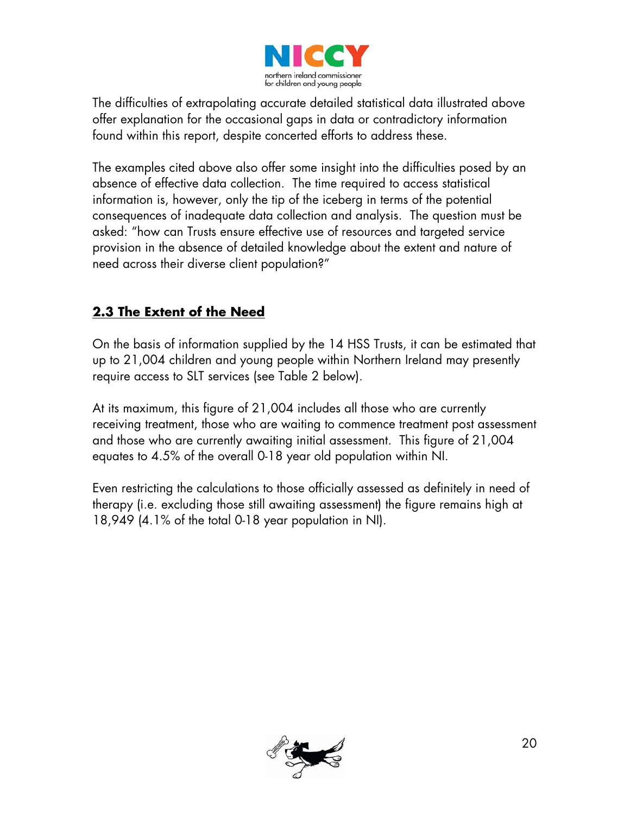

The difficulties of extrapolating accurate detailed statistical data illustrated above offer explanation for the occasional gaps in data or contradictory information found within this report, despite concerted efforts to address these.

The examples cited above also offer some insight into the difficulties posed by an absence of effective data collection. The time required to access statistical information is, however, only the tip of the iceberg in terms of the potential consequences of inadequate data collection and analysis. The question must be asked: "how can Trusts ensure effective use of resources and targeted service provision in the absence of detailed knowledge about the extent and nature of need across their diverse client population?"

## **2.3 The Extent of the Need**

On the basis of information supplied by the 14 HSS Trusts, it can be estimated that up to 21,004 children and young people within Northern Ireland may presently require access to SLT services (see Table 2 below).

At its maximum, this figure of 21,004 includes all those who are currently receiving treatment, those who are waiting to commence treatment post assessment and those who are currently awaiting initial assessment. This figure of 21,004 equates to 4.5% of the overall 0-18 year old population within NI.

Even restricting the calculations to those officially assessed as definitely in need of therapy (i.e. excluding those still awaiting assessment) the figure remains high at 18,949 (4.1% of the total 0-18 year population in NI).

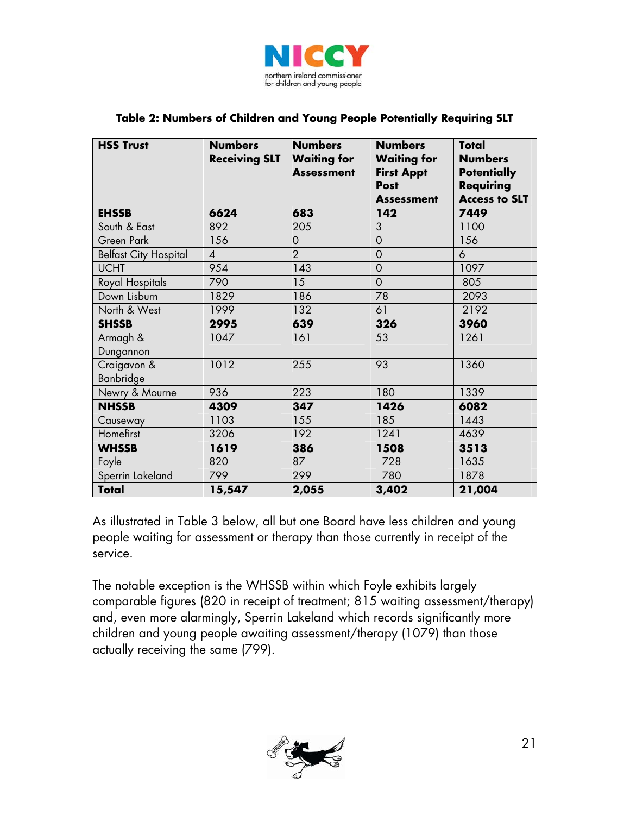

|  | Table 2: Numbers of Children and Young People Potentially Requiring SLT |
|--|-------------------------------------------------------------------------|
|--|-------------------------------------------------------------------------|

| <b>HSS Trust</b>             | <b>Numbers</b><br><b>Receiving SLT</b> | <b>Numbers</b><br><b>Waiting for</b><br><b>Assessment</b> | <b>Numbers</b><br><b>Waiting for</b><br><b>First Appt</b><br><b>Post</b><br><b>Assessment</b> | Total<br><b>Numbers</b><br><b>Potentially</b><br><b>Requiring</b><br><b>Access to SLT</b> |
|------------------------------|----------------------------------------|-----------------------------------------------------------|-----------------------------------------------------------------------------------------------|-------------------------------------------------------------------------------------------|
| <b>EHSSB</b>                 | 6624                                   | 683                                                       | 142                                                                                           | 7449                                                                                      |
| South & East                 | 892                                    | 205                                                       | 3                                                                                             | 1100                                                                                      |
| Green Park                   | 156                                    | $\mathbf 0$                                               | $\mathbf 0$                                                                                   | 156                                                                                       |
| <b>Belfast City Hospital</b> | $\overline{4}$                         | $\overline{2}$                                            | $\overline{O}$                                                                                | $\ddot{\circ}$                                                                            |
| <b>UCHT</b>                  | 954                                    | $\overline{143}$                                          | $\overline{O}$                                                                                | 1097                                                                                      |
| Royal Hospitals              | 790                                    | 15                                                        | $\overline{O}$                                                                                | 805                                                                                       |
| Down Lisburn                 | 1829                                   | 186                                                       | 78                                                                                            | 2093                                                                                      |
| North & West                 | 1999                                   | 132                                                       | 61                                                                                            | 2192                                                                                      |
| <b>SHSSB</b>                 | 2995                                   | 639                                                       | 326                                                                                           | 3960                                                                                      |
| Armagh &<br>Dungannon        | 1047                                   | 161                                                       | 53                                                                                            | 1261                                                                                      |
| Craigavon &<br>Banbridge     | 1012                                   | 255                                                       | 93                                                                                            | 1360                                                                                      |
| Newry & Mourne               | 936                                    | 223                                                       | 180                                                                                           | 1339                                                                                      |
| <b>NHSSB</b>                 | 4309                                   | 347                                                       | 1426                                                                                          | 6082                                                                                      |
| Causeway                     | 1103                                   | 155                                                       | 185                                                                                           | 1443                                                                                      |
| Homefirst                    | 3206                                   | 192                                                       | 1241                                                                                          | 4639                                                                                      |
| <b>WHSSB</b>                 | 1619                                   | 386                                                       | 1508                                                                                          | 3513                                                                                      |
| Foyle                        | 820                                    | 87                                                        | 728                                                                                           | 1635                                                                                      |
| Sperrin Lakeland             | 799                                    | 299                                                       | 780                                                                                           | 1878                                                                                      |
| <b>Total</b>                 | 15,547                                 | 2,055                                                     | 3,402                                                                                         | 21,004                                                                                    |

As illustrated in Table 3 below, all but one Board have less children and young people waiting for assessment or therapy than those currently in receipt of the service.

The notable exception is the WHSSB within which Foyle exhibits largely comparable figures (820 in receipt of treatment; 815 waiting assessment/therapy) and, even more alarmingly, Sperrin Lakeland which records significantly more children and young people awaiting assessment/therapy (1079) than those actually receiving the same (799).

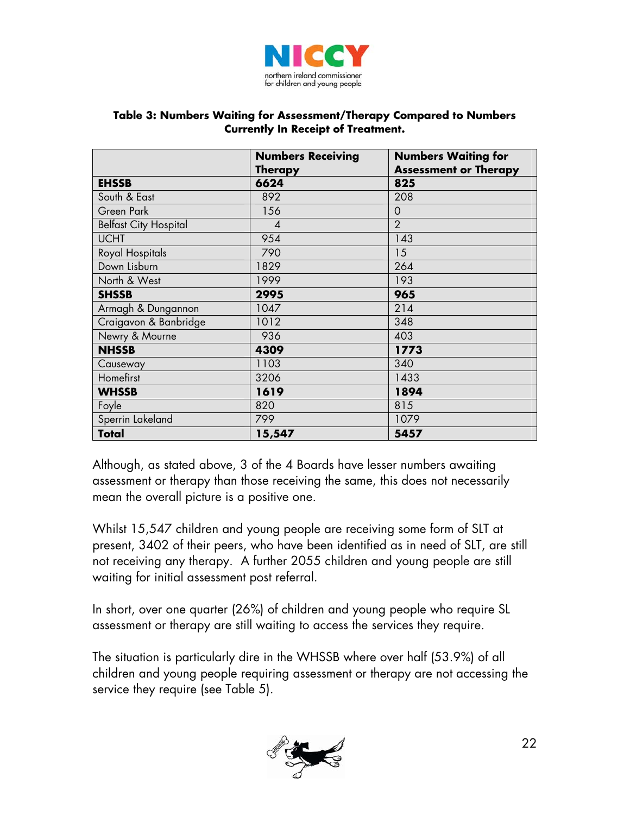

#### **Table 3: Numbers Waiting for Assessment/Therapy Compared to Numbers Currently In Receipt of Treatment.**

|                              | <b>Numbers Receiving</b> | <b>Numbers Waiting for</b>   |  |  |
|------------------------------|--------------------------|------------------------------|--|--|
|                              | <b>Therapy</b>           | <b>Assessment or Therapy</b> |  |  |
| <b>EHSSB</b>                 | 6624                     | 825                          |  |  |
| South & East                 | 892                      | 208                          |  |  |
| Green Park                   | 156                      | $\mathbf 0$                  |  |  |
| <b>Belfast City Hospital</b> | $\boldsymbol{4}$         | $\overline{2}$               |  |  |
| <b>UCHT</b>                  | 954                      | 143                          |  |  |
| Royal Hospitals              | 790                      | 15                           |  |  |
| Down Lisburn                 | 1829                     | 264                          |  |  |
| North & West                 | 1999                     | 193                          |  |  |
| <b>SHSSB</b>                 | 2995                     | 965                          |  |  |
| Armagh & Dungannon           | 1047                     | 214                          |  |  |
| Craigavon & Banbridge        | 1012                     | 348                          |  |  |
| Newry & Mourne               | 936                      | 403                          |  |  |
| <b>NHSSB</b>                 | 4309                     | 1773                         |  |  |
| Causeway                     | 1103                     | 340                          |  |  |
| Homefirst                    | 3206                     | 1433                         |  |  |
| <b>WHSSB</b>                 | 1619                     | 1894                         |  |  |
| Foyle                        | 820                      | 815                          |  |  |
| Sperrin Lakeland             | 799                      | 1079                         |  |  |
| Total                        | 15,547                   | 5457                         |  |  |

Although, as stated above, 3 of the 4 Boards have lesser numbers awaiting assessment or therapy than those receiving the same, this does not necessarily mean the overall picture is a positive one.

Whilst 15,547 children and young people are receiving some form of SLT at present, 3402 of their peers, who have been identified as in need of SLT, are still not receiving any therapy. A further 2055 children and young people are still waiting for initial assessment post referral.

In short, over one quarter (26%) of children and young people who require SL assessment or therapy are still waiting to access the services they require.

The situation is particularly dire in the WHSSB where over half (53.9%) of all children and young people requiring assessment or therapy are not accessing the service they require (see Table 5).

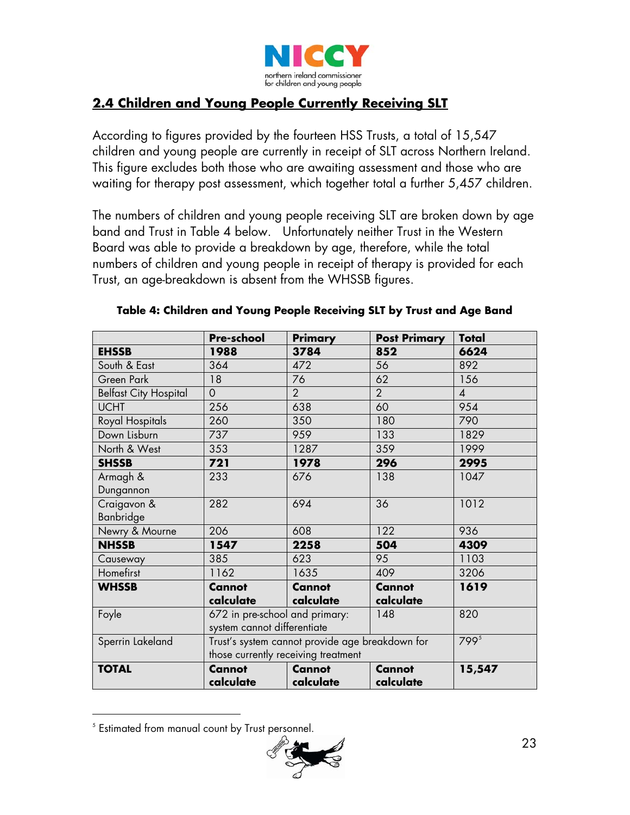

# **2.4 Children and Young People Currently Receiving SLT**

According to figures provided by the fourteen HSS Trusts, a total of 15,547 children and young people are currently in receipt of SLT across Northern Ireland. This figure excludes both those who are awaiting assessment and those who are waiting for therapy post assessment, which together total a further 5,457 children.

The numbers of children and young people receiving SLT are broken down by age band and Trust in Table 4 below. Unfortunately neither Trust in the Western Board was able to provide a breakdown by age, therefore, while the total numbers of children and young people in receipt of therapy is provided for each Trust, an age-breakdown is absent from the WHSSB figures.

|                              | <b>Pre-school</b>                               | <b>Primary</b> | <b>Post Primary</b> | <b>Total</b>              |
|------------------------------|-------------------------------------------------|----------------|---------------------|---------------------------|
| <b>EHSSB</b>                 | 1988                                            | 3784           | 852                 | 6624                      |
| South & East                 | 364                                             | 472            | 56                  | 892                       |
| Green Park                   | 18                                              | 76             | 62                  | 156                       |
| <b>Belfast City Hospital</b> | $\Omega$                                        | $\overline{2}$ | $\overline{2}$      | $\boldsymbol{\varLambda}$ |
| <b>UCHT</b>                  | 256                                             | 638            | 60                  | 954                       |
| Royal Hospitals              | 260                                             | 350            | 180                 | 790                       |
| Down Lisburn                 | 737                                             | 959            | 133                 | 1829                      |
| North & West                 | 353                                             | 1287           | 359                 | 1999                      |
| <b>SHSSB</b>                 | 721                                             | 1978           | 296                 | 2995                      |
| Armagh &                     | 233                                             | 676            | 138                 | 1047                      |
| Dungannon                    |                                                 |                |                     |                           |
| Craigavon &                  | 282                                             | 694            | 36                  | 1012                      |
| <b>Banbridge</b>             |                                                 |                |                     |                           |
| Newry & Mourne               | 206                                             | 608            | 122                 | 936                       |
| <b>NHSSB</b>                 | 1547                                            | 2258           | 504                 | 4309                      |
| Causeway                     | 385                                             | 623            | 95                  | 1103                      |
| Homefirst                    | 1162                                            | 1635           | 409                 | 3206                      |
| <b>WHSSB</b>                 | <b>Cannot</b>                                   | <b>Cannot</b>  | <b>Cannot</b>       | 1619                      |
|                              | calculate                                       | calculate      | calculate           |                           |
| Foyle                        | 672 in pre-school and primary:                  |                | 148                 | 820                       |
|                              | system cannot differentiate                     |                |                     |                           |
| Sperrin Lakeland             | Trust's system cannot provide age breakdown for |                | 799 <sup>5</sup>    |                           |
|                              | those currently receiving treatment             |                |                     |                           |
| <b>TOTAL</b>                 | <b>Cannot</b>                                   | <b>Cannot</b>  | <b>Cannot</b>       | 15,547                    |
|                              | calculate                                       | calculate      | calculate           |                           |

### **Table 4: Children and Young People Receiving SLT by Trust and Age Band**

 $\overline{a}$ 



<span id="page-22-0"></span><sup>5</sup> Estimated from manual count by Trust personnel.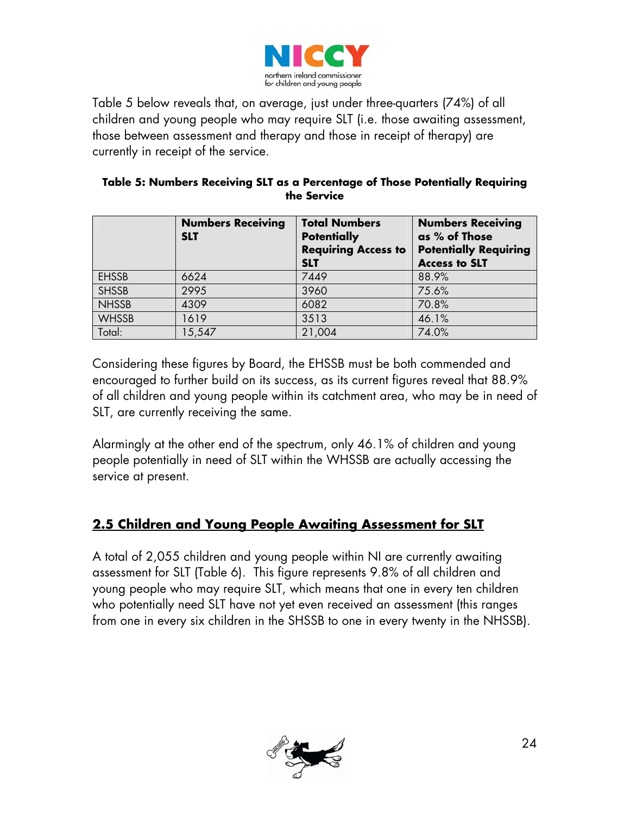

Table 5 below reveals that, on average, just under three-quarters (74%) of all children and young people who may require SLT (i.e. those awaiting assessment, those between assessment and therapy and those in receipt of therapy) are currently in receipt of the service.

|              | <b>Numbers Receiving</b><br><b>SLT</b> | <b>Total Numbers</b><br><b>Potentially</b><br><b>Requiring Access to</b><br><b>SLT</b> | <b>Numbers Receiving</b><br>as % of Those<br><b>Potentially Requiring</b><br><b>Access to SLT</b> |
|--------------|----------------------------------------|----------------------------------------------------------------------------------------|---------------------------------------------------------------------------------------------------|
| <b>EHSSB</b> | 6624                                   | 7449                                                                                   | 88.9%                                                                                             |
| SHSSB        | 2995                                   | 3960                                                                                   | 75.6%                                                                                             |
| <b>NHSSB</b> | 4309                                   | 6082                                                                                   | 70.8%                                                                                             |
| <b>WHSSB</b> | 1619                                   | 3513                                                                                   | 46.1%                                                                                             |
| Total:       | 5,547                                  | 21,004                                                                                 | 74.0%                                                                                             |

### **Table 5: Numbers Receiving SLT as a Percentage of Those Potentially Requiring the Service**

Considering these figures by Board, the EHSSB must be both commended and encouraged to further build on its success, as its current figures reveal that 88.9% of all children and young people within its catchment area, who may be in need of SLT, are currently receiving the same.

Alarmingly at the other end of the spectrum, only 46.1% of children and young people potentially in need of SLT within the WHSSB are actually accessing the service at present.

## **2.5 Children and Young People Awaiting Assessment for SLT**

A total of 2,055 children and young people within NI are currently awaiting assessment for SLT (Table 6). This figure represents 9.8% of all children and young people who may require SLT, which means that one in every ten children who potentially need SLT have not yet even received an assessment (this ranges from one in every six children in the SHSSB to one in every twenty in the NHSSB).

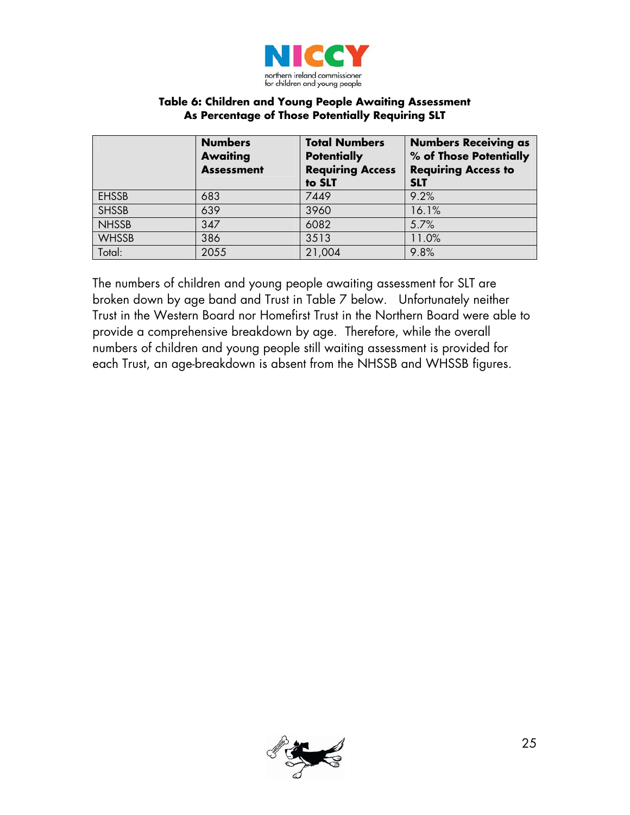

### **Table 6: Children and Young People Awaiting Assessment As Percentage of Those Potentially Requiring SLT**

|              | <b>Numbers</b><br><b>Awaiting</b><br><b>Assessment</b> | <b>Total Numbers</b><br><b>Potentially</b><br><b>Requiring Access</b><br>to SLT | <b>Numbers Receiving as</b><br>% of Those Potentially<br><b>Requiring Access to</b><br><b>SLT</b> |
|--------------|--------------------------------------------------------|---------------------------------------------------------------------------------|---------------------------------------------------------------------------------------------------|
| <b>EHSSB</b> | 683                                                    | 7449                                                                            | 9.2%                                                                                              |
| <b>SHSSB</b> | 639                                                    | 3960                                                                            | 16.1%                                                                                             |
| <b>NHSSB</b> | 347                                                    | 6082                                                                            | 5.7%                                                                                              |
| <b>WHSSB</b> | 386                                                    | 3513                                                                            | 11.0%                                                                                             |
| Total:       | 2055                                                   | 21,004                                                                          | 9.8%                                                                                              |

The numbers of children and young people awaiting assessment for SLT are broken down by age band and Trust in Table 7 below. Unfortunately neither Trust in the Western Board nor Homefirst Trust in the Northern Board were able to provide a comprehensive breakdown by age. Therefore, while the overall numbers of children and young people still waiting assessment is provided for each Trust, an age-breakdown is absent from the NHSSB and WHSSB figures.

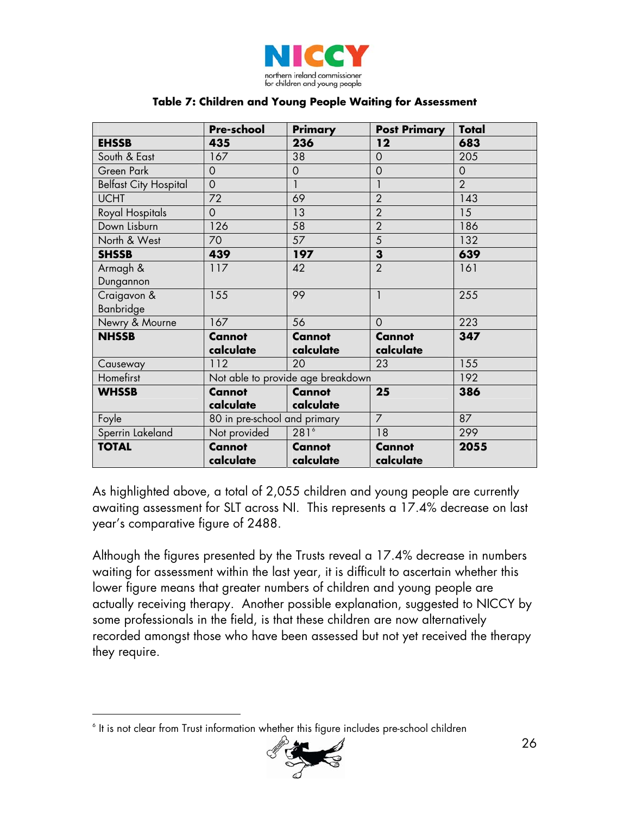

#### **Table 7: Children and Young People Waiting for Assessment**

|                              | <b>Pre-school</b>            | <b>Primary</b>                    | <b>Post Primary</b> | <b>Total</b>   |
|------------------------------|------------------------------|-----------------------------------|---------------------|----------------|
| <b>EHSSB</b>                 | 435                          | 236                               | 12                  | 683            |
| South & East                 | 167                          | 38                                | $\mathbf 0$         | 205            |
| Green Park                   | $\overline{O}$               | $\mathbf 0$                       | $\mathbf 0$         | $\circ$        |
| <b>Belfast City Hospital</b> | $\overline{O}$               | $\mathbf{1}$                      | $\mathbf{I}$        | $\overline{2}$ |
| <b>UCHT</b>                  | 72                           | 69                                | $\overline{2}$      | 143            |
| Royal Hospitals              | $\overline{0}$               | 13                                | $\overline{2}$      | 15             |
| Down Lisburn                 | 126                          | 58                                | $\overline{2}$      | 186            |
| North & West                 | 70                           | 57                                | $\overline{5}$      | 132            |
| <b>SHSSB</b>                 | 439                          | 197                               | $\mathbf{3}$        | 639            |
| Armagh &                     | 117                          | 42                                | $\overline{2}$      | 161            |
| Dungannon                    |                              |                                   |                     |                |
| Craigavon &                  | 155                          | 99                                | $\mathbf{1}$        | 255            |
| Banbridge                    |                              |                                   |                     |                |
| Newry & Mourne               | 167                          | 56                                | $\Omega$            | 223            |
| <b>NHSSB</b>                 | <b>Cannot</b>                | <b>Cannot</b>                     | <b>Cannot</b>       | 347            |
|                              | calculate                    | calculate                         | calculate           |                |
| Causeway                     | 112                          | 20                                | 23                  | 155            |
| Homefirst                    |                              | Not able to provide age breakdown |                     | 192            |
| <b>WHSSB</b>                 | <b>Cannot</b>                | <b>Cannot</b>                     | 25                  | 386            |
|                              | calculate                    | calculate                         |                     |                |
| Foyle                        | 80 in pre-school and primary |                                   | $\overline{7}$      | 87             |
| Sperrin Lakeland             | Not provided                 | $281^6$                           | 18                  | 299            |
| <b>TOTAL</b>                 | <b>Cannot</b>                | <b>Cannot</b>                     | <b>Cannot</b>       | 2055           |
|                              | calculate                    | calculate                         | calculate           |                |

As highlighted above, a total of 2,055 children and young people are currently awaiting assessment for SLT across NI. This represents a 17.4% decrease on last year's comparative figure of 2488.

Although the figures presented by the Trusts reveal a 17.4% decrease in numbers waiting for assessment within the last year, it is difficult to ascertain whether this lower figure means that greater numbers of children and young people are actually receiving therapy. Another possible explanation, suggested to NICCY by some professionals in the field, is that these children are now alternatively recorded amongst those who have been assessed but not yet received the therapy they require.

<span id="page-25-0"></span> 6 It is not clear from Trust information whether this figure includes pre-school children

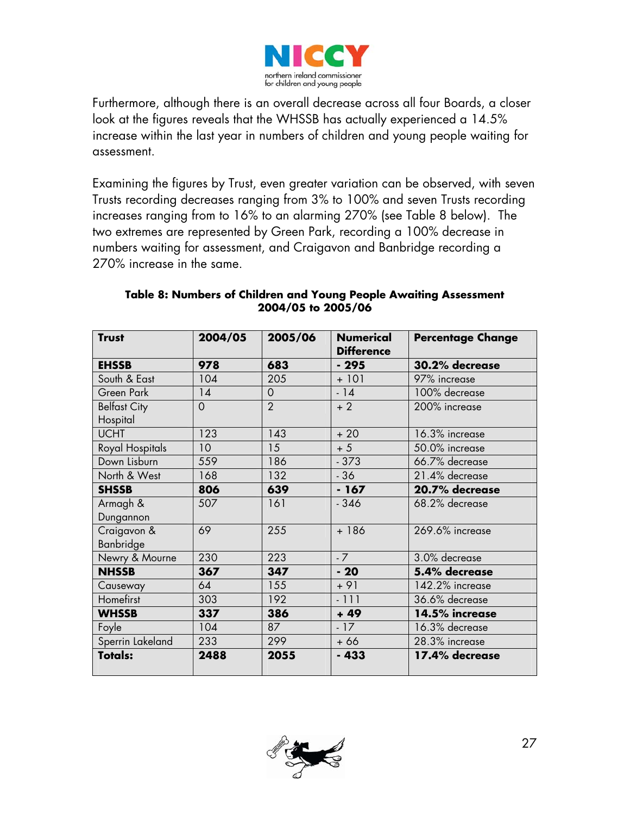

Furthermore, although there is an overall decrease across all four Boards, a closer look at the figures reveals that the WHSSB has actually experienced a 14.5% increase within the last year in numbers of children and young people waiting for assessment.

Examining the figures by Trust, even greater variation can be observed, with seven Trusts recording decreases ranging from 3% to 100% and seven Trusts recording increases ranging from to 16% to an alarming 270% (see Table 8 below). The two extremes are represented by Green Park, recording a 100% decrease in numbers waiting for assessment, and Craigavon and Banbridge recording a 270% increase in the same.

| <b>Trust</b>        | 2004/05         | 2005/06        | <b>Numerical</b><br><b>Difference</b> | <b>Percentage Change</b> |
|---------------------|-----------------|----------------|---------------------------------------|--------------------------|
| <b>EHSSB</b>        | 978             | 683            | $-295$                                | 30.2% decrease           |
| South & East        | 104             | 205            | $+101$                                | 97% increase             |
| Green Park          | 14              | $\overline{O}$ | $-14$                                 | 100% decrease            |
| <b>Belfast City</b> | $\overline{0}$  | $\overline{2}$ | $+2$                                  | 200% increase            |
| Hospital            |                 |                |                                       |                          |
| <b>UCHT</b>         | 123             | 143            | $+20$                                 | 16.3% increase           |
| Royal Hospitals     | 10 <sup>°</sup> | 15             | $+5$                                  | 50.0% increase           |
| Down Lisburn        | 559             | 186            | $-373$                                | 66.7% decrease           |
| North & West        | 168             | 132            | $-36$                                 | 21.4% decrease           |
| <b>SHSSB</b>        | 806             | 639            | $-167$                                | 20.7% decrease           |
| Armagh &            | 507             | 161            | $-346$                                | 68.2% decrease           |
| Dungannon           |                 |                |                                       |                          |
| Craigavon &         | 69              | 255            | $+186$                                | 269.6% increase          |
| Banbridge           |                 |                |                                       |                          |
| Newry & Mourne      | 230             | 223            | $-7$                                  | 3.0% decrease            |
| <b>NHSSB</b>        | 367             | 347            | $-20$                                 | 5.4% decrease            |
| Causeway            | 64              | 155            | $+91$                                 | 142.2% increase          |
| Homefirst           | 303             | 192            | $-111$                                | 36.6% decrease           |
| <b>WHSSB</b>        | 337             | 386            | $+49$                                 | 14.5% increase           |
| Foyle               | 104             | 87             | $-17$                                 | 16.3% decrease           |
| Sperrin Lakeland    | 233             | 299            | $+66$                                 | 28.3% increase           |
| <b>Totals:</b>      | 2488            | 2055           | $-433$                                | 17.4% decrease           |

### **Table 8: Numbers of Children and Young People Awaiting Assessment 2004/05 to 2005/06**

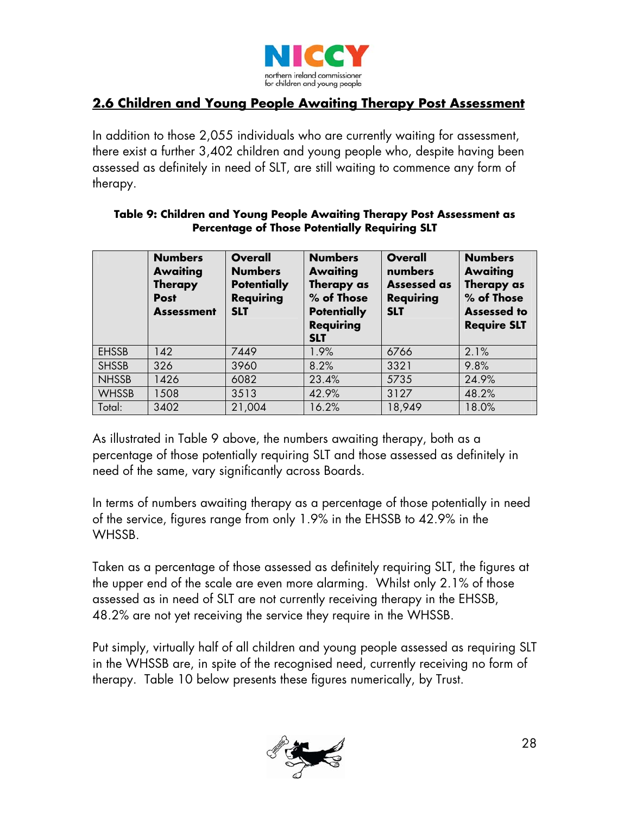

## **2.6 Children and Young People Awaiting Therapy Post Assessment**

In addition to those 2,055 individuals who are currently waiting for assessment, there exist a further 3,402 children and young people who, despite having been assessed as definitely in need of SLT, are still waiting to commence any form of therapy.

### **Table 9: Children and Young People Awaiting Therapy Post Assessment as Percentage of Those Potentially Requiring SLT**

|              | <b>Numbers</b><br><b>Awaiting</b><br><b>Therapy</b><br><b>Post</b><br><b>Assessment</b> | <b>Overall</b><br><b>Numbers</b><br><b>Potentially</b><br><b>Requiring</b><br><b>SLT</b> | <b>Numbers</b><br><b>Awaiting</b><br>Therapy as<br>% of Those<br><b>Potentially</b><br><b>Requiring</b><br><b>SLT</b> | <b>Overall</b><br>numbers<br><b>Assessed as</b><br><b>Requiring</b><br><b>SLT</b> | <b>Numbers</b><br><b>Awaiting</b><br>Therapy as<br>% of Those<br><b>Assessed to</b><br><b>Require SLT</b> |
|--------------|-----------------------------------------------------------------------------------------|------------------------------------------------------------------------------------------|-----------------------------------------------------------------------------------------------------------------------|-----------------------------------------------------------------------------------|-----------------------------------------------------------------------------------------------------------|
| <b>EHSSB</b> | 142                                                                                     | 7449                                                                                     | 1.9%                                                                                                                  | 6766                                                                              | 2.1%                                                                                                      |
| <b>SHSSB</b> | 326                                                                                     | 3960                                                                                     | 8.2%                                                                                                                  | 3321                                                                              | 9.8%                                                                                                      |
| <b>NHSSB</b> | 1426                                                                                    | 6082                                                                                     | 23.4%                                                                                                                 | 5735                                                                              | 24.9%                                                                                                     |
| <b>WHSSB</b> | 1508                                                                                    | 3513                                                                                     | 42.9%                                                                                                                 | 3127                                                                              | 48.2%                                                                                                     |
| Total:       | 3402                                                                                    | 21,004                                                                                   | 16.2%                                                                                                                 | 18,949                                                                            | 18.0%                                                                                                     |

As illustrated in Table 9 above, the numbers awaiting therapy, both as a percentage of those potentially requiring SLT and those assessed as definitely in need of the same, vary significantly across Boards.

In terms of numbers awaiting therapy as a percentage of those potentially in need of the service, figures range from only 1.9% in the EHSSB to 42.9% in the WHSSB.

Taken as a percentage of those assessed as definitely requiring SLT, the figures at the upper end of the scale are even more alarming. Whilst only 2.1% of those assessed as in need of SLT are not currently receiving therapy in the EHSSB, 48.2% are not yet receiving the service they require in the WHSSB.

Put simply, virtually half of all children and young people assessed as requiring SLT in the WHSSB are, in spite of the recognised need, currently receiving no form of therapy. Table 10 below presents these figures numerically, by Trust.

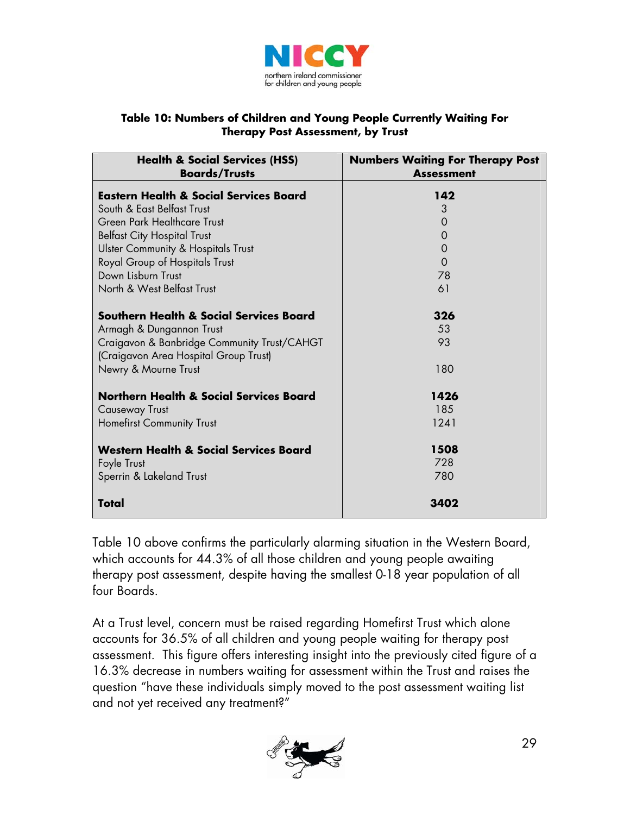

### **Table 10: Numbers of Children and Young People Currently Waiting For Therapy Post Assessment, by Trust**

| <b>Health &amp; Social Services (HSS)</b><br><b>Boards/Trusts</b>                    | <b>Numbers Waiting For Therapy Post</b><br><b>Assessment</b> |
|--------------------------------------------------------------------------------------|--------------------------------------------------------------|
| <b>Eastern Health &amp; Social Services Board</b>                                    | 142                                                          |
| South & East Belfast Trust                                                           | 3                                                            |
| Green Park Healthcare Trust                                                          | $\overline{0}$                                               |
| <b>Belfast City Hospital Trust</b>                                                   | $\mathbf 0$                                                  |
| <b>Ulster Community &amp; Hospitals Trust</b>                                        | $\mathbf 0$                                                  |
| Royal Group of Hospitals Trust                                                       | $\overline{O}$                                               |
| Down Lisburn Trust                                                                   | 78                                                           |
| North & West Belfast Trust                                                           | 61                                                           |
| <b>Southern Health &amp; Social Services Board</b>                                   | 326                                                          |
| Armagh & Dungannon Trust                                                             | 53                                                           |
| Craigavon & Banbridge Community Trust/CAHGT<br>(Craigavon Area Hospital Group Trust) | 93                                                           |
| Newry & Mourne Trust                                                                 | 180                                                          |
| <b>Northern Health &amp; Social Services Board</b>                                   | 1426                                                         |
| <b>Causeway Trust</b>                                                                | 185                                                          |
| <b>Homefirst Community Trust</b>                                                     | 1241                                                         |
| <b>Western Health &amp; Social Services Board</b>                                    | 1508                                                         |
| Foyle Trust                                                                          | 728                                                          |
| Sperrin & Lakeland Trust                                                             | 780                                                          |
| Total                                                                                | 3402                                                         |

Table 10 above confirms the particularly alarming situation in the Western Board, which accounts for 44.3% of all those children and young people awaiting therapy post assessment, despite having the smallest 0-18 year population of all four Boards.

At a Trust level, concern must be raised regarding Homefirst Trust which alone accounts for 36.5% of all children and young people waiting for therapy post assessment. This figure offers interesting insight into the previously cited figure of a 16.3% decrease in numbers waiting for assessment within the Trust and raises the question "have these individuals simply moved to the post assessment waiting list and not yet received any treatment?"

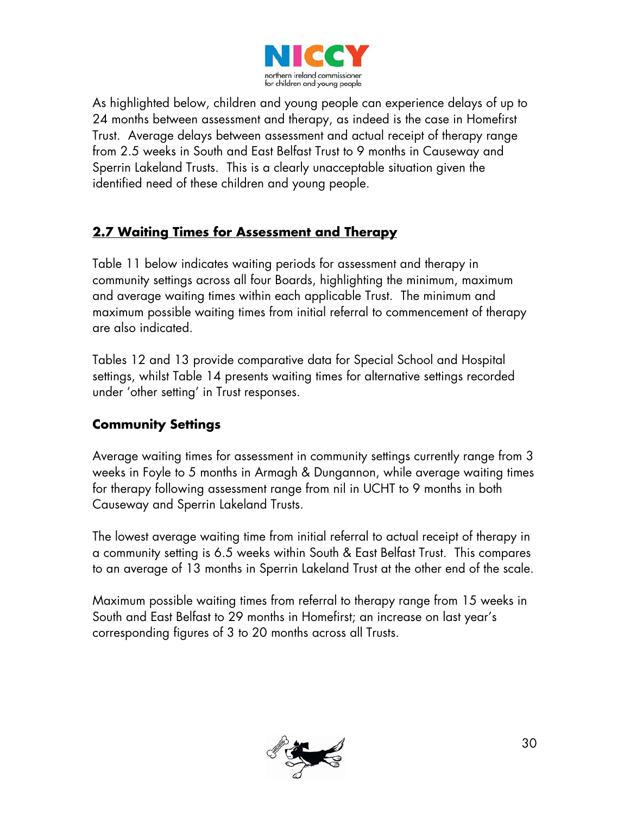

As highlighted below, children and young people can experience delays of up to 24 months between assessment and therapy, as indeed is the case in Homefirst Trust. Average delays between assessment and actual receipt of therapy range from 2.5 weeks in South and East Belfast Trust to 9 months in Causeway and Sperrin Lakeland Trusts. This is a clearly unacceptable situation given the identified need of these children and young people.

# **2.7 Waiting Times for Assessment and Therapy**

Table 11 below indicates waiting periods for assessment and therapy in community settings across all four Boards, highlighting the minimum, maximum and average waiting times within each applicable Trust. The minimum and maximum possible waiting times from initial referral to commencement of therapy are also indicated.

Tables 12 and 13 provide comparative data for Special School and Hospital settings, whilst Table 14 presents waiting times for alternative settings recorded under 'other setting' in Trust responses.

## **Community Settings**

Average waiting times for assessment in community settings currently range from 3 weeks in Foyle to 5 months in Armagh & Dungannon, while average waiting times for therapy following assessment range from nil in UCHT to 9 months in both Causeway and Sperrin Lakeland Trusts.

The lowest average waiting time from initial referral to actual receipt of therapy in a community setting is 6.5 weeks within South & East Belfast Trust. This compares to an average of 13 months in Sperrin Lakeland Trust at the other end of the scale.

Maximum possible waiting times from referral to therapy range from 15 weeks in South and East Belfast to 29 months in Homefirst; an increase on last year's corresponding figures of 3 to 20 months across all Trusts.

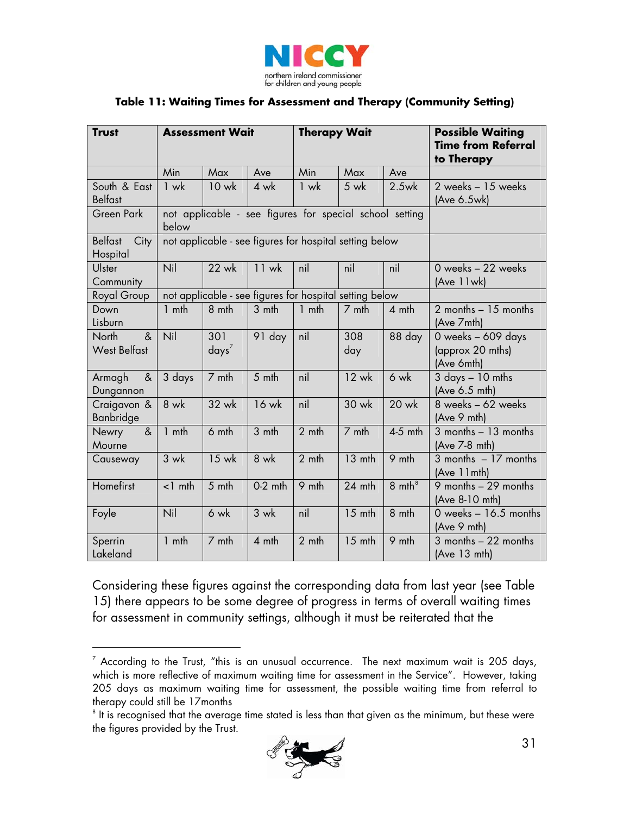

### **Table 11: Waiting Times for Assessment and Therapy (Community Setting)**

| <b>Trust</b>                       | <b>Assessment Wait</b> |                 |           | <b>Therapy Wait</b> |                                                         |                   | <b>Possible Waiting</b><br><b>Time from Referral</b><br>to Therapy |
|------------------------------------|------------------------|-----------------|-----------|---------------------|---------------------------------------------------------|-------------------|--------------------------------------------------------------------|
|                                    | Min                    | Max             | Ave       | Min                 | Max                                                     | Ave               |                                                                    |
| South & East<br><b>Belfast</b>     | $1$ wk                 | $10$ wk         | 4 wk      | 1 wk                | $5 \text{ wk}$                                          | $2.5$ wk          | 2 weeks - 15 weeks<br>(Ave 6.5wk)                                  |
| <b>Green Park</b>                  | below                  |                 |           |                     | not applicable - see figures for special school setting |                   |                                                                    |
| <b>Belfast</b><br>City<br>Hospital |                        |                 |           |                     | not applicable - see figures for hospital setting below |                   |                                                                    |
| Ulster<br>Community                | Nil                    | 22 wk           | $11$ wk   | nil                 | nil                                                     | nil               | 0 weeks - 22 weeks<br>(Ave 11wk)                                   |
| Royal Group                        |                        |                 |           |                     | not applicable - see figures for hospital setting below |                   |                                                                    |
| Down<br>Lisburn                    | $1$ mth                | 8 mth           | 3 mth     | $1$ mth             | 7 mth                                                   | 4 mth             | $2$ months $-15$ months<br>(Ave 7mth)                              |
| &<br>North<br><b>West Belfast</b>  | Nil                    | 301<br>$days^7$ | 91 day    | nil                 | 308<br>day                                              | 88 day            | 0 weeks - 609 days<br>(approx 20 mths)<br>(Ave 6mth)               |
| $\&$<br>Armagh<br>Dungannon        | 3 days                 | 7 mth           | 5 mth     | nil                 | $12$ wk                                                 | 6 wk              | $3$ days $-10$ mths<br>(Ave 6.5 mth)                               |
| Craigavon &<br>Banbridge           | 8 wk                   | 32 wk           | 16 wk     | nil                 | 30 wk                                                   | 20 wk             | 8 weeks - 62 weeks<br>(Ave 9 mth)                                  |
| $\alpha$<br>Newry<br>Mourne        | $1$ mth                | 6 mth           | 3 mth     | 2 <sub>mth</sub>    | 7 mth                                                   | $4-5$ mth         | $3$ months $-13$ months<br>(Ave 7-8 mth)                           |
| Causeway                           | $3$ wk                 | 15 wk           | $8$ wk    | $2$ mth             | $\overline{1}3$ mth                                     | 9 mth             | $3$ months $-17$ months<br>(Ave 11mth)                             |
| Homefirst                          | $<$ 1 mth              | 5 mth           | $0-2$ mth | 9 mth               | 24 mth                                                  | $8 \text{ mth}^8$ | 9 months $-29$ months<br>(Ave 8-10 mth)                            |
| Foyle                              | Nil                    | 6 wk            | $3$ wk    | nil                 | $15$ mth                                                | 8 mth             | 0 weeks $-16.5$ months<br>(Ave 9 mth)                              |
| Sperrin<br>Lakeland                | $1$ mth                | 7 mth           | 4 mth     | 2 mth               | $15$ mth                                                | 9 mth             | $3$ months $-22$ months<br>(Ave 13 mth)                            |

Considering these figures against the corresponding data from last year (see Table 15) there appears to be some degree of progress in terms of overall waiting times for assessment in community settings, although it must be reiterated that the

 $\overline{a}$ 

<span id="page-30-1"></span> $^{\circ}$  It is recognised that the average time stated is less than that given as the minimum, but these were  $\,$ the figures provided by the Trust.



<span id="page-30-0"></span> $^7$  According to the Trust, "this is an unusual occurrence. The next maximum wait is 205 days, which is more reflective of maximum waiting time for assessment in the Service". However, taking 205 days as maximum waiting time for assessment, the possible waiting time from referral to therapy could still be 17months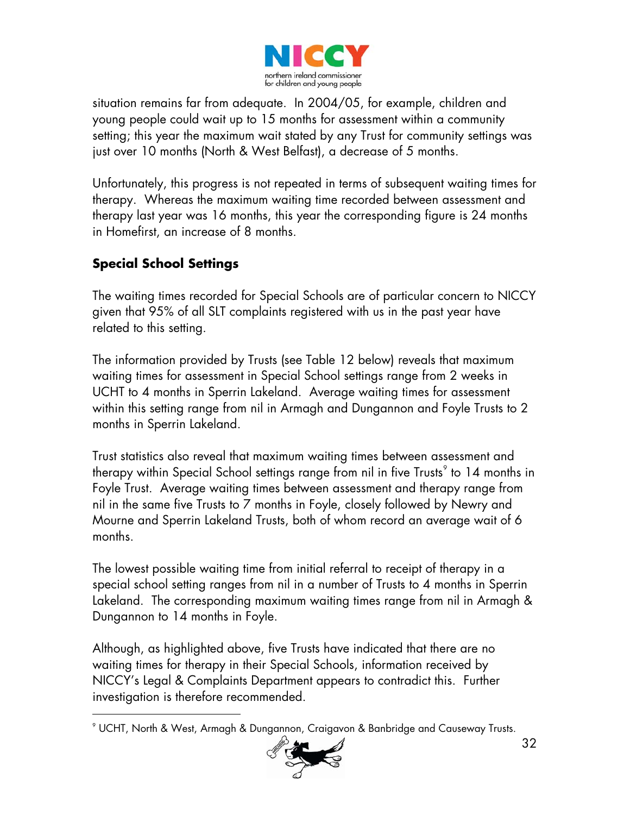

situation remains far from adequate. In 2004/05, for example, children and young people could wait up to 15 months for assessment within a community setting; this year the maximum wait stated by any Trust for community settings was just over 10 months (North & West Belfast), a decrease of 5 months.

Unfortunately, this progress is not repeated in terms of subsequent waiting times for therapy. Whereas the maximum waiting time recorded between assessment and therapy last year was 16 months, this year the corresponding figure is 24 months in Homefirst, an increase of 8 months.

## **Special School Settings**

-

The waiting times recorded for Special Schools are of particular concern to NICCY given that 95% of all SLT complaints registered with us in the past year have related to this setting.

The information provided by Trusts (see Table 12 below) reveals that maximum waiting times for assessment in Special School settings range from 2 weeks in UCHT to 4 months in Sperrin Lakeland. Average waiting times for assessment within this setting range from nil in Armagh and Dungannon and Foyle Trusts to 2 months in Sperrin Lakeland.

Trust statistics also reveal that maximum waiting times between assessment and therapy within Special School settings range from nil in five Trusts $^{\circ}$  to 14 months in Foyle Trust. Average waiting times between assessment and therapy range from nil in the same five Trusts to 7 months in Foyle, closely followed by Newry and Mourne and Sperrin Lakeland Trusts, both of whom record an average wait of 6 months.

The lowest possible waiting time from initial referral to receipt of therapy in a special school setting ranges from nil in a number of Trusts to 4 months in Sperrin Lakeland. The corresponding maximum waiting times range from nil in Armagh & Dungannon to 14 months in Foyle.

Although, as highlighted above, five Trusts have indicated that there are no waiting times for therapy in their Special Schools, information received by NICCY's Legal & Complaints Department appears to contradict this. Further investigation is therefore recommended.

<span id="page-31-0"></span> $^\circ$  UCHT, North & West, Armagh & Dungannon, Craigavon & Banbridge and Causeway Trusts.

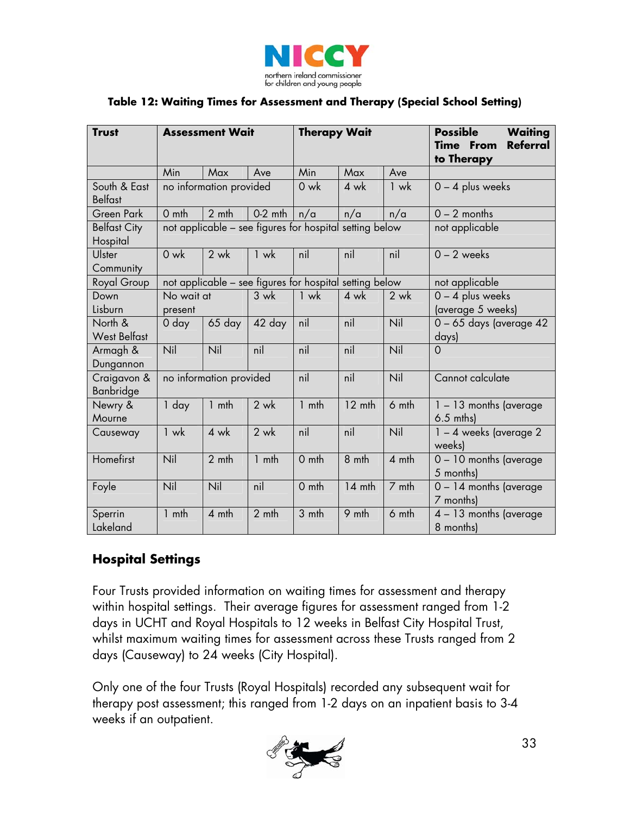

### **Table 12: Waiting Times for Assessment and Therapy (Special School Setting)**

| <b>Trust</b>                    | <b>Assessment Wait</b>                                  |                |           | <b>Therapy Wait</b> |        |        | <b>Possible</b><br><b>Waiting</b><br><b>Referral</b><br><b>Time From</b><br>to Therapy |  |
|---------------------------------|---------------------------------------------------------|----------------|-----------|---------------------|--------|--------|----------------------------------------------------------------------------------------|--|
|                                 | Min                                                     | Max            | Ave       | Min                 | Max    | Ave    |                                                                                        |  |
| South & East<br><b>Belfast</b>  | no information provided                                 |                |           | 0 wk                | 4 wk   | $1$ wk | $0 - 4$ plus weeks                                                                     |  |
| <b>Green Park</b>               | $0$ mth                                                 | 2 mth          | $0-2$ mth | n/a                 | n/a    | n/a    | $0 - 2$ months                                                                         |  |
| <b>Belfast City</b><br>Hospital | not applicable - see figures for hospital setting below |                |           |                     |        |        | not applicable                                                                         |  |
| Ulster<br>Community             | $0$ wk                                                  | $2 \text{ wk}$ | $1$ wk    | nil                 | nil    | nil    | $0 - 2$ weeks                                                                          |  |
| Royal Group                     | not applicable - see figures for hospital setting below |                |           |                     |        |        | not applicable                                                                         |  |
| Down                            | No wait at                                              |                | $3$ wk    | $1$ wk              | $4$ wk | $2$ wk | $0 - 4$ plus weeks                                                                     |  |
| Lisburn                         | present                                                 |                |           |                     |        |        | (average 5 weeks)                                                                      |  |
| North &                         | 0 day                                                   | 65 day         | 42 day    | nil                 | nil    | Nil    | 0 - 65 days (average 42                                                                |  |
| <b>West Belfast</b>             |                                                         |                |           |                     |        |        | days)                                                                                  |  |
| Armagh &<br>Dungannon           | Nil                                                     | Nil            | nil       | nil                 | nil    | Nil    | $\overline{O}$                                                                         |  |
| Craigavon &<br>Banbridge        | no information provided                                 |                |           | nil                 | nil    | Nil    | Cannot calculate                                                                       |  |
| Newry &<br>Mourne               | 1 day                                                   | $1$ mth        | $2$ wk    | 1 mth               | 12 mth | 6 mth  | $1 - 13$ months (average<br>$6.5$ mths)                                                |  |
| Causeway                        | $1$ wk                                                  | 4 wk           | $2$ wk    | nil                 | nil    | Nil    | $1 - 4$ weeks (average 2)<br>weeks)                                                    |  |
| Homefirst                       | Nil                                                     | 2 mth          | $1$ mth   | 0 mth               | 8 mth  | 4 mth  | $\overline{0}$ – 10 months (average<br>5 months)                                       |  |
| Foyle                           | Nil                                                     | Nil            | nil       | 0 mth               | 14 mth | 7 mth  | $0 - 14$ months (average<br>7 months)                                                  |  |
| Sperrin<br>Lakeland             | $1$ mth                                                 | 4 mth          | $2$ mth   | 3 mth               | 9 mth  | 6 mth  | 4 - 13 months (average<br>8 months)                                                    |  |

## **Hospital Settings**

Four Trusts provided information on waiting times for assessment and therapy within hospital settings. Their average figures for assessment ranged from 1-2 days in UCHT and Royal Hospitals to 12 weeks in Belfast City Hospital Trust, whilst maximum waiting times for assessment across these Trusts ranged from 2 days (Causeway) to 24 weeks (City Hospital).

Only one of the four Trusts (Royal Hospitals) recorded any subsequent wait for therapy post assessment; this ranged from 1-2 days on an inpatient basis to 3-4 weeks if an outpatient.

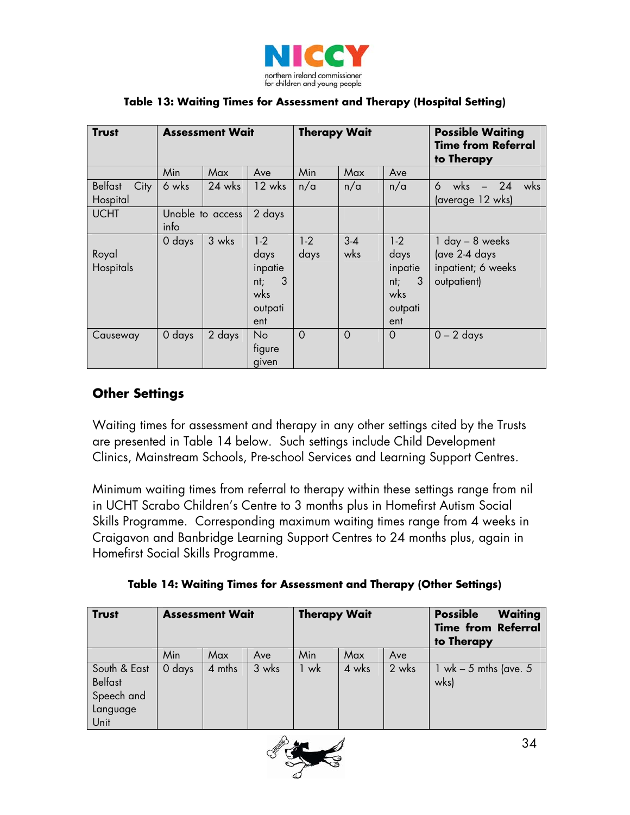

| <b>Trust</b>                       | <b>Assessment Wait</b> |                  |                                                               | <b>Therapy Wait</b> |                |                                                               | <b>Possible Waiting</b><br><b>Time from Referral</b><br>to Therapy        |
|------------------------------------|------------------------|------------------|---------------------------------------------------------------|---------------------|----------------|---------------------------------------------------------------|---------------------------------------------------------------------------|
|                                    | Min                    | Max              | Ave                                                           | Min                 | Max            | Ave                                                           |                                                                           |
| <b>Belfast</b><br>City<br>Hospital | 6 wks                  | 24 wks           | $12 \text{ wks}$                                              | n/a                 | n/a            | n/a                                                           | $-24$<br>wks<br>wks<br>6<br>(average 12 wks)                              |
| <b>UCHT</b>                        | info                   | Unable to access | 2 days                                                        |                     |                |                                                               |                                                                           |
| Royal<br>Hospitals                 | 0 days                 | 3 wks            | $1-2$<br>days<br>inpatie<br>3<br>nt;<br>wks<br>outpati<br>ent | $1-2$<br>days       | $3 - 4$<br>wks | $1-2$<br>days<br>inpatie<br>3<br>nt;<br>wks<br>outpati<br>ent | $1$ day $-$ 8 weeks<br>(ave 2-4 days<br>inpatient; 6 weeks<br>outpatient) |
| Causeway                           | 0 days                 | 2 days           | No.<br>figure<br>given                                        | $\Omega$            | $\Omega$       | $\overline{O}$                                                | $0 - 2$ days                                                              |

### **Table 13: Waiting Times for Assessment and Therapy (Hospital Setting)**

## **Other Settings**

Waiting times for assessment and therapy in any other settings cited by the Trusts are presented in Table 14 below. Such settings include Child Development Clinics, Mainstream Schools, Pre-school Services and Learning Support Centres.

Minimum waiting times from referral to therapy within these settings range from nil in UCHT Scrabo Children's Centre to 3 months plus in Homefirst Autism Social Skills Programme. Corresponding maximum waiting times range from 4 weeks in Craigavon and Banbridge Learning Support Centres to 24 months plus, again in Homefirst Social Skills Programme.

|  |  | Table 14: Waiting Times for Assessment and Therapy (Other Settings) |
|--|--|---------------------------------------------------------------------|
|  |  |                                                                     |

| <b>Trust</b>                                                     | <b>Assessment Wait</b> |        |       | <b>Therapy Wait</b> |       |       | <b>Possible</b><br><b>Waiting</b><br><b>Time from Referral</b><br>to Therapy |
|------------------------------------------------------------------|------------------------|--------|-------|---------------------|-------|-------|------------------------------------------------------------------------------|
|                                                                  | Min                    | Max    | Ave   | Min                 | Max   | Ave   |                                                                              |
| South & East<br><b>Belfast</b><br>Speech and<br>Language<br>Unit | 0 days                 | 4 mths | 3 wks | 1 wk                | 4 wks | 2 wks | 1 wk $-5$ mths (ave. 5<br>wks)                                               |

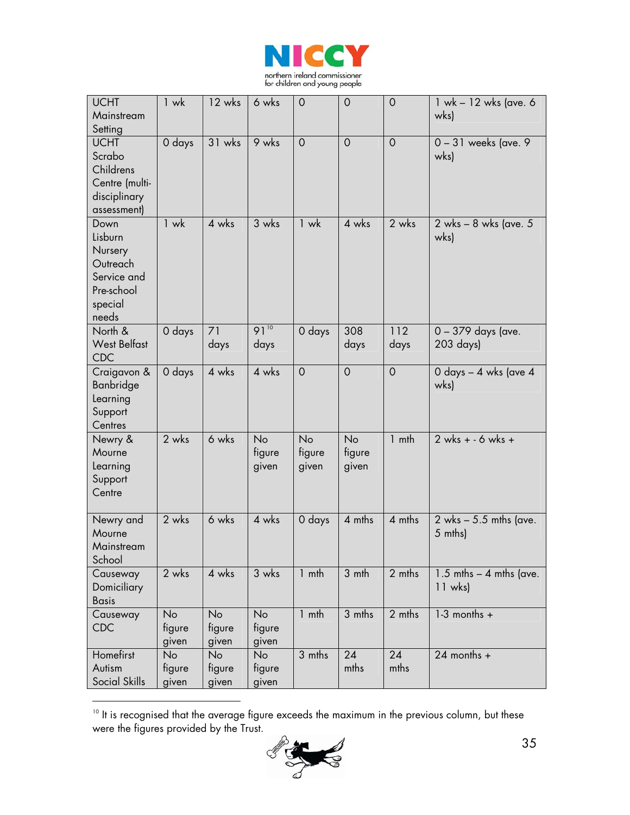

| <b>UCHT</b><br>Mainstream                                                               | 1 wk                  | 12 wks                       | 6 wks                        | 0                     | $\mathbf 0$           | $\overline{0}$ | 1 wk - 12 wks (ave. 6<br>wks)            |
|-----------------------------------------------------------------------------------------|-----------------------|------------------------------|------------------------------|-----------------------|-----------------------|----------------|------------------------------------------|
| Setting                                                                                 |                       |                              |                              |                       |                       |                |                                          |
| <b>UCHT</b><br>Scrabo<br>Childrens<br>Centre (multi-<br>disciplinary<br>assessment)     | 0 days                | 31 wks                       | 9 wks                        | $\overline{0}$        | $\mathbf 0$           | $\overline{0}$ | $0 - 31$ weeks (ave. 9)<br>wks)          |
| Down<br>Lisburn<br>Nursery<br>Outreach<br>Service and<br>Pre-school<br>special<br>needs | $1$ wk                | 4 wks                        | 3 wks                        | $1$ wk                | 4 wks                 | 2 wks          | 2 wks - 8 wks (ave. 5<br>wks)            |
| North &<br><b>West Belfast</b><br><b>CDC</b>                                            | 0 days                | 71<br>days                   | $91^{10}$<br>days            | 0 days                | 308<br>days           | 112<br>days    | 0 - 379 days (ave.<br>203 days)          |
| Craigavon &<br>Banbridge<br>Learning<br>Support<br>Centres                              | 0 days                | 4 wks                        | 4 wks                        | $\overline{O}$        | $\overline{O}$        | $\mathbf 0$    | 0 days – 4 wks (ave 4<br>wks)            |
| Newry &<br>Mourne<br>Learning<br>Support<br>Centre                                      | 2 wks                 | 6 wks                        | No<br>figure<br>given        | No<br>figure<br>given | No<br>figure<br>given | $1$ mth        | $2$ wks + - 6 wks +                      |
| Newry and<br>Mourne<br>Mainstream<br>School                                             | 2 wks                 | 6 wks                        | 4 wks                        | 0 days                | 4 mths                | 4 mths         | $2$ wks $-5.5$ mths (ave.<br>5 mths)     |
| Causeway<br>Domiciliary<br><b>Basis</b>                                                 | 2 wks                 | 4 wks                        | 3 wks                        | $1$ mth               | 3 mth                 | 2 mths         | $1.5$ mths $-$ 4 mths (ave.<br>$11$ wks) |
| Causeway<br><b>CDC</b>                                                                  | No<br>figure<br>given | <b>No</b><br>figure<br>given | <b>No</b><br>figure<br>given | $1$ mth               | 3 mths                | 2 mths         | $1-3$ months +                           |
| Homefirst<br>Autism<br>Social Skills                                                    | No<br>figure<br>given | <b>No</b><br>figure<br>given | No<br>figure<br>given        | 3 mths                | 24<br>mths            | 24<br>mths     | $24$ months +                            |

<span id="page-34-0"></span> $^{\text{\tiny{10}}}$  It is recognised that the average figure exceeds the maximum in the previous column, but these  $^{\text{\tiny{10}}}$ were the figures provided by the Trust.

 $\overline{a}$ 

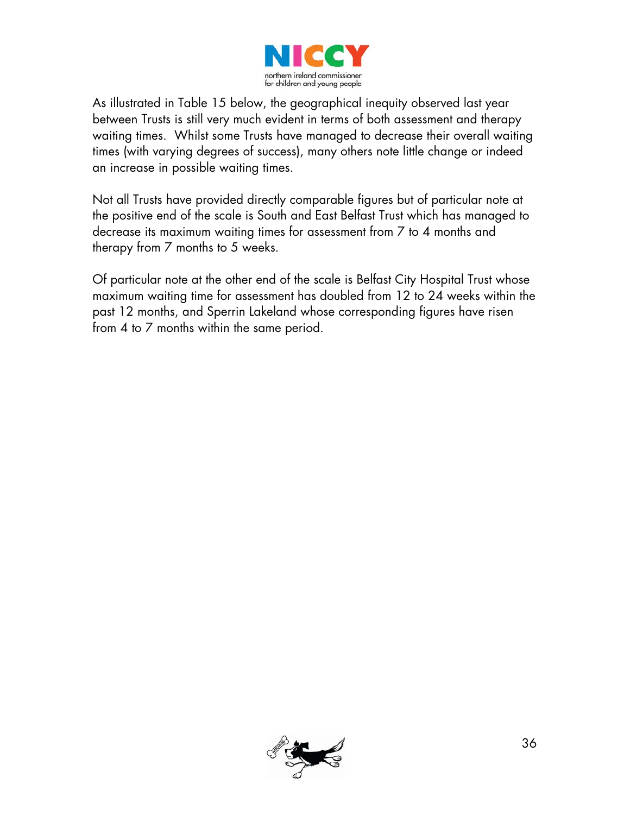

As illustrated in Table 15 below, the geographical inequity observed last year between Trusts is still very much evident in terms of both assessment and therapy waiting times. Whilst some Trusts have managed to decrease their overall waiting times (with varying degrees of success), many others note little change or indeed an increase in possible waiting times.

Not all Trusts have provided directly comparable figures but of particular note at the positive end of the scale is South and East Belfast Trust which has managed to decrease its maximum waiting times for assessment from 7 to 4 months and therapy from 7 months to 5 weeks.

Of particular note at the other end of the scale is Belfast City Hospital Trust whose maximum waiting time for assessment has doubled from 12 to 24 weeks within the past 12 months, and Sperrin Lakeland whose corresponding figures have risen from 4 to 7 months within the same period.

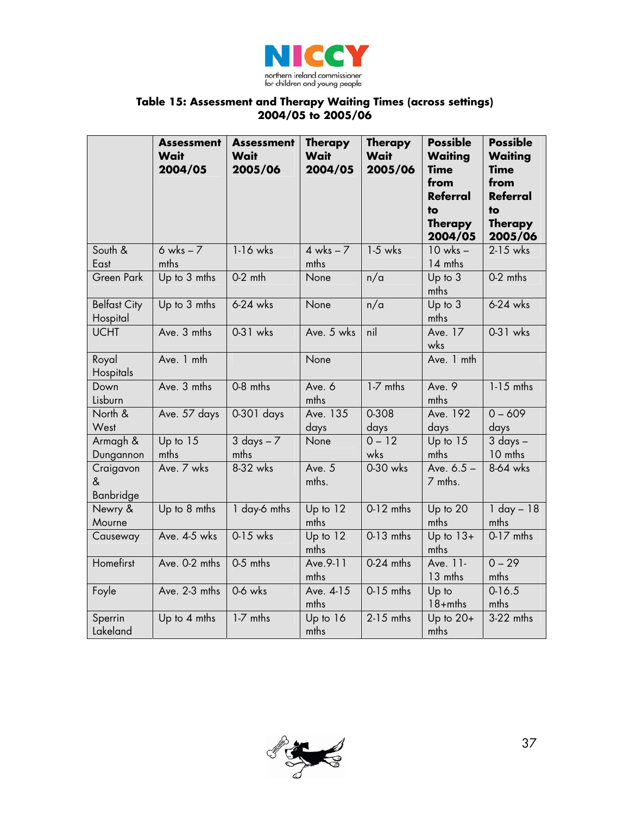

#### **Table 15: Assessment and Therapy Waiting Times (across settings) 2004/05 to 2005/06**

|                                 | <b>Assessment</b><br>Wait<br>2004/05 | <b>Assessment</b><br>Wait<br>2005/06 | <b>Therapy</b><br>Wait<br>2004/05 | <b>Therapy</b><br>Wait<br>2005/06 | <b>Possible</b><br><b>Waiting</b><br><b>Time</b><br>from<br><b>Referral</b><br>to<br><b>Therapy</b><br>2004/05 | <b>Possible</b><br><b>Waiting</b><br><b>Time</b><br>from<br><b>Referral</b><br>to<br><b>Therapy</b><br>2005/06 |
|---------------------------------|--------------------------------------|--------------------------------------|-----------------------------------|-----------------------------------|----------------------------------------------------------------------------------------------------------------|----------------------------------------------------------------------------------------------------------------|
| South &<br>East                 | $6$ wks $-7$<br>mths                 | 1-16 wks                             | $4$ wks $-7$<br>mths              | $1-5$ wks                         | $10$ wks $-$<br>14 mths                                                                                        | 2-15 wks                                                                                                       |
| Green Park                      | Up to 3 mths                         | $0-2$ mth                            | None                              | n/a                               | Up to 3<br>mths                                                                                                | 0-2 mths                                                                                                       |
| <b>Belfast City</b><br>Hospital | Up to 3 mths                         | $6-24$ wks                           | None                              | n/a                               | Up to 3<br>mths                                                                                                | 6-24 wks                                                                                                       |
| <b>UCHT</b>                     | Ave. 3 mths                          | 0-31 wks                             | Ave. 5 wks                        | nil                               | Ave. 17<br>wks                                                                                                 | $0-31$ wks                                                                                                     |
| Royal<br>Hospitals              | Ave. 1 mth                           |                                      | None                              |                                   | Ave. 1 mth                                                                                                     |                                                                                                                |
| Down<br>Lisburn                 | Ave. 3 mths                          | 0-8 mths                             | Ave. 6<br>mths                    | 1-7 mths                          | Ave. 9<br>mths                                                                                                 | $1-15$ mths                                                                                                    |
| North &<br>West                 | Ave. 57 days                         | 0-301 days                           | Ave. 135<br>days                  | 0-308<br>days                     | Ave. 192<br>days                                                                                               | $0 - 609$<br>days                                                                                              |
| Armagh &<br>Dungannon           | Up to 15<br>mths                     | $3$ days $-7$<br>mths                | None                              | $0 - 12$<br>wks                   | Up to 15<br>mths                                                                                               | $3$ days $-$<br>10 mths                                                                                        |
| Craigavon<br>&<br>Banbridge     | Ave. 7 wks                           | 8-32 wks                             | Ave. 5<br>mths.                   | 0-30 wks                          | Ave. $6.5 -$<br>7 mths.                                                                                        | 8-64 wks                                                                                                       |
| Newry &<br>Mourne               | Up to 8 mths                         | 1 day-6 mths                         | Up to 12<br>mths                  | $0-12$ mths                       | Up to 20<br>mths                                                                                               | $1$ day $-18$<br>mths                                                                                          |
| Causeway                        | Ave. 4-5 wks                         | 0-15 wks                             | Up to $12$<br>mths                | $0-13$ mths                       | Up to $13+$<br>mths                                                                                            | $0-17$ mths                                                                                                    |
| Homefirst                       | Ave. 0-2 mths                        | 0-5 mths                             | Ave. 9-11<br>mths                 | 0-24 mths                         | Ave. 11-<br>13 mths                                                                                            | $0 - 29$<br>mths                                                                                               |
| Foyle                           | Ave. 2-3 mths                        | 0-6 wks                              | Ave. 4-15<br>mths                 | $0-15$ mths                       | Up to<br>$18+$ mths                                                                                            | $0-16.5$<br>mths                                                                                               |
| Sperrin<br>Lakeland             | Up to 4 mths                         | 1-7 mths                             | Up to 16<br>mths                  | $2-15$ mths                       | Up to $20+$<br>mths                                                                                            | 3-22 mths                                                                                                      |

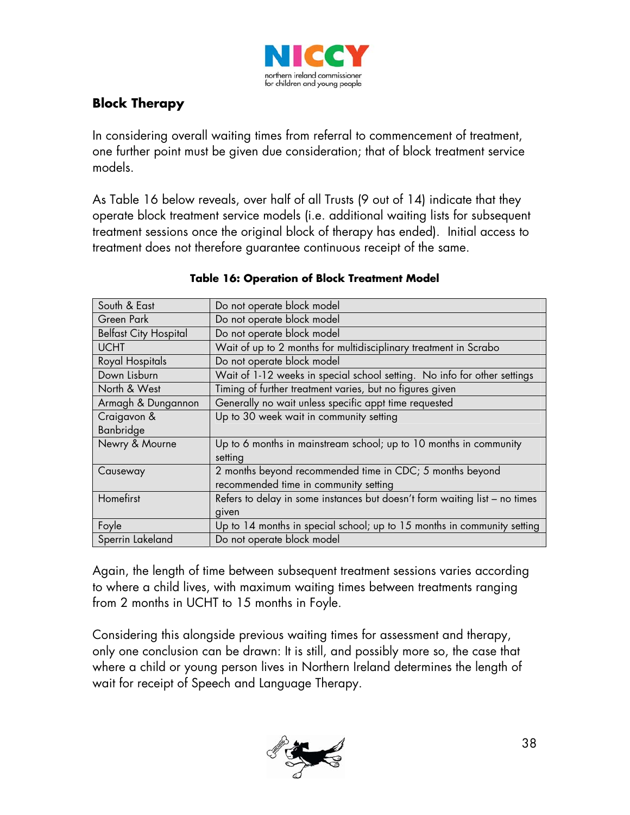

### **Block Therapy**

In considering overall waiting times from referral to commencement of treatment, one further point must be given due consideration; that of block treatment service models.

As Table 16 below reveals, over half of all Trusts (9 out of 14) indicate that they operate block treatment service models (i.e. additional waiting lists for subsequent treatment sessions once the original block of therapy has ended). Initial access to treatment does not therefore guarantee continuous receipt of the same.

| South & East                 | Do not operate block model                                                 |
|------------------------------|----------------------------------------------------------------------------|
| Green Park                   | Do not operate block model                                                 |
| <b>Belfast City Hospital</b> | Do not operate block model                                                 |
| <b>UCHT</b>                  | Wait of up to 2 months for multidisciplinary treatment in Scrabo           |
| Royal Hospitals              | Do not operate block model                                                 |
| Down Lisburn                 | Wait of 1-12 weeks in special school setting. No info for other settings   |
| North & West                 | Timing of further treatment varies, but no figures given                   |
| Armagh & Dungannon           | Generally no wait unless specific appt time requested                      |
| Craigavon &                  | Up to 30 week wait in community setting                                    |
| Banbridge                    |                                                                            |
| Newry & Mourne               | Up to 6 months in mainstream school; up to 10 months in community          |
|                              | setting                                                                    |
| Causeway                     | 2 months beyond recommended time in CDC; 5 months beyond                   |
|                              | recommended time in community setting                                      |
| Homefirst                    | Refers to delay in some instances but doesn't form waiting list - no times |
|                              | given                                                                      |
| Foyle                        | Up to 14 months in special school; up to 15 months in community setting    |
| Sperrin Lakeland             | Do not operate block model                                                 |

#### **Table 16: Operation of Block Treatment Model**

Again, the length of time between subsequent treatment sessions varies according to where a child lives, with maximum waiting times between treatments ranging from 2 months in UCHT to 15 months in Foyle.

Considering this alongside previous waiting times for assessment and therapy, only one conclusion can be drawn: It is still, and possibly more so, the case that where a child or young person lives in Northern Ireland determines the length of wait for receipt of Speech and Language Therapy.

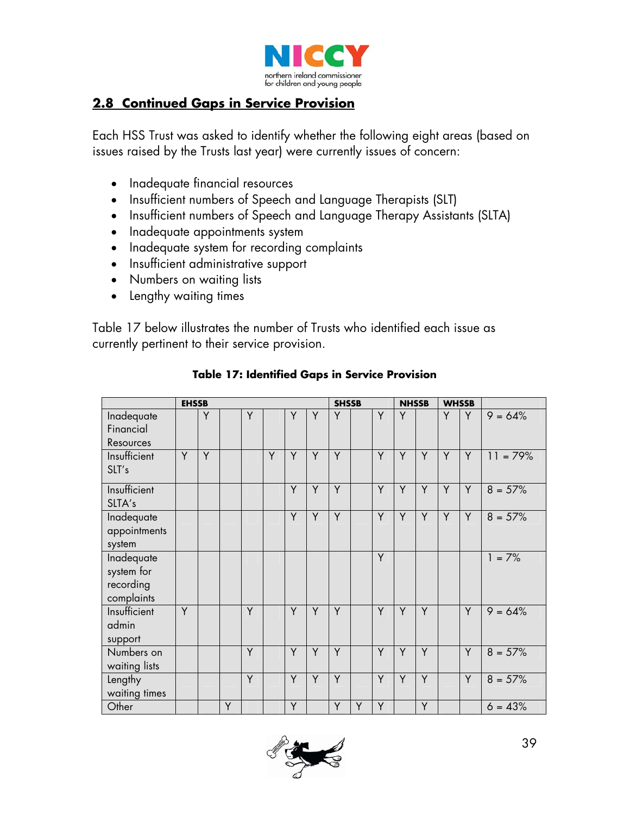

### **2.8 Continued Gaps in Service Provision**

Each HSS Trust was asked to identify whether the following eight areas (based on issues raised by the Trusts last year) were currently issues of concern:

- Inadequate financial resources
- Insufficient numbers of Speech and Language Therapists (SLT)
- Insufficient numbers of Speech and Language Therapy Assistants (SLTA)
- Inadequate appointments system
- Inadequate system for recording complaints
- Insufficient administrative support
- Numbers on waiting lists
- Lengthy waiting times

Table 17 below illustrates the number of Trusts who identified each issue as currently pertinent to their service provision.

|                                                     | <b>EHSSB</b> |   |   |   |   |   |   | <b>SHSSB</b> |   |   | <b>NHSSB</b> |   | <b>WHSSB</b> |   |            |
|-----------------------------------------------------|--------------|---|---|---|---|---|---|--------------|---|---|--------------|---|--------------|---|------------|
| Inadequate<br>Financial<br>Resources                |              | Y |   | Y |   | Y | Y | Y            |   | Y | Y            |   | Y            | Y | $9 = 64\%$ |
| Insufficient<br>SLT's                               | Y            | Y |   |   | Y | Y | Y | Y            |   | Y | Y            | Y | Y            | Y | $11 = 79%$ |
| Insufficient<br>SLTA's                              |              |   |   |   |   | Y | Y | Y            |   | Y | Y            | Y | Y            | Y | $8 = 57%$  |
| Inadequate<br>appointments<br>system                |              |   |   |   |   | Y | Y | Y            |   | Y | Y            | Y | Y            | Y | $8 = 57\%$ |
| Inadequate<br>system for<br>recording<br>complaints |              |   |   |   |   |   |   |              |   | Y |              |   |              |   | $1 = 7\%$  |
| Insufficient<br>admin<br>support                    | Y            |   |   | Y |   | Y | Y | Y            |   | Y | Y            | Y |              | Y | $9 = 64%$  |
| Numbers on<br>waiting lists                         |              |   |   | Y |   | Y | Y | Y            |   | Y | Y            | Y |              | Y | $8 = 57\%$ |
| Lengthy<br>waiting times                            |              |   |   | Y |   | Y | Y | Y            |   | Y | Y            | Y |              | Y | $8 = 57%$  |
| Other                                               |              |   | Y |   |   | Y |   | Y            | Y | Y |              | Y |              |   | $6 = 43%$  |

#### **Table 17: Identified Gaps in Service Provision**

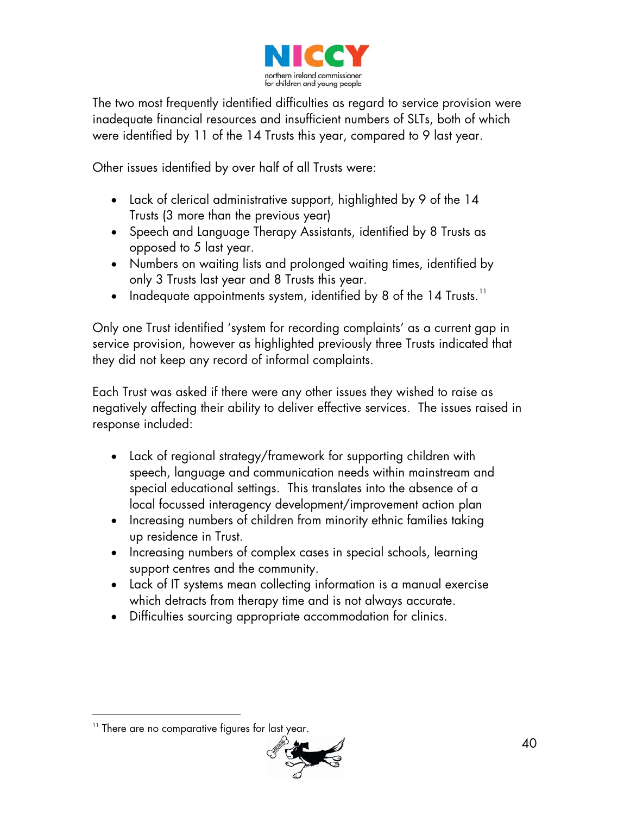

The two most frequently identified difficulties as regard to service provision were inadequate financial resources and insufficient numbers of SLTs, both of which were identified by 11 of the 14 Trusts this year, compared to 9 last year.

Other issues identified by over half of all Trusts were:

- Lack of clerical administrative support, highlighted by 9 of the 14 Trusts (3 more than the previous year)
- Speech and Language Therapy Assistants, identified by 8 Trusts as opposed to 5 last year.
- Numbers on waiting lists and prolonged waiting times, identified by only 3 Trusts last year and 8 Trusts this year.
- Inadequate appointments system, identified by 8 of the 14 Trusts.<sup>[11](#page-39-0)</sup>

Only one Trust identified 'system for recording complaints' as a current gap in service provision, however as highlighted previously three Trusts indicated that they did not keep any record of informal complaints.

Each Trust was asked if there were any other issues they wished to raise as negatively affecting their ability to deliver effective services. The issues raised in response included:

- Lack of regional strategy/framework for supporting children with speech, language and communication needs within mainstream and special educational settings. This translates into the absence of a local focussed interagency development/improvement action plan
- Increasing numbers of children from minority ethnic families taking up residence in Trust.
- Increasing numbers of complex cases in special schools, learning support centres and the community.
- Lack of IT systems mean collecting information is a manual exercise which detracts from therapy time and is not always accurate.
- Difficulties sourcing appropriate accommodation for clinics.

-



<span id="page-39-0"></span><sup>&</sup>lt;sup>11</sup> There are no comparative figures for last year.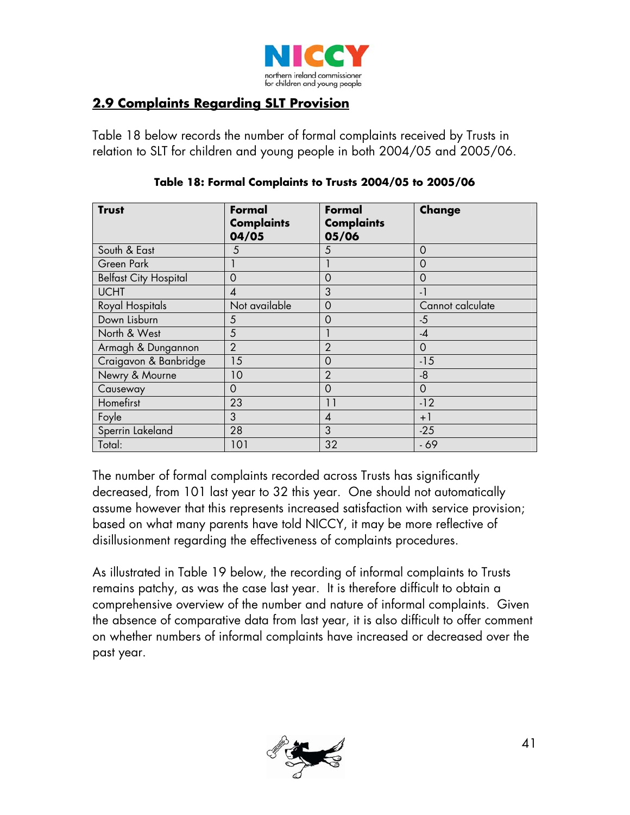

### **2.9 Complaints Regarding SLT Provision**

Table 18 below records the number of formal complaints received by Trusts in relation to SLT for children and young people in both 2004/05 and 2005/06.

| <b>Trust</b>                 | Formal<br><b>Complaints</b><br>04/05 | Formal<br><b>Complaints</b><br>05/06 | Change           |
|------------------------------|--------------------------------------|--------------------------------------|------------------|
| South & East                 | 5                                    | 5                                    | $\Omega$         |
| Green Park                   |                                      |                                      | 0                |
| <b>Belfast City Hospital</b> | 0                                    | $\Omega$                             | 0                |
| <b>UCHT</b>                  | 4                                    | 3                                    | $-1$             |
| Royal Hospitals              | Not available                        | 0                                    | Cannot calculate |
| Down Lisburn                 | 5                                    | 0                                    | $-5$             |
| North & West                 | 5                                    |                                      | $-4$             |
| Armagh & Dungannon           | $\overline{2}$                       | $\overline{2}$                       | $\mathbf 0$      |
| Craigavon & Banbridge        | 15                                   | $\mathbf 0$                          | $-15$            |
| Newry & Mourne               | 10                                   | $\overline{2}$                       | $-8$             |
| Causeway                     | 0                                    | $\mathbf 0$                          | $\mathbf 0$      |
| Homefirst                    | 23                                   | 11                                   | $-12$            |
| Foyle                        | 3                                    | $\overline{4}$                       | $+1$             |
| Sperrin Lakeland             | 28                                   | 3                                    | $-25$            |
| Total:                       | 101                                  | 32                                   | $-69$            |

#### **Table 18: Formal Complaints to Trusts 2004/05 to 2005/06**

The number of formal complaints recorded across Trusts has significantly decreased, from 101 last year to 32 this year. One should not automatically assume however that this represents increased satisfaction with service provision; based on what many parents have told NICCY, it may be more reflective of disillusionment regarding the effectiveness of complaints procedures.

As illustrated in Table 19 below, the recording of informal complaints to Trusts remains patchy, as was the case last year. It is therefore difficult to obtain a comprehensive overview of the number and nature of informal complaints. Given the absence of comparative data from last year, it is also difficult to offer comment on whether numbers of informal complaints have increased or decreased over the past year.

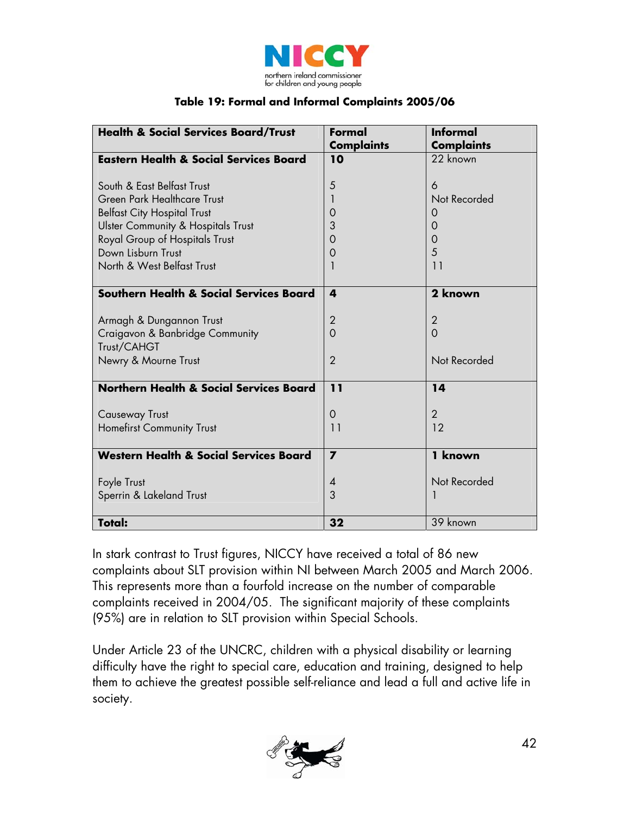

#### **Table 19: Formal and Informal Complaints 2005/06**

| <b>Health &amp; Social Services Board/Trust</b>    | Formal            | <b>Informal</b>   |
|----------------------------------------------------|-------------------|-------------------|
|                                                    | <b>Complaints</b> | <b>Complaints</b> |
| <b>Eastern Health &amp; Social Services Board</b>  | 10                | 22 known          |
|                                                    |                   |                   |
| South & East Belfast Trust                         | 5                 | 6                 |
| Green Park Healthcare Trust                        | 1                 | Not Recorded      |
| <b>Belfast City Hospital Trust</b>                 | 0                 | O                 |
| <b>Ulster Community &amp; Hospitals Trust</b>      | 3                 | $\Omega$          |
| Royal Group of Hospitals Trust                     | 0                 | 0                 |
| Down Lisburn Trust                                 | 0                 | 5                 |
| North & West Belfast Trust                         | 1                 | 11                |
|                                                    |                   |                   |
| Southern Health & Social Services Board            | 4                 | 2 known           |
|                                                    |                   |                   |
| Armagh & Dungannon Trust                           | $\overline{2}$    | $\overline{2}$    |
| Craigavon & Banbridge Community                    | $\Omega$          | $\Omega$          |
| Trust/CAHGT                                        |                   |                   |
| Newry & Mourne Trust                               | $\overline{2}$    | Not Recorded      |
|                                                    |                   |                   |
| <b>Northern Health &amp; Social Services Board</b> | 11                | 14                |
|                                                    |                   |                   |
| <b>Causeway Trust</b>                              | $\overline{0}$    | $\overline{2}$    |
| Homefirst Community Trust                          | 11                | 12                |
|                                                    |                   |                   |
| <b>Western Health &amp; Social Services Board</b>  | $\overline{ }$    | 1 known           |
|                                                    |                   |                   |
| Foyle Trust                                        | $\overline{4}$    | Not Recorded      |
| Sperrin & Lakeland Trust                           | 3                 |                   |
|                                                    |                   |                   |
| <b>Total:</b>                                      | 32                | 39 known          |

In stark contrast to Trust figures, NICCY have received a total of 86 new complaints about SLT provision within NI between March 2005 and March 2006. This represents more than a fourfold increase on the number of comparable complaints received in 2004/05. The significant majority of these complaints (95%) are in relation to SLT provision within Special Schools.

Under Article 23 of the UNCRC, children with a physical disability or learning difficulty have the right to special care, education and training, designed to help them to achieve the greatest possible self-reliance and lead a full and active life in society.

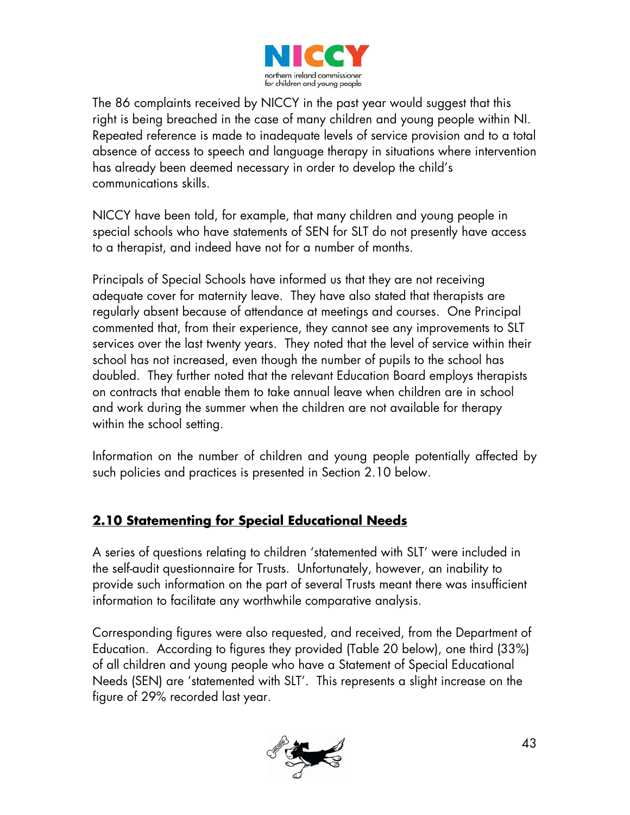

The 86 complaints received by NICCY in the past year would suggest that this right is being breached in the case of many children and young people within NI. Repeated reference is made to inadequate levels of service provision and to a total absence of access to speech and language therapy in situations where intervention has already been deemed necessary in order to develop the child's communications skills.

NICCY have been told, for example, that many children and young people in special schools who have statements of SEN for SLT do not presently have access to a therapist, and indeed have not for a number of months.

Principals of Special Schools have informed us that they are not receiving adequate cover for maternity leave. They have also stated that therapists are regularly absent because of attendance at meetings and courses. One Principal commented that, from their experience, they cannot see any improvements to SLT services over the last twenty years. They noted that the level of service within their school has not increased, even though the number of pupils to the school has doubled. They further noted that the relevant Education Board employs therapists on contracts that enable them to take annual leave when children are in school and work during the summer when the children are not available for therapy within the school setting.

Information on the number of children and young people potentially affected by such policies and practices is presented in Section 2.10 below.

### **2.10 Statementing for Special Educational Needs**

A series of questions relating to children 'statemented with SLT' were included in the self-audit questionnaire for Trusts. Unfortunately, however, an inability to provide such information on the part of several Trusts meant there was insufficient information to facilitate any worthwhile comparative analysis.

Corresponding figures were also requested, and received, from the Department of Education. According to figures they provided (Table 20 below), one third (33%) of all children and young people who have a Statement of Special Educational Needs (SEN) are 'statemented with SLT'. This represents a slight increase on the figure of 29% recorded last year.

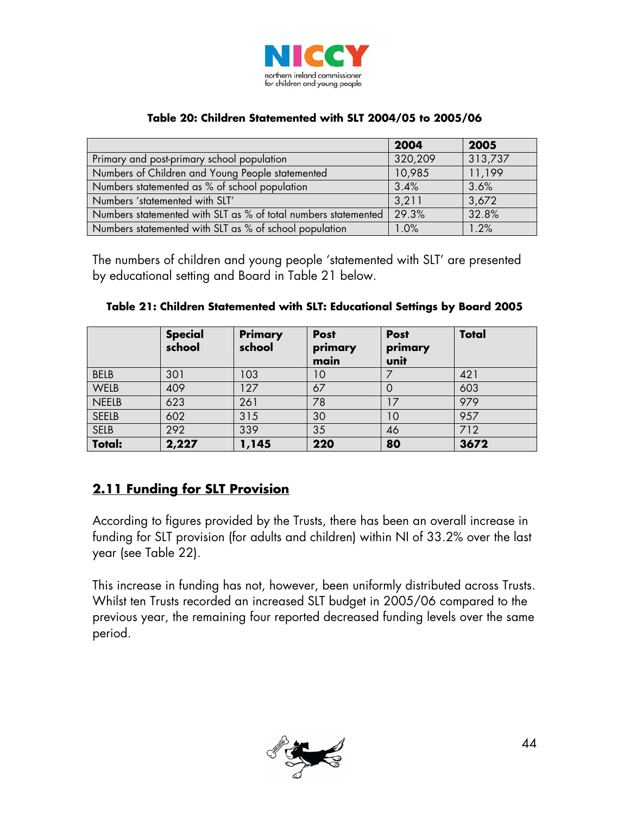

#### **Table 20: Children Statemented with SLT 2004/05 to 2005/06**

|                                                                | 2004    | 2005    |
|----------------------------------------------------------------|---------|---------|
| Primary and post-primary school population                     | 320,209 | 313,737 |
| Numbers of Children and Young People statemented               | 10,985  | 11,199  |
| Numbers statemented as % of school population                  | 3.4%    | 3.6%    |
| Numbers 'statemented with SLT'                                 | 3,211   | 3,672   |
| Numbers statemented with SLT as % of total numbers statemented | 29.3%   | 32.8%   |
| Numbers statemented with SLT as % of school population         | 1.0%    | 1.2%    |

The numbers of children and young people 'statemented with SLT' are presented by educational setting and Board in Table 21 below.

|               | <b>Special</b><br>school | <b>Primary</b><br>school | <b>Post</b><br>primary<br>main | <b>Post</b><br>primary<br>unit | <b>Total</b> |
|---------------|--------------------------|--------------------------|--------------------------------|--------------------------------|--------------|
| <b>BELB</b>   | 301                      | 103                      | 10                             |                                | 421          |
| WELB          | 409                      | 127                      | 67                             |                                | 603          |
| <b>NEELB</b>  | 623                      | 261                      | 78                             |                                | 979          |
| <b>SEELB</b>  | 602                      | 315                      | 30                             | 10                             | 957          |
| <b>SELB</b>   | 292                      | 339                      | 35                             | 46                             | 712          |
| <b>Total:</b> | 2,227                    | 1,145                    | 220                            | 80                             | 3672         |

#### **2.11 Funding for SLT Provision**

According to figures provided by the Trusts, there has been an overall increase in funding for SLT provision (for adults and children) within NI of 33.2% over the last year (see Table 22).

This increase in funding has not, however, been uniformly distributed across Trusts. Whilst ten Trusts recorded an increased SLT budget in 2005/06 compared to the previous year, the remaining four reported decreased funding levels over the same period.

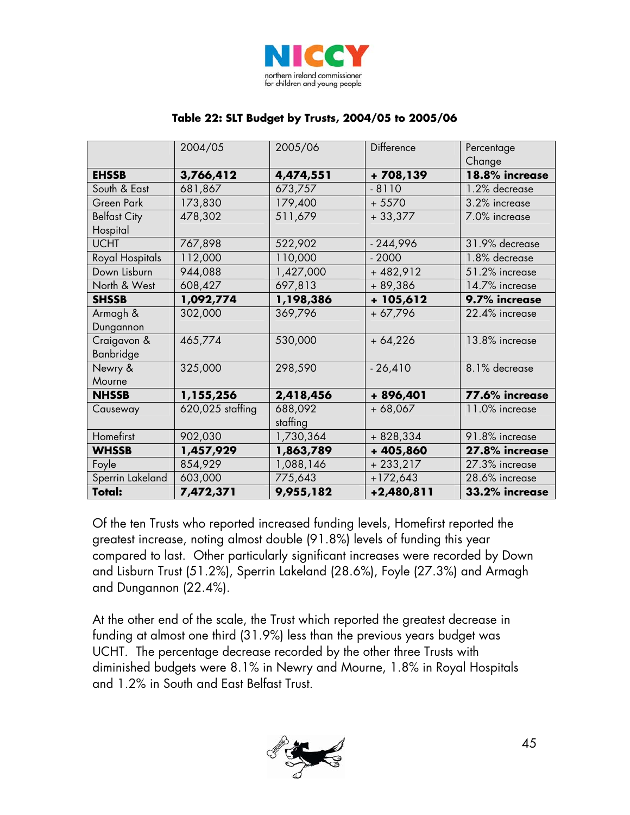

|                     | 2004/05          | 2005/06   | Difference | Percentage     |
|---------------------|------------------|-----------|------------|----------------|
|                     |                  |           |            | Change         |
| <b>EHSSB</b>        | 3,766,412        | 4,474,551 | +708,139   | 18.8% increase |
| South & East        | 681,867          | 673,757   | $-8110$    | 1.2% decrease  |
| Green Park          | 173,830          | 179,400   | $+5570$    | 3.2% increase  |
| <b>Belfast City</b> | 478,302          | 511,679   | $+33,377$  | 7.0% increase  |
| Hospital            |                  |           |            |                |
| <b>UCHT</b>         | 767,898          | 522,902   | $-244,996$ | 31.9% decrease |
| Royal Hospitals     | 112,000          | 110,000   | $-2000$    | 1.8% decrease  |
| Down Lisburn        | 944,088          | 1,427,000 | $+482,912$ | 51.2% increase |
| North & West        | 608,427          | 697,813   | + 89,386   | 14.7% increase |
| <b>SHSSB</b>        | 1,092,774        | 1,198,386 | $+105,612$ | 9.7% increase  |
| Armagh &            | 302,000          | 369,796   | $+67,796$  | 22.4% increase |
| Dungannon           |                  |           |            |                |
| Craigavon &         | 465,774          | 530,000   | $+64,226$  | 13.8% increase |
| Banbridge           |                  |           |            |                |
| Newry &             | 325,000          | 298,590   | $-26,410$  | 8.1% decrease  |
| Mourne              |                  |           |            |                |
| <b>NHSSB</b>        | 1,155,256        | 2,418,456 | + 896,401  | 77.6% increase |
| Causeway            | 620,025 staffing | 688,092   | $+68,067$  | 11.0% increase |
|                     |                  | staffing  |            |                |
| Homefirst           | 902,030          | 1,730,364 | $+828,334$ | 91.8% increase |
| <b>WHSSB</b>        | 1,457,929        | 1,863,789 | +405,860   | 27.8% increase |
| Foyle               | 854,929          | 1,088,146 | $+233,217$ | 27.3% increase |
| Sperrin Lakeland    | 603,000          | 775,643   | $+172,643$ | 28.6% increase |
| <b>Total:</b>       | 7,472,371        | 9,955,182 | +2,480,811 | 33.2% increase |

#### **Table 22: SLT Budget by Trusts, 2004/05 to 2005/06**

Of the ten Trusts who reported increased funding levels, Homefirst reported the greatest increase, noting almost double (91.8%) levels of funding this year compared to last. Other particularly significant increases were recorded by Down and Lisburn Trust (51.2%), Sperrin Lakeland (28.6%), Foyle (27.3%) and Armagh and Dungannon (22.4%).

At the other end of the scale, the Trust which reported the greatest decrease in funding at almost one third (31.9%) less than the previous years budget was UCHT. The percentage decrease recorded by the other three Trusts with diminished budgets were 8.1% in Newry and Mourne, 1.8% in Royal Hospitals and 1.2% in South and East Belfast Trust.

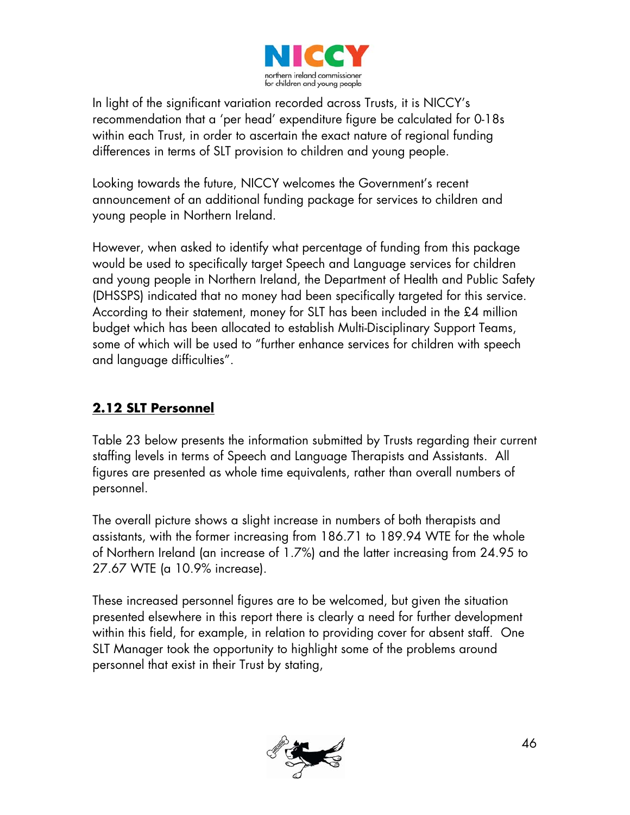

In light of the significant variation recorded across Trusts, it is NICCY's recommendation that a 'per head' expenditure figure be calculated for 0-18s within each Trust, in order to ascertain the exact nature of regional funding differences in terms of SLT provision to children and young people.

Looking towards the future, NICCY welcomes the Government's recent announcement of an additional funding package for services to children and young people in Northern Ireland.

However, when asked to identify what percentage of funding from this package would be used to specifically target Speech and Language services for children and young people in Northern Ireland, the Department of Health and Public Safety (DHSSPS) indicated that no money had been specifically targeted for this service. According to their statement, money for SLT has been included in the £4 million budget which has been allocated to establish Multi-Disciplinary Support Teams, some of which will be used to "further enhance services for children with speech and language difficulties".

## **2.12 SLT Personnel**

Table 23 below presents the information submitted by Trusts regarding their current staffing levels in terms of Speech and Language Therapists and Assistants. All figures are presented as whole time equivalents, rather than overall numbers of personnel.

The overall picture shows a slight increase in numbers of both therapists and assistants, with the former increasing from 186.71 to 189.94 WTE for the whole of Northern Ireland (an increase of 1.7%) and the latter increasing from 24.95 to 27.67 WTE (a 10.9% increase).

These increased personnel figures are to be welcomed, but given the situation presented elsewhere in this report there is clearly a need for further development within this field, for example, in relation to providing cover for absent staff. One SLT Manager took the opportunity to highlight some of the problems around personnel that exist in their Trust by stating,

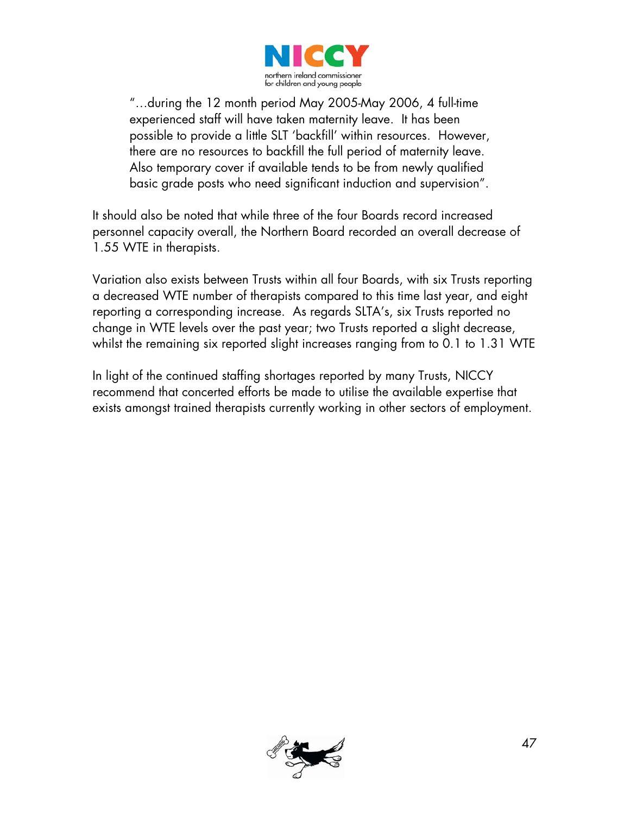

"…during the 12 month period May 2005-May 2006, 4 full-time experienced staff will have taken maternity leave. It has been possible to provide a little SLT 'backfill' within resources. However, there are no resources to backfill the full period of maternity leave. Also temporary cover if available tends to be from newly qualified basic grade posts who need significant induction and supervision".

It should also be noted that while three of the four Boards record increased personnel capacity overall, the Northern Board recorded an overall decrease of 1.55 WTE in therapists.

Variation also exists between Trusts within all four Boards, with six Trusts reporting a decreased WTE number of therapists compared to this time last year, and eight reporting a corresponding increase. As regards SLTA's, six Trusts reported no change in WTE levels over the past year; two Trusts reported a slight decrease, whilst the remaining six reported slight increases ranging from to 0.1 to 1.31 WTE

In light of the continued staffing shortages reported by many Trusts, NICCY recommend that concerted efforts be made to utilise the available expertise that exists amongst trained therapists currently working in other sectors of employment.

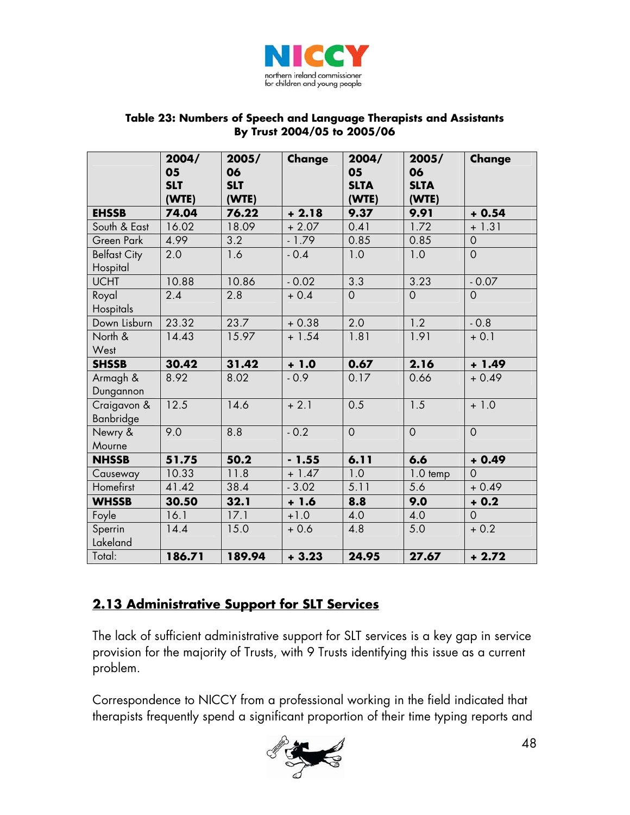

#### **Table 23: Numbers of Speech and Language Therapists and Assistants By Trust 2004/05 to 2005/06**

|                                 | 2004/<br>05<br><b>SLT</b><br>(WTE) | 2005/<br>06<br><b>SLT</b><br>(WTE) | Change  | 2004/<br>05<br><b>SLTA</b><br>(WTE) | 2005/<br>06<br><b>SLTA</b><br>(WTE) | Change         |
|---------------------------------|------------------------------------|------------------------------------|---------|-------------------------------------|-------------------------------------|----------------|
| <b>EHSSB</b>                    | 74.04                              | 76.22                              | $+2.18$ | 9.37                                | 9.91                                | $+0.54$        |
| South & East                    | 16.02                              | 18.09                              | $+2.07$ | 0.41                                | 1.72                                | $+1.31$        |
| Green Park                      | 4.99                               | 3.2                                | $-1.79$ | 0.85                                | 0.85                                | $\mathbf 0$    |
| <b>Belfast City</b><br>Hospital | 2.0                                | 1.6                                | $-0.4$  | 1.0                                 | 1.0                                 | $\overline{O}$ |
| <b>UCHT</b>                     | 10.88                              | 10.86                              | $-0.02$ | 3.3                                 | 3.23                                | $-0.07$        |
| Royal<br>Hospitals              | 2.4                                | 2.8                                | $+0.4$  | $\mathbf 0$                         | $\overline{0}$                      | $\overline{O}$ |
| Down Lisburn                    | 23.32                              | 23.7                               | $+0.38$ | 2.0                                 | 1.2                                 | $-0.8$         |
| North &<br>West                 | 14.43                              | 15.97                              | $+1.54$ | 1.81                                | 1.91                                | $+ 0.1$        |
| <b>SHSSB</b>                    | 30.42                              | 31.42                              | $+1.0$  | 0.67                                | 2.16                                | $+ 1.49$       |
| Armagh &<br>Dungannon           | 8.92                               | 8.02                               | $-0.9$  | 0.17                                | 0.66                                | $+0.49$        |
| Craigavon &<br>Banbridge        | 12.5                               | 14.6                               | $+2.1$  | 0.5                                 | 1.5                                 | $+1.0$         |
| Newry &                         | 9.0                                | 8.8                                | $-0.2$  | $\mathbf 0$                         | $\overline{O}$                      | $\overline{O}$ |
| Mourne                          |                                    |                                    |         |                                     |                                     |                |
| <b>NHSSB</b>                    | 51.75                              | 50.2                               | $-1.55$ | 6.11                                | 6.6                                 | $+0.49$        |
| Causeway                        | 10.33                              | 11.8                               | $+1.47$ | 1.0                                 | 1.0 temp                            | $\overline{O}$ |
| Homefirst                       | 41.42                              | 38.4                               | $-3.02$ | 5.11                                | 5.6                                 | $+0.49$        |
| <b>WHSSB</b>                    | 30.50                              | 32.1                               | $+1.6$  | 8.8                                 | 9.0                                 | $+0.2$         |
| Foyle                           | 16.1                               | 17.1                               | $+1.0$  | 4.0                                 | 4.0                                 | $\mathbf 0$    |
| Sperrin<br>Lakeland             | 14.4                               | 15.0                               | $+0.6$  | 4.8                                 | 5.0                                 | $+0.2$         |
| Total:                          |                                    |                                    |         |                                     |                                     |                |

### **2.13 Administrative Support for SLT Services**

The lack of sufficient administrative support for SLT services is a key gap in service provision for the majority of Trusts, with 9 Trusts identifying this issue as a current problem.

Correspondence to NICCY from a professional working in the field indicated that therapists frequently spend a significant proportion of their time typing reports and

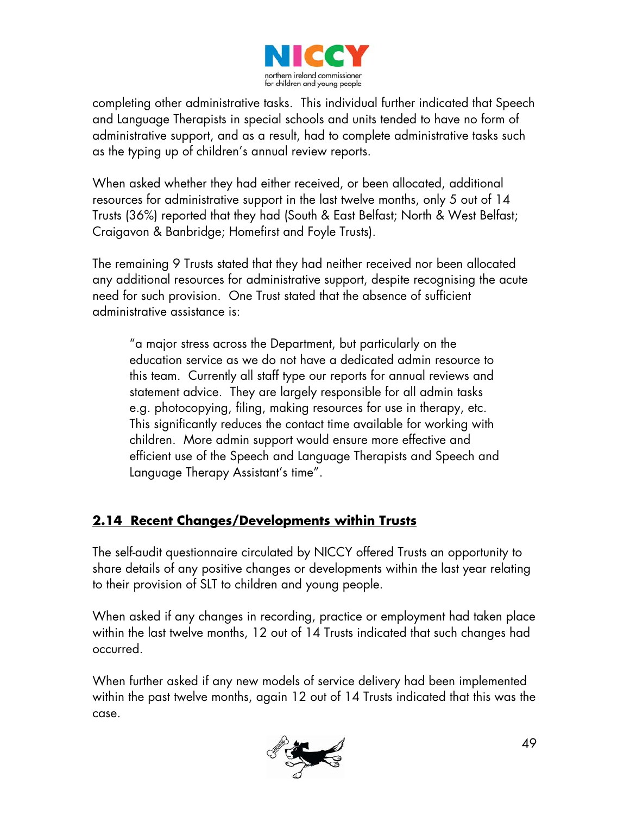

completing other administrative tasks. This individual further indicated that Speech and Language Therapists in special schools and units tended to have no form of administrative support, and as a result, had to complete administrative tasks such as the typing up of children's annual review reports.

When asked whether they had either received, or been allocated, additional resources for administrative support in the last twelve months, only 5 out of 14 Trusts (36%) reported that they had (South & East Belfast; North & West Belfast; Craigavon & Banbridge; Homefirst and Foyle Trusts).

The remaining 9 Trusts stated that they had neither received nor been allocated any additional resources for administrative support, despite recognising the acute need for such provision. One Trust stated that the absence of sufficient administrative assistance is:

"a major stress across the Department, but particularly on the education service as we do not have a dedicated admin resource to this team. Currently all staff type our reports for annual reviews and statement advice. They are largely responsible for all admin tasks e.g. photocopying, filing, making resources for use in therapy, etc. This significantly reduces the contact time available for working with children. More admin support would ensure more effective and efficient use of the Speech and Language Therapists and Speech and Language Therapy Assistant's time".

### **2.14 Recent Changes/Developments within Trusts**

The self-audit questionnaire circulated by NICCY offered Trusts an opportunity to share details of any positive changes or developments within the last year relating to their provision of SLT to children and young people.

When asked if any changes in recording, practice or employment had taken place within the last twelve months, 12 out of 14 Trusts indicated that such changes had occurred.

When further asked if any new models of service delivery had been implemented within the past twelve months, again 12 out of 14 Trusts indicated that this was the case.

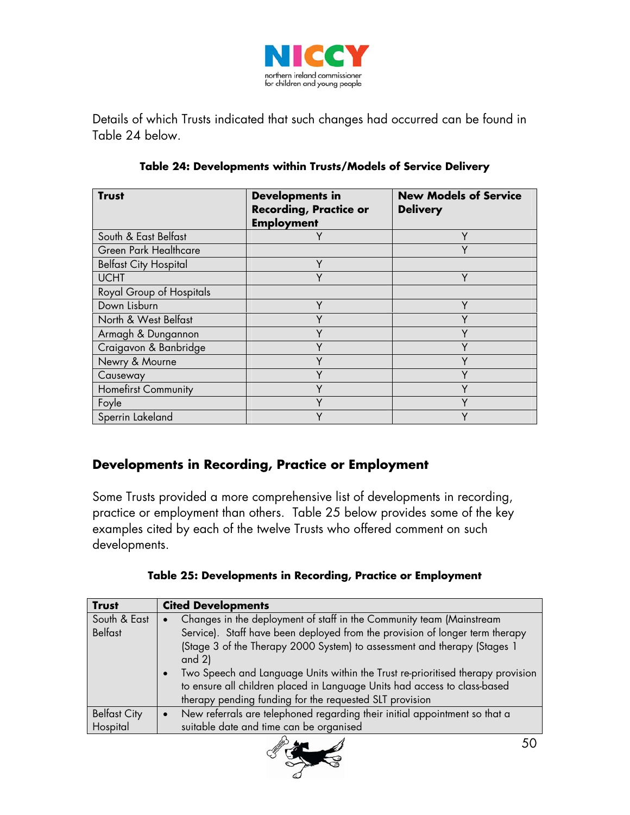

Details of which Trusts indicated that such changes had occurred can be found in Table 24 below.

| <b>Trust</b>                 | <b>Developments in</b><br><b>Recording, Practice or</b><br><b>Employment</b> | <b>New Models of Service</b><br><b>Delivery</b> |
|------------------------------|------------------------------------------------------------------------------|-------------------------------------------------|
| South & East Belfast         | Y                                                                            | Υ                                               |
| <b>Green Park Healthcare</b> |                                                                              | Υ                                               |
| <b>Belfast City Hospital</b> | Υ                                                                            |                                                 |
| <b>UCHT</b>                  | ۷                                                                            | V                                               |
| Royal Group of Hospitals     |                                                                              |                                                 |
| Down Lisburn                 | v                                                                            | ν                                               |
| North & West Belfast         | ٧                                                                            | ٧                                               |
| Armagh & Dungannon           | Υ                                                                            | Υ                                               |
| Craigavon & Banbridge        | ٧                                                                            | V                                               |
| Newry & Mourne               | v                                                                            | ν                                               |
| Causeway                     |                                                                              | $\checkmark$                                    |
| <b>Homefirst Community</b>   |                                                                              |                                                 |
| Foyle                        | Υ                                                                            | Y                                               |
| Sperrin Lakeland             | v                                                                            | ۷                                               |

#### **Table 24: Developments within Trusts/Models of Service Delivery**

#### **Developments in Recording, Practice or Employment**

Some Trusts provided a more comprehensive list of developments in recording, practice or employment than others. Table 25 below provides some of the key examples cited by each of the twelve Trusts who offered comment on such developments.

| <b>Trust</b>        | <b>Cited Developments</b>                                                             |
|---------------------|---------------------------------------------------------------------------------------|
| South & East        | Changes in the deployment of staff in the Community team (Mainstream                  |
| <b>Belfast</b>      | Service). Staff have been deployed from the provision of longer term therapy          |
|                     | (Stage 3 of the Therapy 2000 System) to assessment and therapy (Stages 1<br>and $2$ ) |
|                     | Two Speech and Language Units within the Trust re-prioritised therapy provision       |
|                     | to ensure all children placed in Language Units had access to class-based             |
|                     | therapy pending funding for the requested SLT provision                               |
| <b>Belfast City</b> | New referrals are telephoned regarding their initial appointment so that a            |
| Hospital            | suitable date and time can be organised                                               |
|                     |                                                                                       |

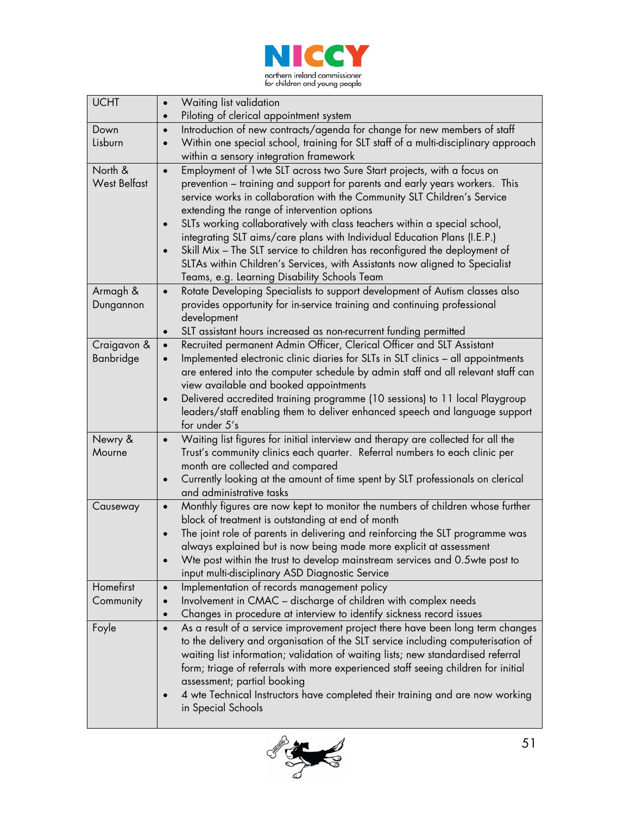

| <b>UCHT</b>         | Waiting list validation<br>$\bullet$<br>Piloting of clerical appointment system<br>$\bullet$                                                                            |  |
|---------------------|-------------------------------------------------------------------------------------------------------------------------------------------------------------------------|--|
| Down                | Introduction of new contracts/agenda for change for new members of staff<br>$\bullet$                                                                                   |  |
| Lisburn             | Within one special school, training for SLT staff of a multi-disciplinary approach                                                                                      |  |
|                     | within a sensory integration framework                                                                                                                                  |  |
| North &             | Employment of 1 wte SLT across two Sure Start projects, with a focus on<br>$\bullet$                                                                                    |  |
| <b>West Belfast</b> | prevention – training and support for parents and early years workers. This                                                                                             |  |
|                     | service works in collaboration with the Community SLT Children's Service                                                                                                |  |
|                     | extending the range of intervention options                                                                                                                             |  |
|                     | SLTs working collaboratively with class teachers within a special school,                                                                                               |  |
|                     | integrating SLT aims/care plans with Individual Education Plans (I.E.P.)                                                                                                |  |
|                     | Skill Mix - The SLT service to children has reconfigured the deployment of<br>$\bullet$                                                                                 |  |
|                     | SLTAs within Children's Services, with Assistants now aligned to Specialist                                                                                             |  |
|                     | Teams, e.g. Learning Disability Schools Team                                                                                                                            |  |
| Armagh &            | Rotate Developing Specialists to support development of Autism classes also<br>$\bullet$                                                                                |  |
| Dungannon           | provides opportunity for in-service training and continuing professional                                                                                                |  |
|                     | development                                                                                                                                                             |  |
|                     | SLT assistant hours increased as non-recurrent funding permitted<br>$\bullet$                                                                                           |  |
| Craigavon &         | Recruited permanent Admin Officer, Clerical Officer and SLT Assistant<br>$\bullet$                                                                                      |  |
| Banbridge           | Implemented electronic clinic diaries for SLTs in SLT clinics - all appointments<br>$\bullet$                                                                           |  |
|                     | are entered into the computer schedule by admin staff and all relevant staff can                                                                                        |  |
|                     | view available and booked appointments                                                                                                                                  |  |
|                     | Delivered accredited training programme (10 sessions) to 11 local Playgroup<br>$\bullet$<br>leaders/staff enabling them to deliver enhanced speech and language support |  |
|                     | for under 5's                                                                                                                                                           |  |
| Newry &             | Waiting list figures for initial interview and therapy are collected for all the<br>$\bullet$                                                                           |  |
| Mourne              | Trust's community clinics each quarter. Referral numbers to each clinic per                                                                                             |  |
|                     | month are collected and compared                                                                                                                                        |  |
|                     | Currently looking at the amount of time spent by SLT professionals on clerical<br>$\bullet$                                                                             |  |
|                     | and administrative tasks                                                                                                                                                |  |
| Causeway            | Monthly figures are now kept to monitor the numbers of children whose further<br>$\bullet$                                                                              |  |
|                     | block of treatment is outstanding at end of month                                                                                                                       |  |
|                     | The joint role of parents in delivering and reinforcing the SLT programme was<br>$\bullet$                                                                              |  |
|                     | always explained but is now being made more explicit at assessment                                                                                                      |  |
|                     | Wte post within the trust to develop mainstream services and 0.5wte post to                                                                                             |  |
|                     | input multi-disciplinary ASD Diagnostic Service                                                                                                                         |  |
| Homefirst           | Implementation of records management policy<br>$\bullet$                                                                                                                |  |
| Community           | Involvement in CMAC - discharge of children with complex needs                                                                                                          |  |
|                     | Changes in procedure at interview to identify sickness record issues<br>$\bullet$                                                                                       |  |
| Foyle               | As a result of a service improvement project there have been long term changes<br>$\bullet$                                                                             |  |
|                     | to the delivery and organisation of the SLT service including computerisation of<br>waiting list information; validation of waiting lists; new standardised referral    |  |
|                     | form; triage of referrals with more experienced staff seeing children for initial                                                                                       |  |
|                     | assessment; partial booking                                                                                                                                             |  |
|                     | 4 wte Technical Instructors have completed their training and are now working                                                                                           |  |
|                     | in Special Schools                                                                                                                                                      |  |
|                     |                                                                                                                                                                         |  |

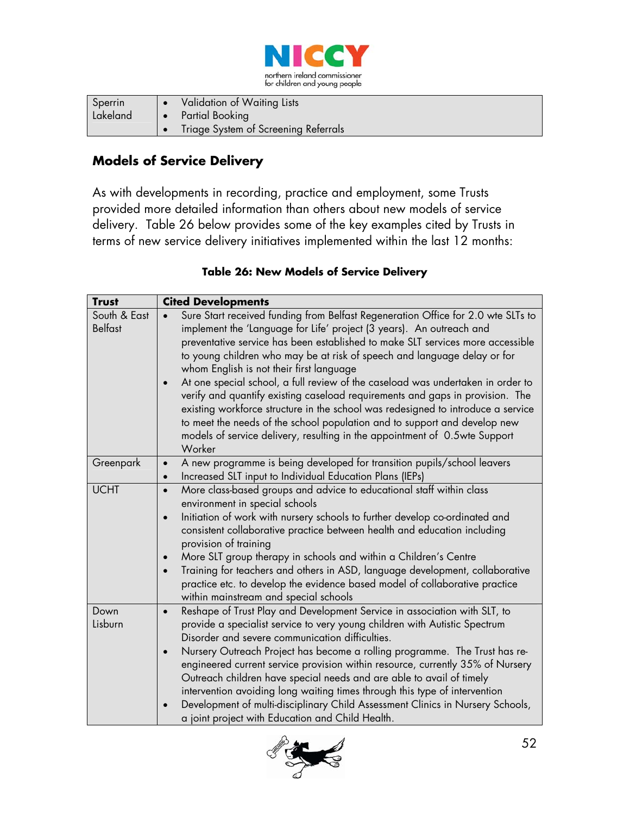

| Sperrin  | Validation of Waiting Lists          |
|----------|--------------------------------------|
| Lakeland | <b>1.</b> Partial Booking            |
|          | Triage System of Screening Referrals |

#### **Models of Service Delivery**

As with developments in recording, practice and employment, some Trusts provided more detailed information than others about new models of service delivery. Table 26 below provides some of the key examples cited by Trusts in terms of new service delivery initiatives implemented within the last 12 months:

#### **Table 26: New Models of Service Delivery**

| <b>Trust</b>                   | <b>Cited Developments</b>                                                                                                                                                                                                                                                                                                                                                                                                                                                                                                                                                                                                                                                                                                                                                                       |  |  |
|--------------------------------|-------------------------------------------------------------------------------------------------------------------------------------------------------------------------------------------------------------------------------------------------------------------------------------------------------------------------------------------------------------------------------------------------------------------------------------------------------------------------------------------------------------------------------------------------------------------------------------------------------------------------------------------------------------------------------------------------------------------------------------------------------------------------------------------------|--|--|
| South & East<br><b>Belfast</b> | Sure Start received funding from Belfast Regeneration Office for 2.0 wte SLTs to<br>implement the 'Language for Life' project (3 years). An outreach and<br>preventative service has been established to make SLT services more accessible<br>to young children who may be at risk of speech and language delay or for<br>whom English is not their first language<br>At one special school, a full review of the caseload was undertaken in order to<br>verify and quantify existing caseload requirements and gaps in provision. The<br>existing workforce structure in the school was redesigned to introduce a service<br>to meet the needs of the school population and to support and develop new<br>models of service delivery, resulting in the appointment of 0.5wte Support<br>Worker |  |  |
| Greenpark                      | A new programme is being developed for transition pupils/school leavers<br>$\bullet$<br>Increased SLT input to Individual Education Plans (IEPs)<br>$\bullet$                                                                                                                                                                                                                                                                                                                                                                                                                                                                                                                                                                                                                                   |  |  |
| <b>UCHT</b>                    | More class-based groups and advice to educational staff within class<br>$\bullet$<br>environment in special schools<br>Initiation of work with nursery schools to further develop co-ordinated and<br>$\bullet$<br>consistent collaborative practice between health and education including<br>provision of training<br>More SLT group therapy in schools and within a Children's Centre<br>Training for teachers and others in ASD, language development, collaborative<br>$\bullet$<br>practice etc. to develop the evidence based model of collaborative practice<br>within mainstream and special schools                                                                                                                                                                                   |  |  |
| Down<br>Lisburn                | Reshape of Trust Play and Development Service in association with SLT, to<br>$\bullet$<br>provide a specialist service to very young children with Autistic Spectrum<br>Disorder and severe communication difficulties.<br>Nursery Outreach Project has become a rolling programme. The Trust has re-<br>$\bullet$<br>engineered current service provision within resource, currently 35% of Nursery<br>Outreach children have special needs and are able to avail of timely<br>intervention avoiding long waiting times through this type of intervention<br>Development of multi-disciplinary Child Assessment Clinics in Nursery Schools,<br>a joint project with Education and Child Health.                                                                                                |  |  |

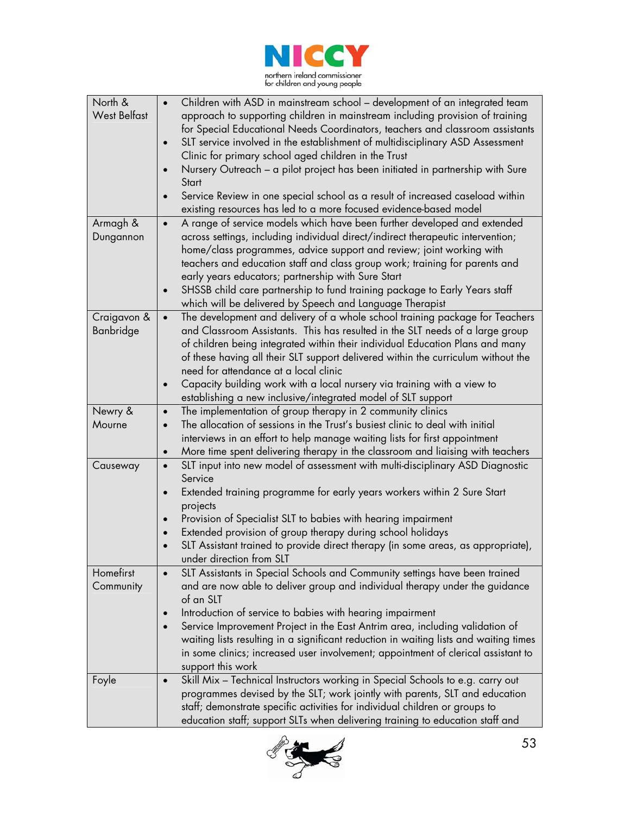

| North &             | Children with ASD in mainstream school - development of an integrated team                                                                                 |
|---------------------|------------------------------------------------------------------------------------------------------------------------------------------------------------|
| <b>West Belfast</b> | approach to supporting children in mainstream including provision of training                                                                              |
|                     | for Special Educational Needs Coordinators, teachers and classroom assistants                                                                              |
|                     | SLT service involved in the establishment of multidisciplinary ASD Assessment<br>$\bullet$                                                                 |
|                     | Clinic for primary school aged children in the Trust                                                                                                       |
|                     | Nursery Outreach - a pilot project has been initiated in partnership with Sure                                                                             |
|                     | Start                                                                                                                                                      |
|                     | Service Review in one special school as a result of increased caseload within<br>$\bullet$                                                                 |
|                     | existing resources has led to a more focused evidence-based model                                                                                          |
| Armagh &            | A range of service models which have been further developed and extended<br>$\bullet$                                                                      |
| Dungannon           | across settings, including individual direct/indirect therapeutic intervention;                                                                            |
|                     | home/class programmes, advice support and review; joint working with                                                                                       |
|                     | teachers and education staff and class group work; training for parents and                                                                                |
|                     | early years educators; partnership with Sure Start                                                                                                         |
|                     | SHSSB child care partnership to fund training package to Early Years staff<br>$\bullet$                                                                    |
|                     | which will be delivered by Speech and Language Therapist                                                                                                   |
| Craigavon &         | The development and delivery of a whole school training package for Teachers<br>$\bullet$                                                                  |
| Banbridge           | and Classroom Assistants. This has resulted in the SLT needs of a large group                                                                              |
|                     | of children being integrated within their individual Education Plans and many                                                                              |
|                     | of these having all their SLT support delivered within the curriculum without the<br>need for attendance at a local clinic                                 |
|                     | Capacity building work with a local nursery via training with a view to<br>$\bullet$                                                                       |
|                     | establishing a new inclusive/integrated model of SLT support                                                                                               |
| Newry &             | The implementation of group therapy in 2 community clinics<br>$\bullet$                                                                                    |
| Mourne              | The allocation of sessions in the Trust's busiest clinic to deal with initial<br>$\bullet$                                                                 |
|                     | interviews in an effort to help manage waiting lists for first appointment                                                                                 |
|                     | More time spent delivering therapy in the classroom and liaising with teachers<br>$\bullet$                                                                |
| Causeway            | SLT input into new model of assessment with multi-disciplinary ASD Diagnostic<br>$\bullet$                                                                 |
|                     | Service                                                                                                                                                    |
|                     | Extended training programme for early years workers within 2 Sure Start<br>$\bullet$                                                                       |
|                     | projects                                                                                                                                                   |
|                     | Provision of Specialist SLT to babies with hearing impairment<br>$\bullet$                                                                                 |
|                     | Extended provision of group therapy during school holidays                                                                                                 |
|                     | SLT Assistant trained to provide direct therapy (in some areas, as appropriate),                                                                           |
|                     | under direction from SLT                                                                                                                                   |
| Homefirst           | SLT Assistants in Special Schools and Community settings have been trained                                                                                 |
| Community           | and are now able to deliver group and individual therapy under the guidance                                                                                |
|                     | of an SLT                                                                                                                                                  |
|                     | Introduction of service to babies with hearing impairment                                                                                                  |
|                     | Service Improvement Project in the East Antrim area, including validation of                                                                               |
|                     | waiting lists resulting in a significant reduction in waiting lists and waiting times                                                                      |
|                     | in some clinics; increased user involvement; appointment of clerical assistant to                                                                          |
|                     | support this work                                                                                                                                          |
| Foyle               | Skill Mix - Technical Instructors working in Special Schools to e.g. carry out<br>$\bullet$                                                                |
|                     | programmes devised by the SLT; work jointly with parents, SLT and education<br>staff; demonstrate specific activities for individual children or groups to |
|                     | education staff; support SLTs when delivering training to education staff and                                                                              |
|                     |                                                                                                                                                            |

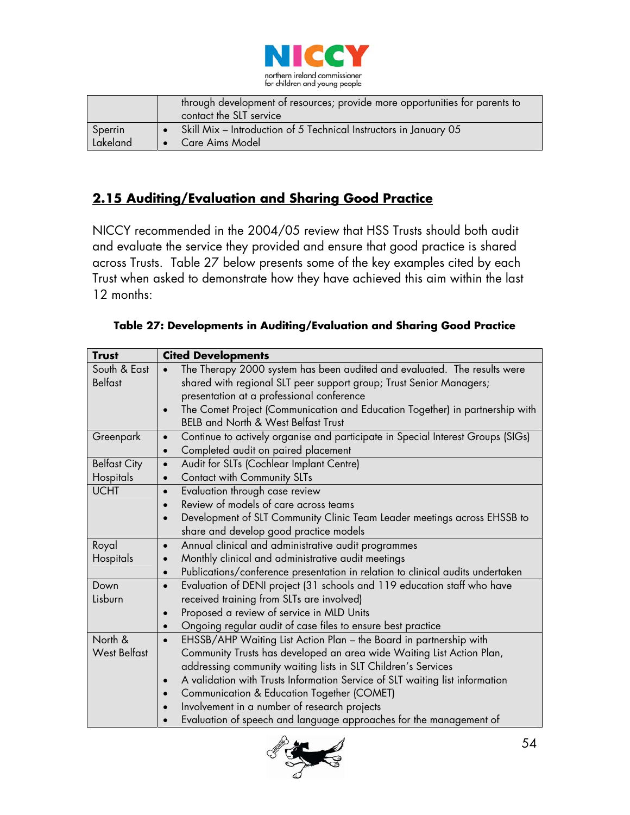

|          | through development of resources; provide more opportunities for parents to<br>contact the SLT service |
|----------|--------------------------------------------------------------------------------------------------------|
| Sperrin  | Skill Mix - Introduction of 5 Technical Instructors in January 05                                      |
| Lakeland | Care Aims Model                                                                                        |

### **2.15 Auditing/Evaluation and Sharing Good Practice**

NICCY recommended in the 2004/05 review that HSS Trusts should both audit and evaluate the service they provided and ensure that good practice is shared across Trusts. Table 27 below presents some of the key examples cited by each Trust when asked to demonstrate how they have achieved this aim within the last 12 months:

| <b>Trust</b>        | <b>Cited Developments</b>                                                                    |  |  |
|---------------------|----------------------------------------------------------------------------------------------|--|--|
| South & East        | The Therapy 2000 system has been audited and evaluated. The results were                     |  |  |
| <b>Belfast</b>      | shared with regional SLT peer support group; Trust Senior Managers;                          |  |  |
|                     | presentation at a professional conference                                                    |  |  |
|                     | The Comet Project (Communication and Education Together) in partnership with<br>$\bullet$    |  |  |
|                     | <b>BELB and North &amp; West Belfast Trust</b>                                               |  |  |
| Greenpark           | Continue to actively organise and participate in Special Interest Groups (SIGs)<br>$\bullet$ |  |  |
|                     | Completed audit on paired placement<br>$\bullet$                                             |  |  |
| <b>Belfast City</b> | Audit for SLTs (Cochlear Implant Centre)<br>$\bullet$                                        |  |  |
| Hospitals           | Contact with Community SLTs                                                                  |  |  |
| <b>UCHT</b>         | Evaluation through case review<br>$\bullet$                                                  |  |  |
|                     | Review of models of care across teams<br>$\bullet$                                           |  |  |
|                     | Development of SLT Community Clinic Team Leader meetings across EHSSB to                     |  |  |
|                     | share and develop good practice models                                                       |  |  |
| Royal               | Annual clinical and administrative audit programmes<br>$\bullet$                             |  |  |
| Hospitals           | Monthly clinical and administrative audit meetings                                           |  |  |
|                     | Publications/conference presentation in relation to clinical audits undertaken<br>$\bullet$  |  |  |
| Down                | Evaluation of DENI project (31 schools and 119 education staff who have<br>$\bullet$         |  |  |
| Lisburn             | received training from SLTs are involved)                                                    |  |  |
|                     | Proposed a review of service in MLD Units<br>$\bullet$                                       |  |  |
|                     | Ongoing regular audit of case files to ensure best practice<br>$\bullet$                     |  |  |
| North &             | EHSSB/AHP Waiting List Action Plan - the Board in partnership with<br>$\bullet$              |  |  |
| <b>West Belfast</b> | Community Trusts has developed an area wide Waiting List Action Plan,                        |  |  |
|                     | addressing community waiting lists in SLT Children's Services                                |  |  |
|                     | A validation with Trusts Information Service of SLT waiting list information<br>$\bullet$    |  |  |
|                     | Communication & Education Together (COMET)                                                   |  |  |
|                     | Involvement in a number of research projects                                                 |  |  |
|                     | Evaluation of speech and language approaches for the management of                           |  |  |

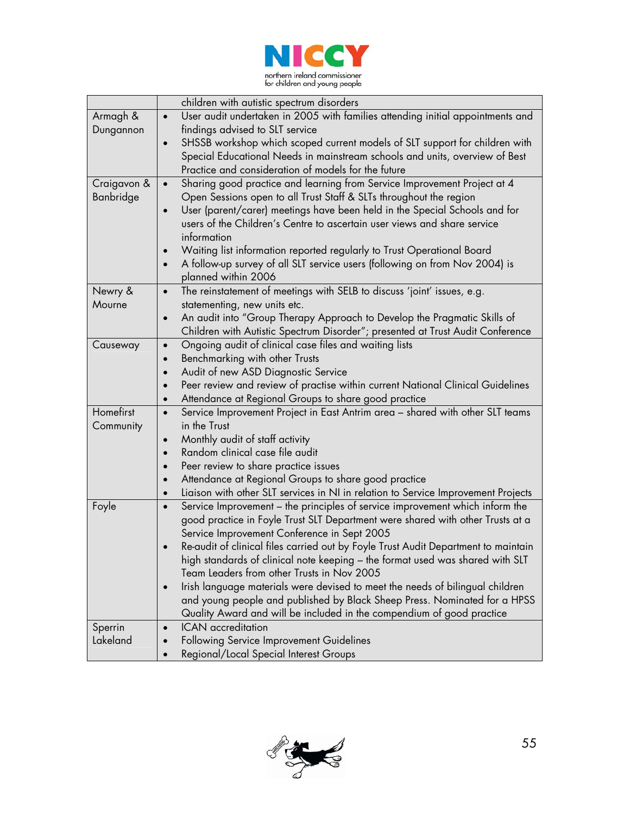

|             | children with autistic spectrum disorders                                                                  |
|-------------|------------------------------------------------------------------------------------------------------------|
| Armagh &    | User audit undertaken in 2005 with families attending initial appointments and<br>$\bullet$                |
| Dungannon   | findings advised to SLT service                                                                            |
|             | SHSSB workshop which scoped current models of SLT support for children with<br>$\bullet$                   |
|             | Special Educational Needs in mainstream schools and units, overview of Best                                |
|             | Practice and consideration of models for the future                                                        |
| Craigavon & | Sharing good practice and learning from Service Improvement Project at 4<br>$\bullet$                      |
| Banbridge   | Open Sessions open to all Trust Staff & SLTs throughout the region                                         |
|             | User (parent/carer) meetings have been held in the Special Schools and for                                 |
|             | users of the Children's Centre to ascertain user views and share service                                   |
|             | information                                                                                                |
|             | Waiting list information reported regularly to Trust Operational Board                                     |
|             | A follow-up survey of all SLT service users (following on from Nov 2004) is<br>$\bullet$                   |
|             | planned within 2006                                                                                        |
| Newry &     | The reinstatement of meetings with SELB to discuss 'joint' issues, e.g.<br>$\bullet$                       |
| Mourne      | statementing, new units etc.                                                                               |
|             | An audit into "Group Therapy Approach to Develop the Pragmatic Skills of<br>$\bullet$                      |
|             | Children with Autistic Spectrum Disorder"; presented at Trust Audit Conference                             |
| Causeway    | Ongoing audit of clinical case files and waiting lists<br>$\bullet$                                        |
|             | Benchmarking with other Trusts<br>$\bullet$                                                                |
|             | Audit of new ASD Diagnostic Service<br>$\bullet$                                                           |
|             | Peer review and review of practise within current National Clinical Guidelines<br>$\bullet$                |
| Homefirst   | Attendance at Regional Groups to share good practice<br>$\bullet$                                          |
|             | Service Improvement Project in East Antrim area - shared with other SLT teams<br>$\bullet$<br>in the Trust |
| Community   | Monthly audit of staff activity                                                                            |
|             | $\bullet$<br>Random clinical case file audit<br>$\bullet$                                                  |
|             | Peer review to share practice issues<br>$\bullet$                                                          |
|             | Attendance at Regional Groups to share good practice<br>$\bullet$                                          |
|             | Liaison with other SLT services in NI in relation to Service Improvement Projects<br>$\bullet$             |
| Foyle       | Service Improvement - the principles of service improvement which inform the<br>$\bullet$                  |
|             | good practice in Foyle Trust SLT Department were shared with other Trusts at a                             |
|             | Service Improvement Conference in Sept 2005                                                                |
|             | Re-audit of clinical files carried out by Foyle Trust Audit Department to maintain<br>$\bullet$            |
|             | high standards of clinical note keeping – the format used was shared with SLT                              |
|             | Team Leaders from other Trusts in Nov 2005                                                                 |
|             | Irish language materials were devised to meet the needs of bilingual children<br>$\bullet$                 |
|             | and young people and published by Black Sheep Press. Nominated for a HPSS                                  |
|             | Quality Award and will be included in the compendium of good practice                                      |
| Sperrin     | <b>ICAN</b> accreditation<br>$\bullet$                                                                     |
| Lakeland    | Following Service Improvement Guidelines<br>$\bullet$                                                      |
|             | Regional/Local Special Interest Groups<br>$\bullet$                                                        |

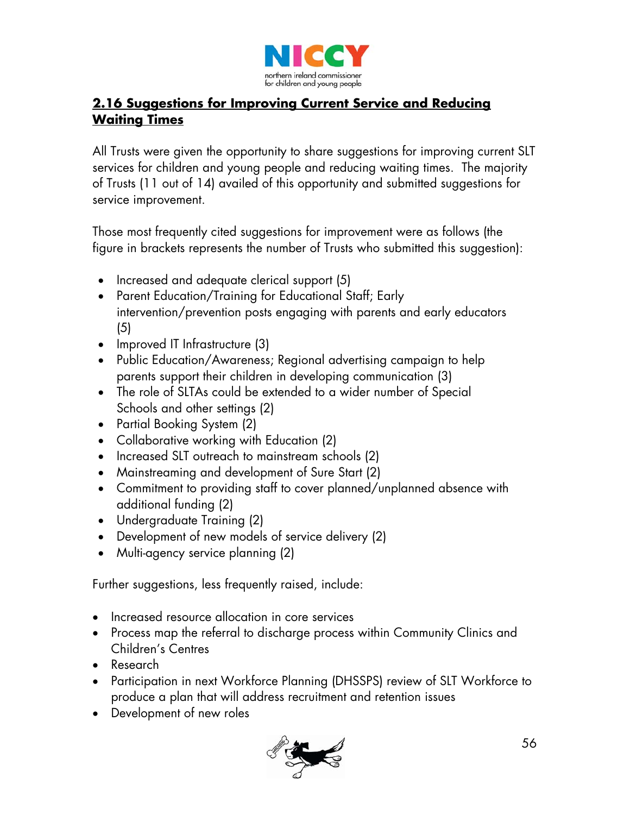

### **2.16 Suggestions for Improving Current Service and Reducing Waiting Times**

All Trusts were given the opportunity to share suggestions for improving current SLT services for children and young people and reducing waiting times. The majority of Trusts (11 out of 14) availed of this opportunity and submitted suggestions for service improvement.

Those most frequently cited suggestions for improvement were as follows (the figure in brackets represents the number of Trusts who submitted this suggestion):

- Increased and adequate clerical support (5)
- Parent Education/Training for Educational Staff; Early intervention/prevention posts engaging with parents and early educators (5)
- Improved IT Infrastructure (3)
- Public Education/Awareness; Regional advertising campaign to help parents support their children in developing communication (3)
- The role of SLTAs could be extended to a wider number of Special Schools and other settings (2)
- Partial Booking System (2)
- Collaborative working with Education (2)
- Increased SLT outreach to mainstream schools (2)
- Mainstreaming and development of Sure Start (2)
- Commitment to providing staff to cover planned/unplanned absence with additional funding (2)
- Undergraduate Training (2)
- Development of new models of service delivery (2)
- Multi-agency service planning (2)

Further suggestions, less frequently raised, include:

- Increased resource allocation in core services
- Process map the referral to discharge process within Community Clinics and Children's Centres
- Research
- Participation in next Workforce Planning (DHSSPS) review of SLT Workforce to produce a plan that will address recruitment and retention issues
- Development of new roles

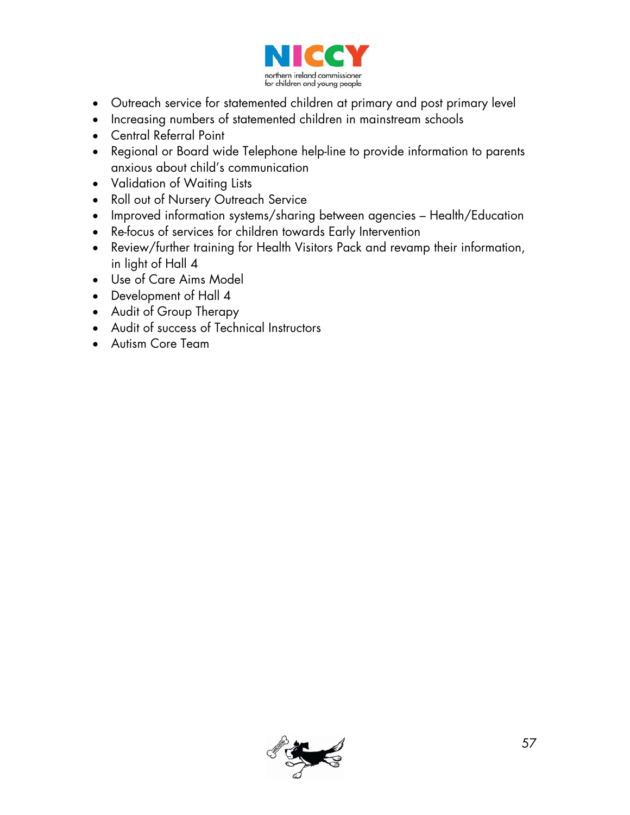

- Outreach service for statemented children at primary and post primary level
- Increasing numbers of statemented children in mainstream schools
- Central Referral Point
- Regional or Board wide Telephone help-line to provide information to parents anxious about child's communication
- Validation of Waiting Lists
- Roll out of Nursery Outreach Service
- Improved information systems/sharing between agencies Health/Education
- Re-focus of services for children towards Early Intervention
- Review/further training for Health Visitors Pack and revamp their information, in light of Hall 4
- Use of Care Aims Model
- Development of Hall 4
- Audit of Group Therapy
- Audit of success of Technical Instructors
- Autism Core Team

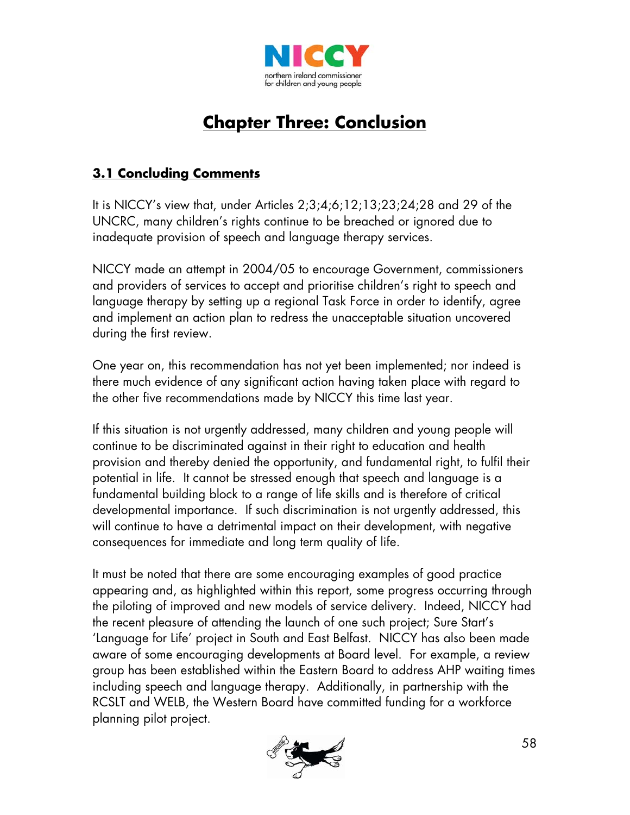

# **Chapter Three: Conclusion**

### **3.1 Concluding Comments**

It is NICCY's view that, under Articles 2;3;4;6;12;13;23;24;28 and 29 of the UNCRC, many children's rights continue to be breached or ignored due to inadequate provision of speech and language therapy services.

NICCY made an attempt in 2004/05 to encourage Government, commissioners and providers of services to accept and prioritise children's right to speech and language therapy by setting up a regional Task Force in order to identify, agree and implement an action plan to redress the unacceptable situation uncovered during the first review.

One year on, this recommendation has not yet been implemented; nor indeed is there much evidence of any significant action having taken place with regard to the other five recommendations made by NICCY this time last year.

If this situation is not urgently addressed, many children and young people will continue to be discriminated against in their right to education and health provision and thereby denied the opportunity, and fundamental right, to fulfil their potential in life. It cannot be stressed enough that speech and language is a fundamental building block to a range of life skills and is therefore of critical developmental importance. If such discrimination is not urgently addressed, this will continue to have a detrimental impact on their development, with negative consequences for immediate and long term quality of life.

It must be noted that there are some encouraging examples of good practice appearing and, as highlighted within this report, some progress occurring through the piloting of improved and new models of service delivery. Indeed, NICCY had the recent pleasure of attending the launch of one such project; Sure Start's 'Language for Life' project in South and East Belfast. NICCY has also been made aware of some encouraging developments at Board level. For example, a review group has been established within the Eastern Board to address AHP waiting times including speech and language therapy. Additionally, in partnership with the RCSLT and WELB, the Western Board have committed funding for a workforce planning pilot project.

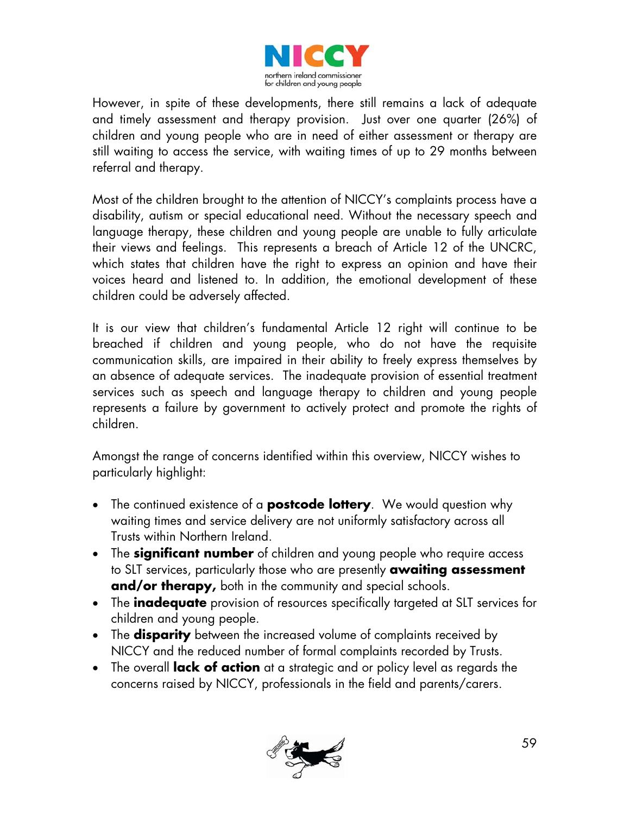

However, in spite of these developments, there still remains a lack of adequate and timely assessment and therapy provision. Just over one quarter (26%) of children and young people who are in need of either assessment or therapy are still waiting to access the service, with waiting times of up to 29 months between referral and therapy.

Most of the children brought to the attention of NICCY's complaints process have a disability, autism or special educational need. Without the necessary speech and language therapy, these children and young people are unable to fully articulate their views and feelings. This represents a breach of Article 12 of the UNCRC, which states that children have the right to express an opinion and have their voices heard and listened to. In addition, the emotional development of these children could be adversely affected.

It is our view that children's fundamental Article 12 right will continue to be breached if children and young people, who do not have the requisite communication skills, are impaired in their ability to freely express themselves by an absence of adequate services. The inadequate provision of essential treatment services such as speech and language therapy to children and young people represents a failure by government to actively protect and promote the rights of children.

Amongst the range of concerns identified within this overview, NICCY wishes to particularly highlight:

- The continued existence of a **postcode lottery**. We would question why waiting times and service delivery are not uniformly satisfactory across all Trusts within Northern Ireland.
- The **significant number** of children and young people who require access to SLT services, particularly those who are presently **awaiting assessment and/or therapy,** both in the community and special schools.
- The **inadequate** provision of resources specifically targeted at SLT services for children and young people.
- The **disparity** between the increased volume of complaints received by NICCY and the reduced number of formal complaints recorded by Trusts.
- The overall **lack of action** at a strategic and or policy level as regards the concerns raised by NICCY, professionals in the field and parents/carers.

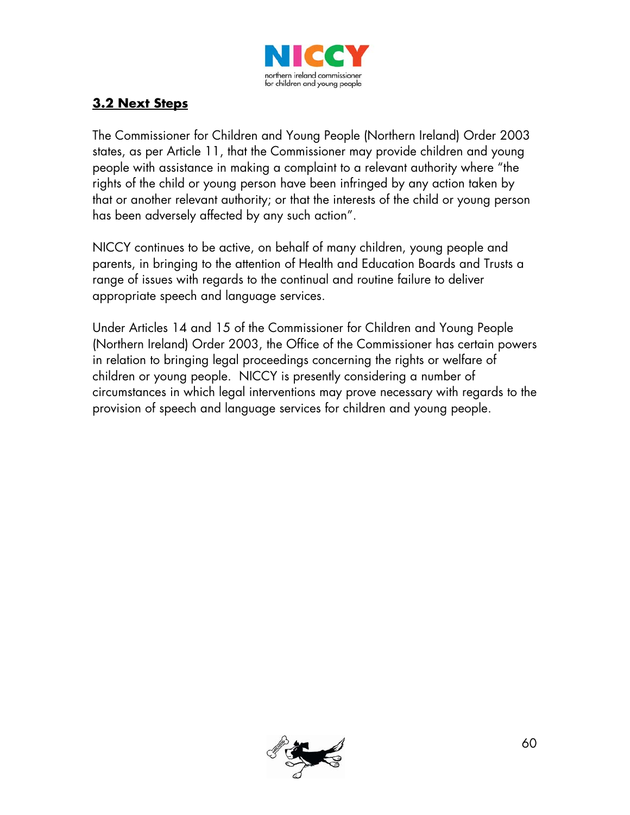

### **3.2 Next Steps**

The Commissioner for Children and Young People (Northern Ireland) Order 2003 states, as per Article 11, that the Commissioner may provide children and young people with assistance in making a complaint to a relevant authority where "the rights of the child or young person have been infringed by any action taken by that or another relevant authority; or that the interests of the child or young person has been adversely affected by any such action".

NICCY continues to be active, on behalf of many children, young people and parents, in bringing to the attention of Health and Education Boards and Trusts a range of issues with regards to the continual and routine failure to deliver appropriate speech and language services.

Under Articles 14 and 15 of the Commissioner for Children and Young People (Northern Ireland) Order 2003, the Office of the Commissioner has certain powers in relation to bringing legal proceedings concerning the rights or welfare of children or young people. NICCY is presently considering a number of circumstances in which legal interventions may prove necessary with regards to the provision of speech and language services for children and young people.

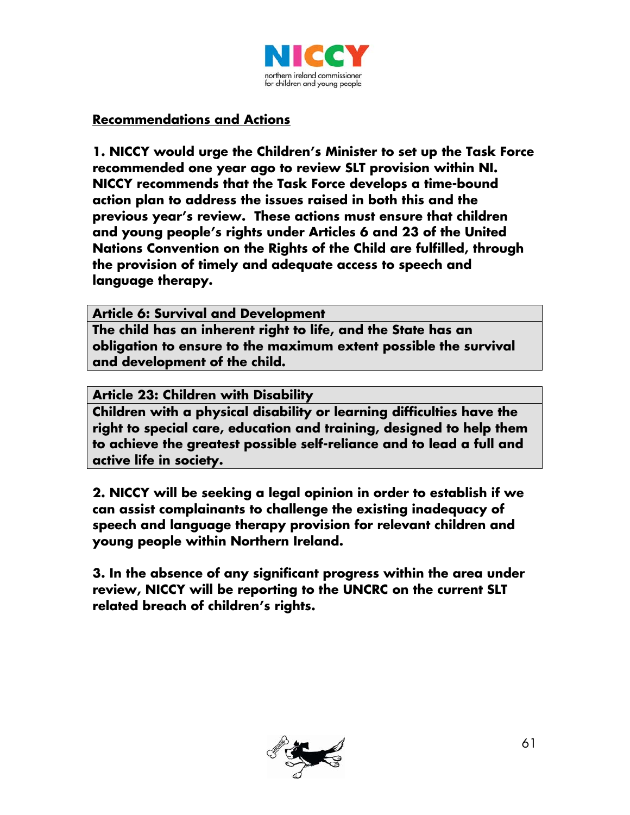

#### **Recommendations and Actions**

**1. NICCY would urge the Children's Minister to set up the Task Force recommended one year ago to review SLT provision within NI. NICCY recommends that the Task Force develops a time-bound action plan to address the issues raised in both this and the previous year's review. These actions must ensure that children and young people's rights under Articles 6 and 23 of the United Nations Convention on the Rights of the Child are fulfilled, through the provision of timely and adequate access to speech and language therapy.** 

**Article 6: Survival and Development** 

**The child has an inherent right to life, and the State has an obligation to ensure to the maximum extent possible the survival and development of the child.** 

**Article 23: Children with Disability** 

**Children with a physical disability or learning difficulties have the right to special care, education and training, designed to help them to achieve the greatest possible self-reliance and to lead a full and active life in society.**

**2. NICCY will be seeking a legal opinion in order to establish if we can assist complainants to challenge the existing inadequacy of speech and language therapy provision for relevant children and young people within Northern Ireland.** 

**3. In the absence of any significant progress within the area under review, NICCY will be reporting to the UNCRC on the current SLT related breach of children's rights.** 

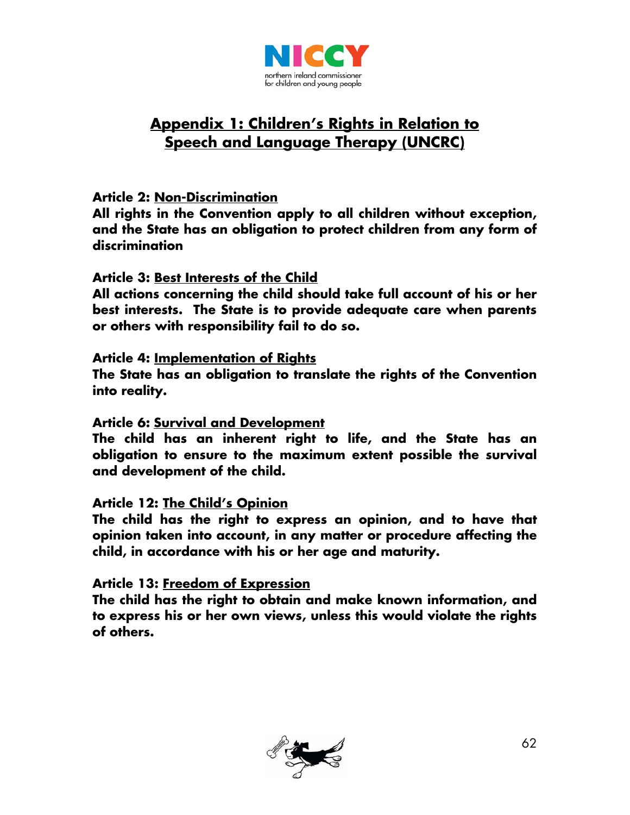

# **Appendix 1: Children's Rights in Relation to Speech and Language Therapy (UNCRC)**

#### **Article 2: Non-Discrimination**

**All rights in the Convention apply to all children without exception, and the State has an obligation to protect children from any form of discrimination** 

#### **Article 3: Best Interests of the Child**

**All actions concerning the child should take full account of his or her best interests. The State is to provide adequate care when parents or others with responsibility fail to do so.** 

#### **Article 4: Implementation of Rights**

**The State has an obligation to translate the rights of the Convention into reality.** 

#### **Article 6: Survival and Development**

**The child has an inherent right to life, and the State has an obligation to ensure to the maximum extent possible the survival and development of the child.** 

#### **Article 12: The Child's Opinion**

**The child has the right to express an opinion, and to have that opinion taken into account, in any matter or procedure affecting the child, in accordance with his or her age and maturity.** 

#### **Article 13: Freedom of Expression**

**The child has the right to obtain and make known information, and to express his or her own views, unless this would violate the rights of others.** 

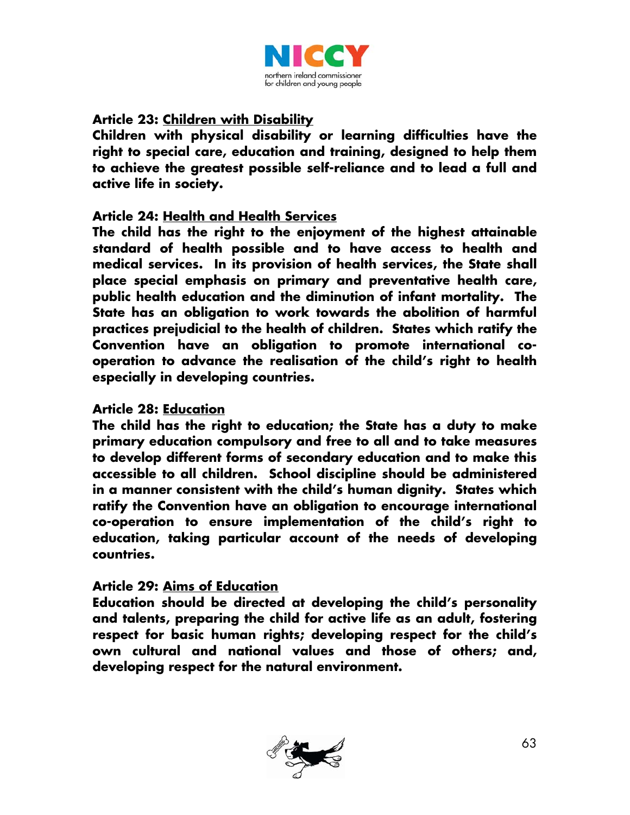

#### **Article 23: Children with Disability**

**Children with physical disability or learning difficulties have the right to special care, education and training, designed to help them to achieve the greatest possible self-reliance and to lead a full and active life in society.** 

#### **Article 24: Health and Health Services**

**The child has the right to the enjoyment of the highest attainable standard of health possible and to have access to health and medical services. In its provision of health services, the State shall place special emphasis on primary and preventative health care, public health education and the diminution of infant mortality. The State has an obligation to work towards the abolition of harmful practices prejudicial to the health of children. States which ratify the Convention have an obligation to promote international cooperation to advance the realisation of the child's right to health especially in developing countries.** 

#### **Article 28: Education**

**The child has the right to education; the State has a duty to make primary education compulsory and free to all and to take measures to develop different forms of secondary education and to make this accessible to all children. School discipline should be administered in a manner consistent with the child's human dignity. States which ratify the Convention have an obligation to encourage international co-operation to ensure implementation of the child's right to education, taking particular account of the needs of developing countries.** 

#### **Article 29: Aims of Education**

**Education should be directed at developing the child's personality and talents, preparing the child for active life as an adult, fostering respect for basic human rights; developing respect for the child's own cultural and national values and those of others; and, developing respect for the natural environment.** 

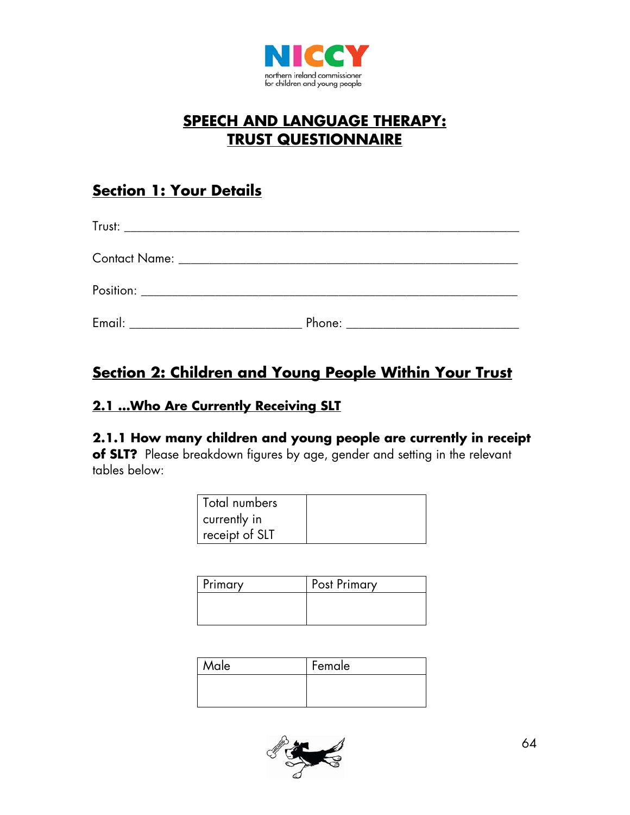

# **SPEECH AND LANGUAGE THERAPY: TRUST QUESTIONNAIRE**

# **Section 1: Your Details**

| Phone: _______________________________ |
|----------------------------------------|

# **Section 2: Children and Young People Within Your Trust**

### **2.1 …Who Are Currently Receiving SLT**

## **2.1.1 How many children and young people are currently in receipt**

**of SLT?** Please breakdown figures by age, gender and setting in the relevant tables below:

| Total numbers  |  |
|----------------|--|
| currently in   |  |
| receipt of SLT |  |

| Primary | Post Primary |
|---------|--------------|
|         |              |
|         |              |

| Male | Female |
|------|--------|
|      |        |
|      |        |

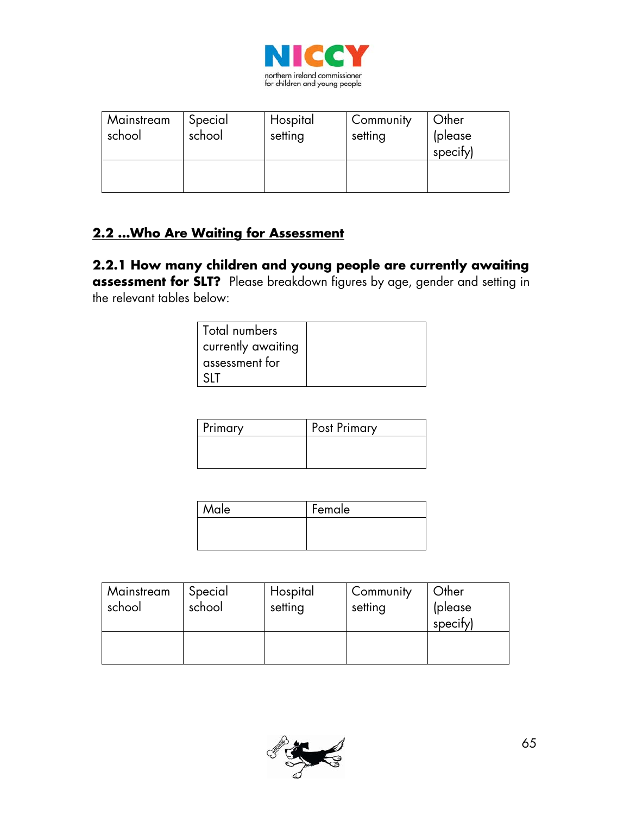

| Mainstream<br>school | Special<br>school | Hospital<br>setting | Community<br>setting | Other<br>(please<br>specify) |
|----------------------|-------------------|---------------------|----------------------|------------------------------|
|                      |                   |                     |                      |                              |

### **2.2 …Who Are Waiting for Assessment**

**2.2.1 How many children and young people are currently awaiting assessment for SLT?** Please breakdown figures by age, gender and setting in the relevant tables below:

| Total numbers      |  |
|--------------------|--|
| currently awaiting |  |
| assessment for     |  |
|                    |  |

| Primary | <b>Post Primary</b> |
|---------|---------------------|
|         |                     |
|         |                     |

| Male | Female |  |  |
|------|--------|--|--|
|      |        |  |  |
|      |        |  |  |

| Mainstream<br>school | Special<br>school | Hospital<br>setting | Community<br>setting | Other<br>(please)<br>specify) |
|----------------------|-------------------|---------------------|----------------------|-------------------------------|
|                      |                   |                     |                      |                               |

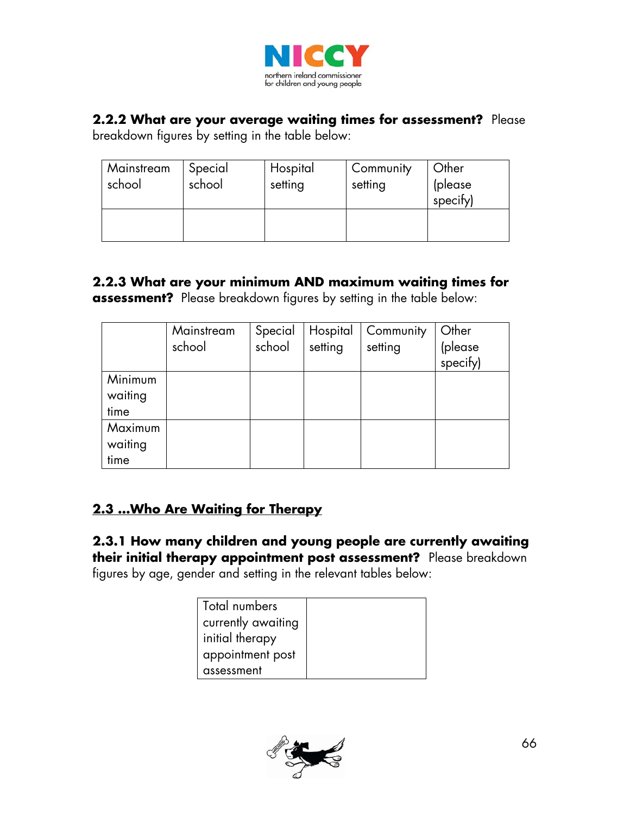

#### **2.2.2 What are your average waiting times for assessment?** Please

breakdown figures by setting in the table below:

| Mainstream<br>school | Special<br>school | Hospital<br>setting | Community<br>setting | Other<br>(please<br>specify) |
|----------------------|-------------------|---------------------|----------------------|------------------------------|
|                      |                   |                     |                      |                              |

### **2.2.3 What are your minimum AND maximum waiting times for assessment?** Please breakdown figures by setting in the table below:

|                            | Mainstream<br>school | Special<br>school | Hospital<br>setting | Community<br>setting | Other<br>(please<br>specify) |
|----------------------------|----------------------|-------------------|---------------------|----------------------|------------------------------|
| Minimum<br>waiting<br>time |                      |                   |                     |                      |                              |
| Maximum<br>waiting<br>time |                      |                   |                     |                      |                              |

### **2.3 …Who Are Waiting for Therapy**

**2.3.1 How many children and young people are currently awaiting their initial therapy appointment post assessment?** Please breakdown figures by age, gender and setting in the relevant tables below:

| Total numbers      |  |
|--------------------|--|
| currently awaiting |  |
| initial therapy    |  |
| appointment post   |  |
| assessment         |  |

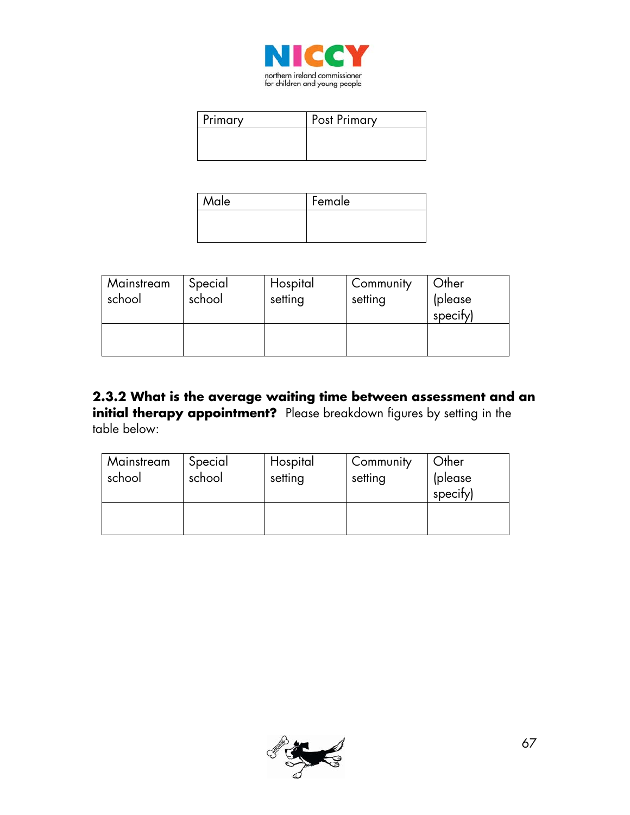

| <b>Primary</b> | <b>Post Primary</b> |
|----------------|---------------------|
|                |                     |
|                |                     |

| Male | Female |  |  |
|------|--------|--|--|
|      |        |  |  |
|      |        |  |  |

| Mainstream<br>school | Special<br>school | Hospital<br>setting | Community<br>setting | Other<br>(please<br>specify) |
|----------------------|-------------------|---------------------|----------------------|------------------------------|
|                      |                   |                     |                      |                              |

**2.3.2 What is the average waiting time between assessment and an initial therapy appointment?** Please breakdown figures by setting in the table below:

| Mainstream<br>school | Special<br>school | Hospital<br>setting | Community<br>setting | Other<br>(please)<br>specify) |
|----------------------|-------------------|---------------------|----------------------|-------------------------------|
|                      |                   |                     |                      |                               |

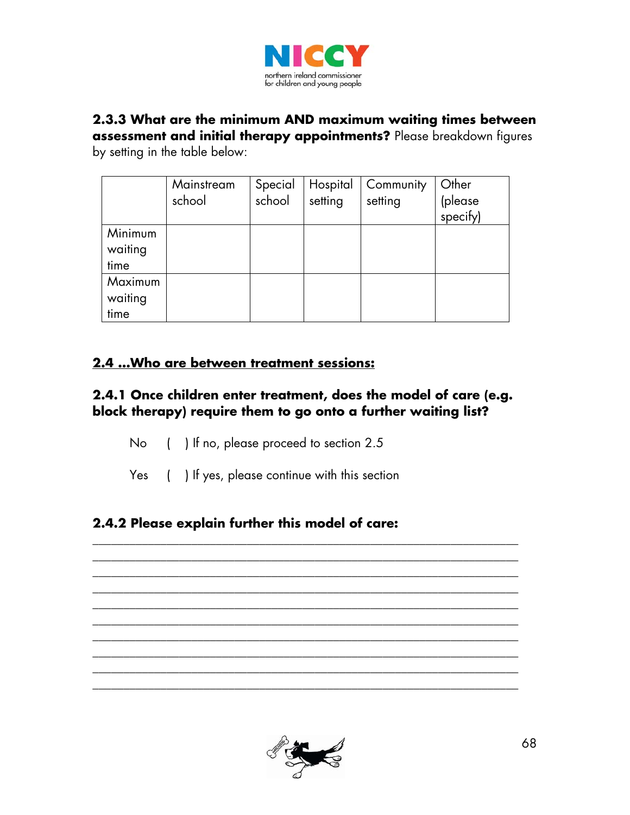

# **2.3.3 What are the minimum AND maximum waiting times between**

**assessment and initial therapy appointments?** Please breakdown figures by setting in the table below:

|         | Mainstream | Special | Hospital | Community | Other    |
|---------|------------|---------|----------|-----------|----------|
|         | school     | school  | setting  | setting   | (please  |
|         |            |         |          |           | specify) |
| Minimum |            |         |          |           |          |
| waiting |            |         |          |           |          |
| time    |            |         |          |           |          |
| Maximum |            |         |          |           |          |
| waiting |            |         |          |           |          |
| time    |            |         |          |           |          |

### **2.4 …Who are between treatment sessions:**

### **2.4.1 Once children enter treatment, does the model of care (e.g. block therapy) require them to go onto a further waiting list?**

- No ( ) If no, please proceed to section 2.5
- Yes ( ) If yes, please continue with this section

### **2.4.2 Please explain further this model of care:**



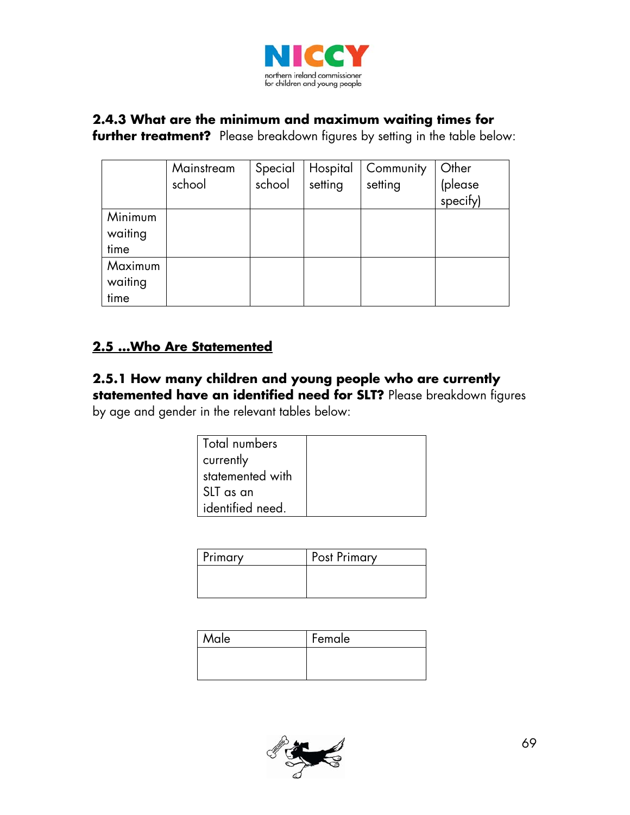

#### **2.4.3 What are the minimum and maximum waiting times for**

**further treatment?** Please breakdown figures by setting in the table below:

|                            | Mainstream<br>school | Special<br>school | Hospital<br>setting | Community<br>setting | Other<br>(please<br>specify) |
|----------------------------|----------------------|-------------------|---------------------|----------------------|------------------------------|
| Minimum<br>waiting<br>time |                      |                   |                     |                      |                              |
| Maximum<br>waiting<br>time |                      |                   |                     |                      |                              |

### **2.5 …Who Are Statemented**

### **2.5.1 How many children and young people who are currently statemented have an identified need for SLT?** Please breakdown figures

by age and gender in the relevant tables below:

| Total numbers    |  |
|------------------|--|
| currently        |  |
| statemented with |  |
| SLT as an        |  |
| identified need. |  |

| Primary | Post Primary |
|---------|--------------|
|         |              |
|         |              |

| Male | Female |
|------|--------|
|      |        |
|      |        |

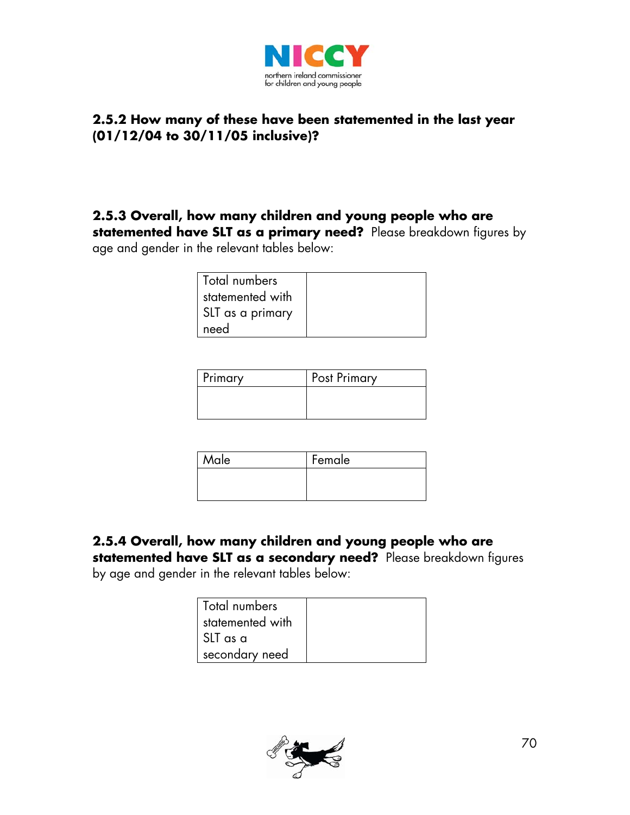

### **2.5.2 How many of these have been statemented in the last year (01/12/04 to 30/11/05 inclusive)?**

## **2.5.3 Overall, how many children and young people who are**

**statemented have SLT as a primary need?** Please breakdown figures by age and gender in the relevant tables below:

| Total numbers    |  |
|------------------|--|
| statemented with |  |
| SLT as a primary |  |
| need             |  |

| Primary | <b>Post Primary</b> |
|---------|---------------------|
|         |                     |
|         |                     |

| Male | Female |
|------|--------|
|      |        |
|      |        |

### **2.5.4 Overall, how many children and young people who are**

**statemented have SLT as a secondary need?** Please breakdown figures by age and gender in the relevant tables below:

| Total numbers    |  |
|------------------|--|
| statemented with |  |
| l SLT as a       |  |
| secondary need   |  |

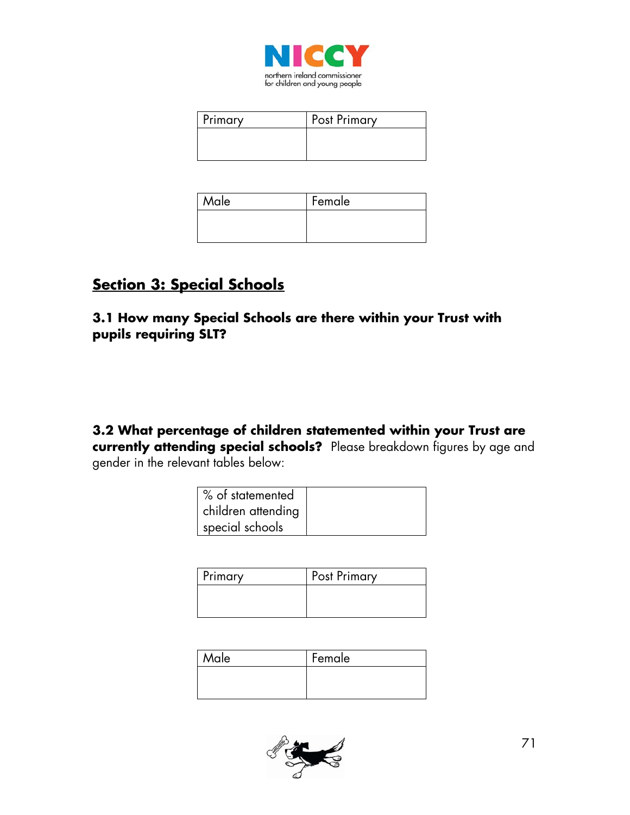

| <b>Primary</b> | <b>Post Primary</b> |
|----------------|---------------------|
|                |                     |
|                |                     |

| Male | Female |
|------|--------|
|      |        |
|      |        |

# **Section 3: Special Schools**

**3.1 How many Special Schools are there within your Trust with pupils requiring SLT?** 

**3.2 What percentage of children statemented within your Trust are currently attending special schools?** Please breakdown figures by age and gender in the relevant tables below:

| % of statemented   |  |
|--------------------|--|
| children attending |  |
| special schools    |  |

| Primary | Post Primary |
|---------|--------------|
|         |              |
|         |              |

| Male | Female |
|------|--------|
|      |        |
|      |        |

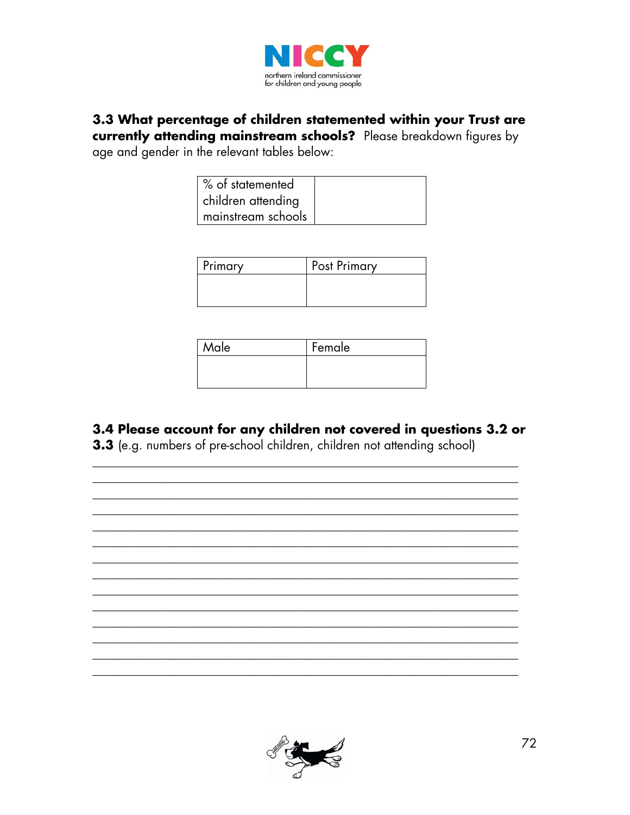

# 3.3 What percentage of children statemented within your Trust are

currently attending mainstream schools? Please breakdown figures by age and gender in the relevant tables below:

| % of statemented   |  |
|--------------------|--|
| children attending |  |
| mainstream schools |  |

| Primary | <b>Post Primary</b> |
|---------|---------------------|
|         |                     |
|         |                     |

| Male | Female |
|------|--------|
|      |        |
|      |        |

### 3.4 Please account for any children not covered in questions 3.2 or

3.3 (e.g. numbers of pre-school children, children not attending school)



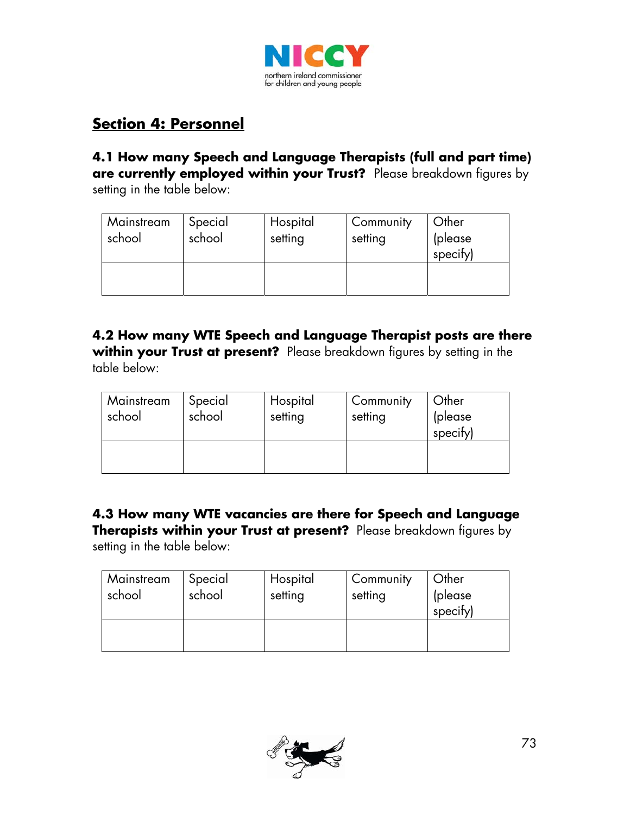

## **Section 4: Personnel**

**4.1 How many Speech and Language Therapists (full and part time) are currently employed within your Trust?** Please breakdown figures by setting in the table below:

| Mainstream<br>school | Special<br>school | Hospital<br>setting | Community<br>setting | Other<br>(please<br>specify) |
|----------------------|-------------------|---------------------|----------------------|------------------------------|
|                      |                   |                     |                      |                              |

**4.2 How many WTE Speech and Language Therapist posts are there**  within your Trust at present? Please breakdown figures by setting in the table below:

| Mainstream<br>school | Special<br>school | Hospital<br>setting | Community<br>setting | <b>Other</b><br>(please<br>specify) |
|----------------------|-------------------|---------------------|----------------------|-------------------------------------|
|                      |                   |                     |                      |                                     |

**4.3 How many WTE vacancies are there for Speech and Language Therapists within your Trust at present?** Please breakdown figures by setting in the table below:

| Mainstream<br>school | Special<br>school | Hospital<br>setting | Community<br>setting | Other<br>(please<br>specify) |
|----------------------|-------------------|---------------------|----------------------|------------------------------|
|                      |                   |                     |                      |                              |

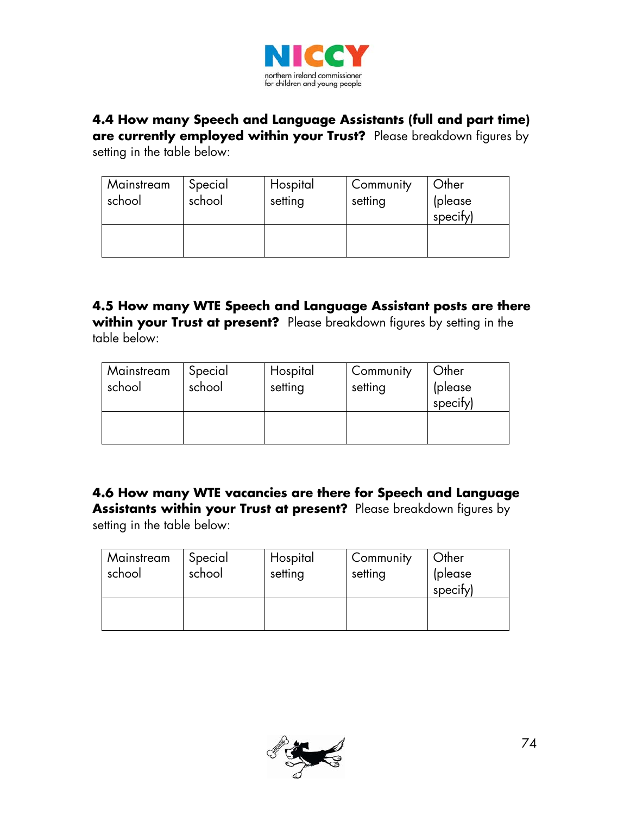

# **4.4 How many Speech and Language Assistants (full and part time)**

**are currently employed within your Trust?** Please breakdown figures by setting in the table below:

| Mainstream<br>school | Special<br>school | Hospital<br>setting | Community<br>setting | Other<br>(please<br>specify) |
|----------------------|-------------------|---------------------|----------------------|------------------------------|
|                      |                   |                     |                      |                              |

#### **4.5 How many WTE Speech and Language Assistant posts are there**  within your Trust at present? Please breakdown figures by setting in the table below:

| Mainstream<br>school | Special<br>school | Hospital<br>setting | Community<br>setting | Other<br>(please<br>specify) |
|----------------------|-------------------|---------------------|----------------------|------------------------------|
|                      |                   |                     |                      |                              |

#### **4.6 How many WTE vacancies are there for Speech and Language Assistants within your Trust at present?** Please breakdown figures by setting in the table below:

| Mainstream<br>school | Special<br>school | Hospital<br>setting | Community<br>setting | Other<br>(please<br>specify) |
|----------------------|-------------------|---------------------|----------------------|------------------------------|
|                      |                   |                     |                      |                              |

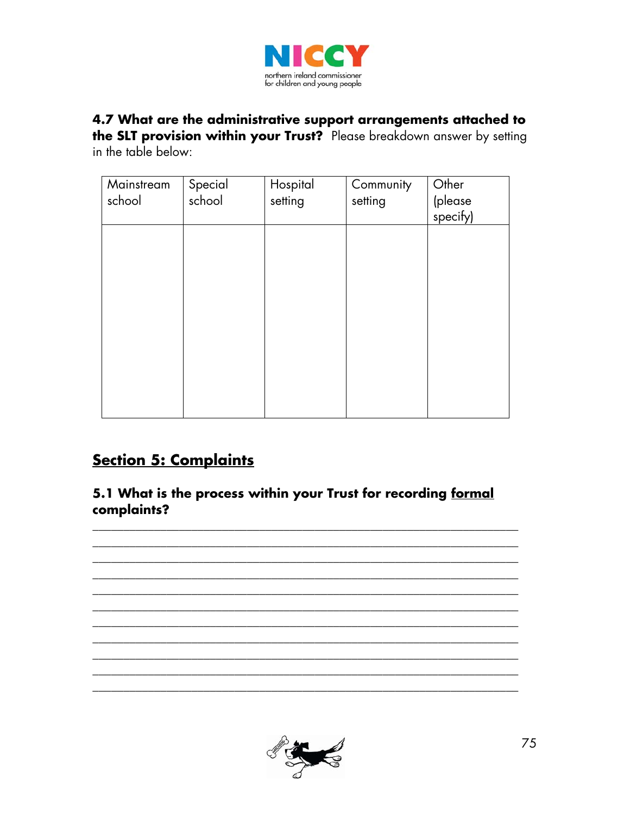

### 4.7 What are the administrative support arrangements attached to the SLT provision within your Trust? Please breakdown answer by setting

in the table below:

| Mainstream<br>school | Special<br>school | Hospital<br>setting | Community<br>setting | Other<br>(please<br>specify) |
|----------------------|-------------------|---------------------|----------------------|------------------------------|
|                      |                   |                     |                      |                              |
|                      |                   |                     |                      |                              |
|                      |                   |                     |                      |                              |
|                      |                   |                     |                      |                              |

### **Section 5: Complaints**

5.1 What is the process within your Trust for recording formal complaints?



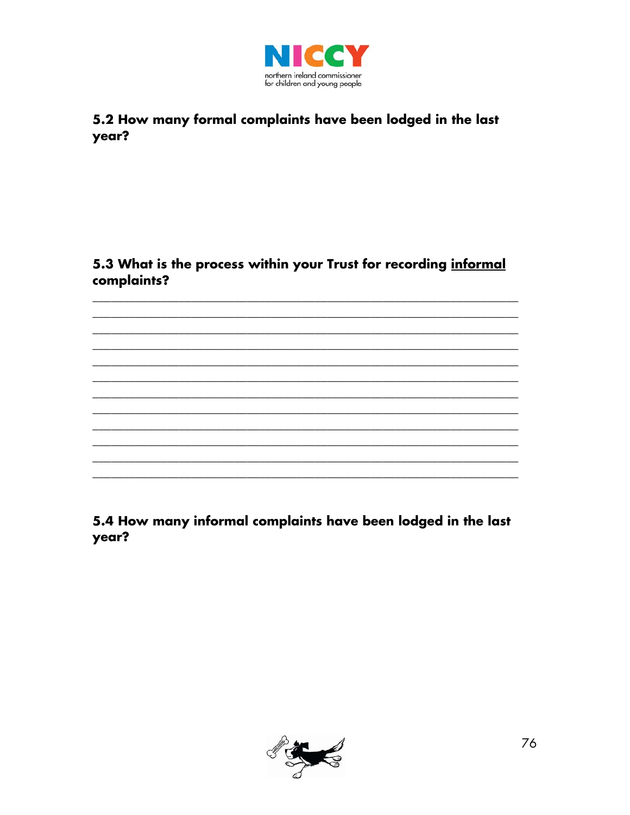

#### 5.2 How many formal complaints have been lodged in the last year?

#### 5.3 What is the process within your Trust for recording informal complaints?

5.4 How many informal complaints have been lodged in the last year?

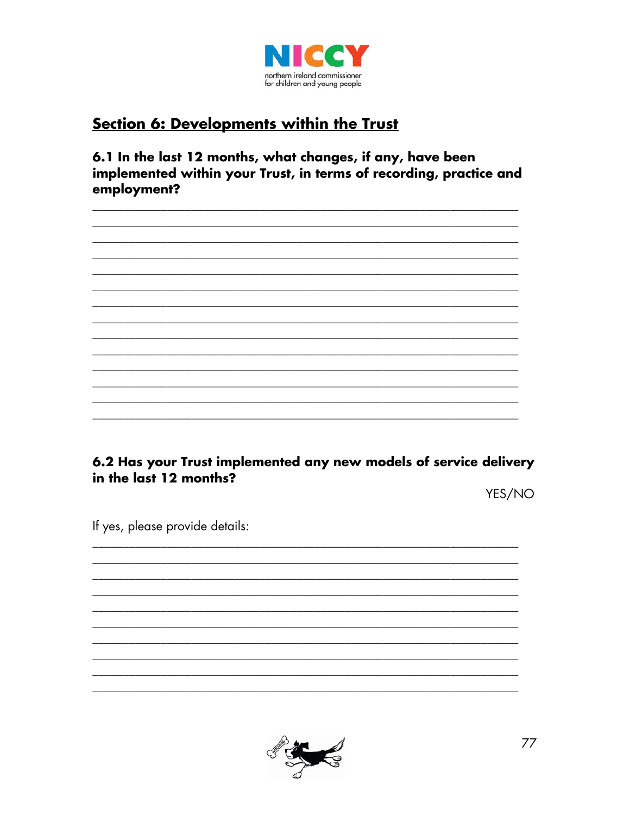

### **Section 6: Developments within the Trust**

6.1 In the last 12 months, what changes, if any, have been implemented within your Trust, in terms of recording, practice and employment?

6.2 Has your Trust implemented any new models of service delivery in the last 12 months?

YES/NO

If yes, please provide details:

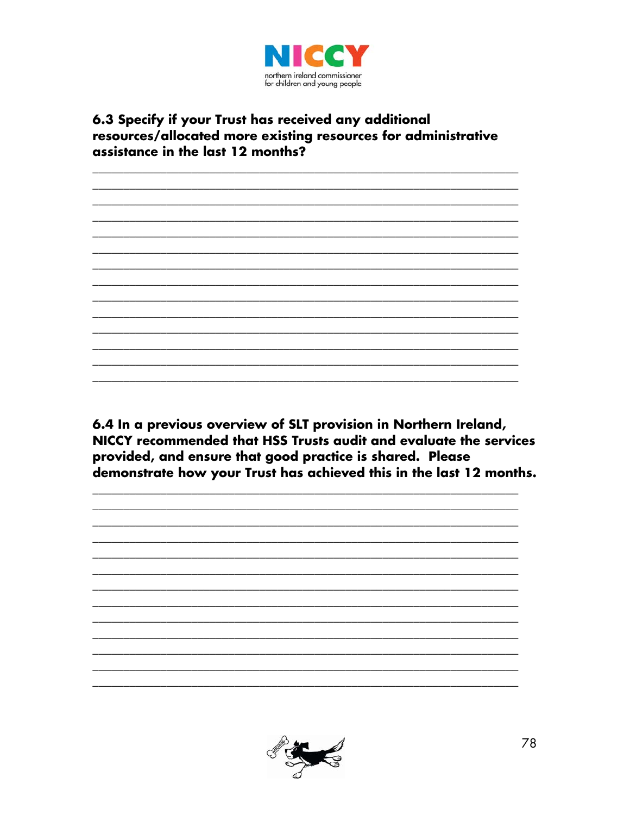

#### 6.3 Specify if your Trust has received any additional resources/allocated more existing resources for administrative assistance in the last 12 months?

6.4 In a previous overview of SLT provision in Northern Ireland, NICCY recommended that HSS Trusts audit and evaluate the services provided, and ensure that good practice is shared. Please demonstrate how your Trust has achieved this in the last 12 months.



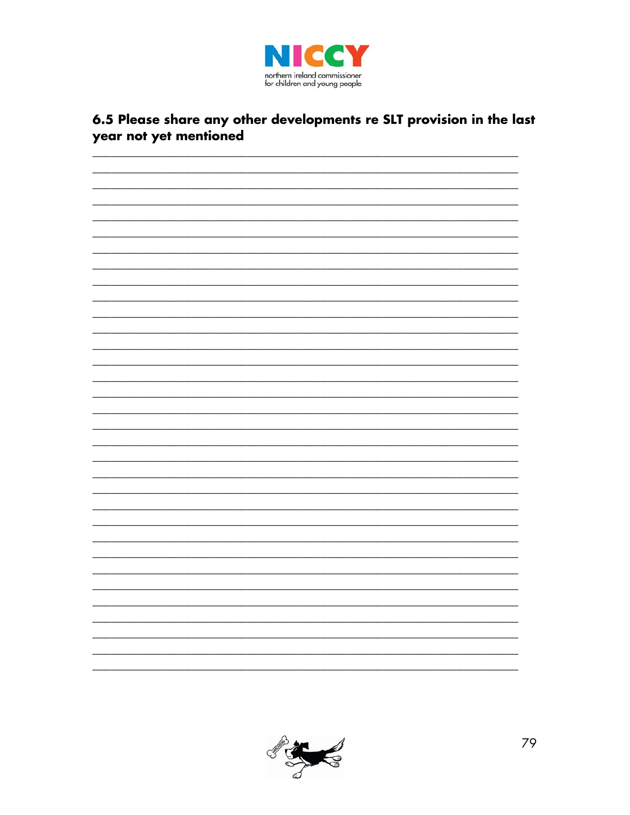

### 6.5 Please share any other developments re SLT provision in the last year not yet mentioned



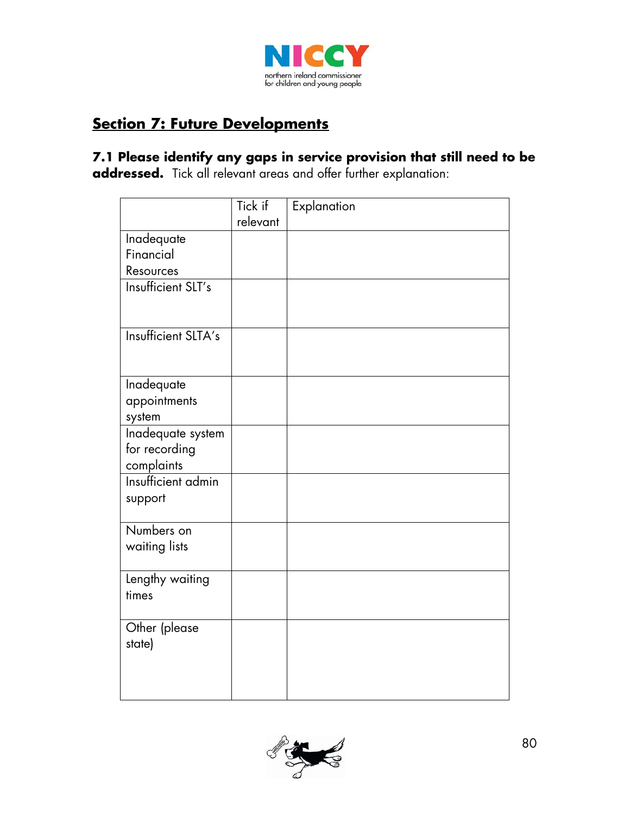

### **Section 7: Future Developments**

**7.1 Please identify any gaps in service provision that still need to be addressed.** Tick all relevant areas and offer further explanation:

|                        | Tick if  | Explanation |
|------------------------|----------|-------------|
|                        | relevant |             |
| Inadequate             |          |             |
| Financial              |          |             |
| Resources              |          |             |
| Insufficient SLT's     |          |             |
|                        |          |             |
| Insufficient SLTA's    |          |             |
|                        |          |             |
| Inadequate             |          |             |
| appointments<br>system |          |             |
| Inadequate system      |          |             |
| for recording          |          |             |
| complaints             |          |             |
| Insufficient admin     |          |             |
| support                |          |             |
|                        |          |             |
| Numbers on             |          |             |
| waiting lists          |          |             |
| Lengthy waiting        |          |             |
| times                  |          |             |
| Other (please          |          |             |
| state)                 |          |             |
|                        |          |             |
|                        |          |             |
|                        |          |             |